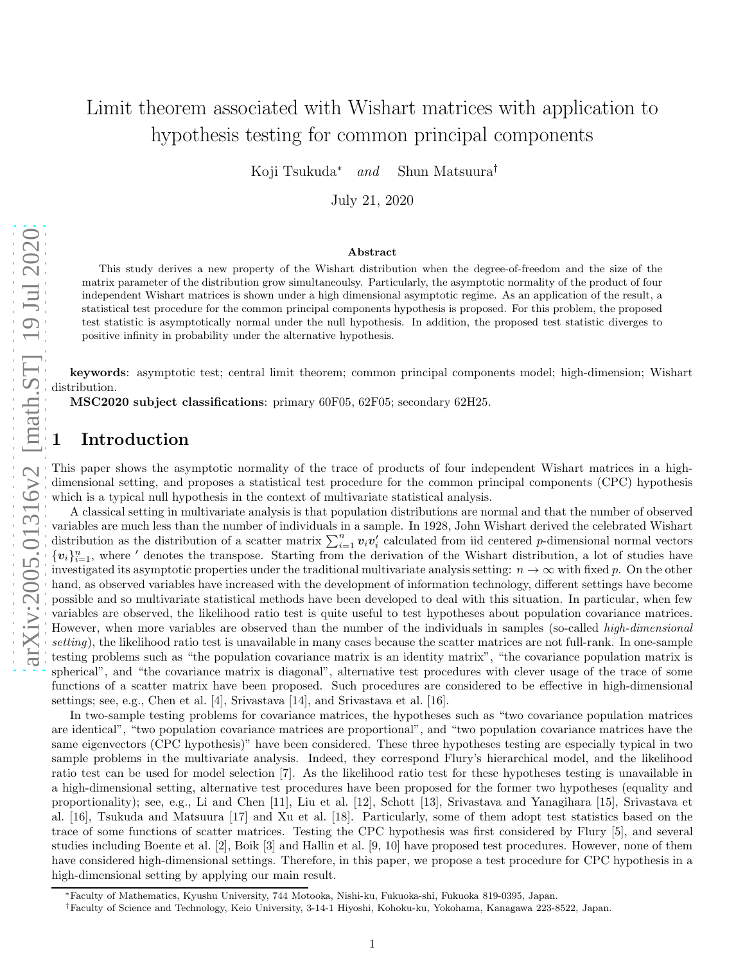# Limit theorem associated with Wishart matrices with application to hypothesis testing for common principal components

Koji Tsukuda<sup>∗</sup> and Shun Matsuura†

July 21, 2020

#### Abstract

This study derives a new property of the Wishart distribution when the degree-of-freedom and the size of the matrix parameter of the distribution grow simultaneoulsy. Particularly, the asymptotic normality of the product of four independent Wishart matrices is shown under a high dimensional asymptotic regime. As an application of the result, a statistical test procedure for the common principal components hypothesis is proposed. For this problem, the proposed test statistic is asymptotically normal under the null hypothesis. In addition, the proposed test statistic diverges to positive infinity in probability under the alternative hypothesis.

keywords: asymptotic test; central limit theorem; common principal components model; high-dimension; Wishart distribution.

MSC2020 subject classifications: primary 60F05, 62F05; secondary 62H25.

## **Introduction**

This paper shows the asymptotic normality of the trace of products of four independent Wishart matrices in a highdimensional setting, and proposes a statistical test procedure for the common principal components (CPC) hypothesis which is a typical null hypothesis in the context of multivariate statistical analysis.

A classical setting in multivariate analysis is that population distributions are normal and that the number of observed variables are much less than the number of individuals in a sample. In 1928, John Wishart derived the celebrated Wishart distribution as the distribution of a scatter matrix  $\sum_{i=1}^{n} v_i v'_i$  calculated from iid centered p-dimensional normal vectors  ${v_i}_{i=1}^n$ , where ' denotes the transpose. Starting from the derivation of the Wishart distribution, a lot of studies have investigated its asymptotic properties under the traditional multivariate analysis setting:  $n \to \infty$  with fixed p. On the other hand, as observed variables have increased with the development of information technology, different settings have become possible and so multivariate statistical methods have been developed to deal with this situation. In particular, when few variables are observed, the likelihood ratio test is quite useful to test hypotheses about population covariance matrices. However, when more variables are observed than the number of the individuals in samples (so-called *high-dimensional* setting), the likelihood ratio test is unavailable in many cases because the scatter matrices are not full-rank. In one-sample testing problems such as "the population covariance matrix is an identity matrix", "the covariance population matrix is spherical", and "the covariance matrix is diagonal", alternative test procedures with clever usage of the trace of some functions of a scatter matrix have been proposed. Such procedures are considered to be effective in high-dimensional settings; see, e.g., Chen et al. [4], Srivastava [14], and Srivastava et al. [16].

In two-sample testing problems for covariance matrices, the hypotheses such as "two covariance population matrices are identical", "two population covariance matrices are proportional", and "two population covariance matrices have the same eigenvectors (CPC hypothesis)" have been considered. These three hypotheses testing are especially typical in two sample problems in the multivariate analysis. Indeed, they correspond Flury's hierarchical model, and the likelihood ratio test can be used for model selection [7]. As the likelihood ratio test for these hypotheses testing is unavailable in a high-dimensional setting, alternative test procedures have been proposed for the former two hypotheses (equality and proportionality); see, e.g., Li and Chen [11], Liu et al. [12], Schott [13], Srivastava and Yanagihara [15], Srivastava et al. [16], Tsukuda and Matsuura [17] and Xu et al. [18]. Particularly, some of them adopt test statistics based on the trace of some functions of scatter matrices. Testing the CPC hypothesis was first considered by Flury [5], and several studies including Boente et al. [2], Boik [3] and Hallin et al. [9, 10] have proposed test procedures. However, none of them have considered high-dimensional settings. Therefore, in this paper, we propose a test procedure for CPC hypothesis in a high-dimensional setting by applying our main result.

<sup>∗</sup>Faculty of Mathematics, Kyushu University, 744 Motooka, Nishi-ku, Fukuoka-shi, Fukuoka 819-0395, Japan.

<sup>†</sup>Faculty of Science and Technology, Keio University, 3-14-1 Hiyoshi, Kohoku-ku, Yokohama, Kanagawa 223-8522, Japan.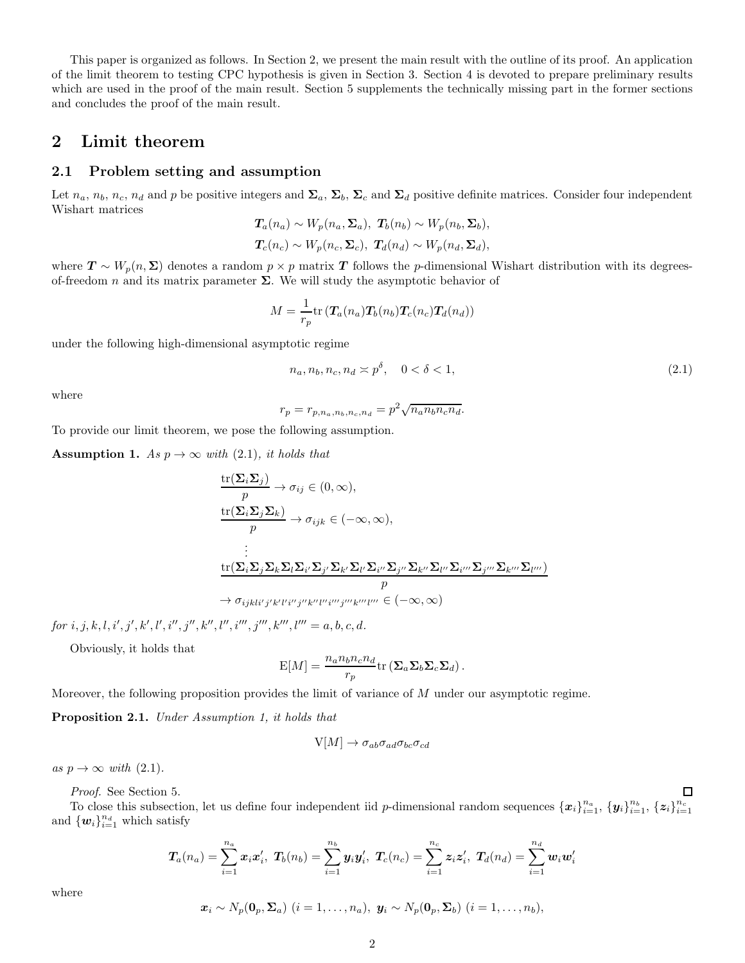This paper is organized as follows. In Section 2, we present the main result with the outline of its proof. An application of the limit theorem to testing CPC hypothesis is given in Section 3. Section 4 is devoted to prepare preliminary results which are used in the proof of the main result. Section 5 supplements the technically missing part in the former sections and concludes the proof of the main result.

## 2 Limit theorem

#### 2.1 Problem setting and assumption

Let  $n_a$ ,  $n_b$ ,  $n_c$ ,  $n_d$  and p be positive integers and  $\Sigma_a$ ,  $\Sigma_b$ ,  $\Sigma_c$  and  $\Sigma_d$  positive definite matrices. Consider four independent Wishart matrices

$$
T_a(n_a) \sim W_p(n_a, \Sigma_a), T_b(n_b) \sim W_p(n_b, \Sigma_b),
$$
  

$$
T_c(n_c) \sim W_p(n_c, \Sigma_c), T_d(n_d) \sim W_p(n_d, \Sigma_d),
$$

where  $T \sim W_p(n, \Sigma)$  denotes a random  $p \times p$  matrix T follows the p-dimensional Wishart distribution with its degreesof-freedom n and its matrix parameter  $\Sigma$ . We will study the asymptotic behavior of

$$
M = \frac{1}{r_p} \text{tr}\left(\mathbf{T}_a(n_a)\mathbf{T}_b(n_b)\mathbf{T}_c(n_c)\mathbf{T}_d(n_d)\right)
$$

under the following high-dimensional asymptotic regime

$$
n_a, n_b, n_c, n_d \approx p^{\delta}, \quad 0 < \delta < 1,\tag{2.1}
$$

where

 $r_p = r_{p,n_a,n_b,n_c,n_d} = p^2 \sqrt{n_a n_b n_c n_d}.$ 

To provide our limit theorem, we pose the following assumption.

**Assumption 1.** As  $p \to \infty$  with (2.1), it holds that

$$
\frac{\operatorname{tr}(\Sigma_{i}\Sigma_{j})}{p} \to \sigma_{ij} \in (0, \infty),
$$
\n
$$
\frac{\operatorname{tr}(\Sigma_{i}\Sigma_{j}\Sigma_{k})}{p} \to \sigma_{ijk} \in (-\infty, \infty),
$$
\n
$$
\vdots
$$
\n
$$
\frac{\operatorname{tr}(\Sigma_{i}\Sigma_{j}\Sigma_{k}\Sigma_{l}\Sigma_{i'}\Sigma_{j'}\Sigma_{k'}\Sigma_{l''}\Sigma_{j''}\Sigma_{k''}\Sigma_{l''}\Sigma_{i'''}\Sigma_{j'''}\Sigma_{k'''}\Sigma_{l'''}\Sigma_{k'''}\Sigma_{l'''})}{p}
$$
\n
$$
\to \sigma_{ijklijj'k'l'i'j''k'l''i''j''k''l''w''k''l'''} \in (-\infty, \infty)
$$

 $for i, j, k, l, i', j', k', l', i'', j'', k'', l'', i''', j''', k''', l''' = a, b, c, d.$ 

Obviously, it holds that

$$
\mathcal{E}[M] = \frac{n_a n_b n_c n_d}{r_p} \text{tr} \left( \mathbf{\Sigma}_a \mathbf{\Sigma}_b \mathbf{\Sigma}_c \mathbf{\Sigma}_d \right).
$$

Moreover, the following proposition provides the limit of variance of M under our asymptotic regime.

Proposition 2.1. Under Assumption 1, it holds that

$$
V[M] \to \sigma_{ab} \sigma_{ad} \sigma_{bc} \sigma_{cd}
$$

as  $p \to \infty$  with (2.1).

Proof. See Section 5.

To close this subsection, let us define four independent iid p-dimensional random sequences  $\{x_i\}_{i=1}^{n_a}, \{y_i\}_{i=1}^{n_b}, \{z_i\}_{i=1}^{n_c}$ and  $\{w_i\}_{i=1}^{n_d}$  which satisfy

$$
\boldsymbol{T}_a(n_a) = \sum_{i=1}^{n_a} \boldsymbol{x}_i \boldsymbol{x}_i', \ \boldsymbol{T}_b(n_b) = \sum_{i=1}^{n_b} \boldsymbol{y}_i \boldsymbol{y}_i', \ \boldsymbol{T}_c(n_c) = \sum_{i=1}^{n_c} \boldsymbol{z}_i \boldsymbol{z}_i', \ \boldsymbol{T}_d(n_d) = \sum_{i=1}^{n_d} \boldsymbol{w}_i \boldsymbol{w}_i'
$$

where

$$
\boldsymbol{x}_i \sim N_p(\boldsymbol{0}_p, \boldsymbol{\Sigma}_a) \ (i=1,\ldots,n_a), \ \boldsymbol{y}_i \sim N_p(\boldsymbol{0}_p, \boldsymbol{\Sigma}_b) \ (i=1,\ldots,n_b),
$$

□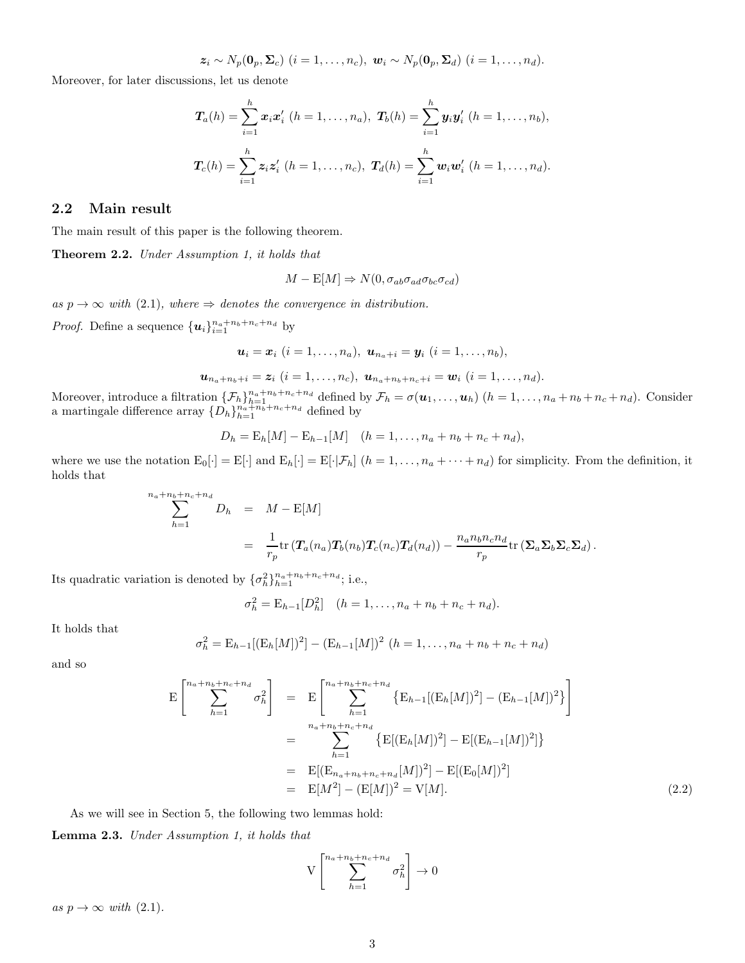$$
\boldsymbol{z}_i \sim N_p(\boldsymbol{0}_p, \boldsymbol{\Sigma}_c) \ (i=1,\ldots,n_c), \ \boldsymbol{w}_i \sim N_p(\boldsymbol{0}_p, \boldsymbol{\Sigma}_d) \ (i=1,\ldots,n_d).
$$

Moreover, for later discussions, let us denote

$$
\mathbf{T}_a(h) = \sum_{i=1}^h \mathbf{x}_i \mathbf{x}'_i \ (h = 1, \dots, n_a), \ \mathbf{T}_b(h) = \sum_{i=1}^h \mathbf{y}_i \mathbf{y}'_i \ (h = 1, \dots, n_b),
$$
  

$$
\mathbf{T}_c(h) = \sum_{i=1}^h \mathbf{z}_i \mathbf{z}'_i \ (h = 1, \dots, n_c), \ \mathbf{T}_d(h) = \sum_{i=1}^h \mathbf{w}_i \mathbf{w}'_i \ (h = 1, \dots, n_d).
$$

#### 2.2 Main result

The main result of this paper is the following theorem.

Theorem 2.2. Under Assumption 1, it holds that

$$
M - \mathcal{E}[M] \Rightarrow N(0, \sigma_{ab}\sigma_{ad}\sigma_{bc}\sigma_{cd})
$$

as  $p \to \infty$  with (2.1), where  $\Rightarrow$  denotes the convergence in distribution.

*Proof.* Define a sequence  ${u_i}_{i=1}^{n_a+n_b+n_c+n_d}$  by

$$
\boldsymbol{u}_i = \boldsymbol{x}_i \ (i=1,\ldots,n_a), \ \boldsymbol{u}_{n_a+i} = \boldsymbol{y}_i \ (i=1,\ldots,n_b),
$$

$$
\boldsymbol{u}_{n_a+n_b+i}=\boldsymbol{z}_i~(i=1,\ldots,n_c),~\boldsymbol{u}_{n_a+n_b+n_c+i}=\boldsymbol{w}_i~(i=1,\ldots,n_d).
$$

Moreover, introduce a filtration  $\{\mathcal{F}_h\}_{h=1}^{n_a+n_b+n_c+n_d}$  defined by  $\mathcal{F}_h = \sigma(\boldsymbol{u}_1,\ldots,\boldsymbol{u}_h)$   $(h=1,\ldots,n_a+n_b+n_c+n_d)$ . Consider a martingale difference array  $\{D_n\}_{n=1}^{n_a+n_b+n_c+n_d}$  defined by

$$
D_h = \mathbb{E}_h[M] - \mathbb{E}_{h-1}[M] \quad (h = 1, \dots, n_a + n_b + n_c + n_d),
$$

where we use the notation  $E_0[\cdot] = E[\cdot]$  and  $E_h[\cdot] = E[\cdot|\mathcal{F}_h]$   $(h = 1, \ldots, n_a + \cdots + n_d)$  for simplicity. From the definition, it holds that

$$
\sum_{h=1}^{n_a+n_b+n_c+n_d} D_h = M - \mathbb{E}[M]
$$
  
= 
$$
\frac{1}{r_p} \text{tr} (\mathbf{T}_a(n_a) \mathbf{T}_b(n_b) \mathbf{T}_c(n_c) \mathbf{T}_d(n_d)) - \frac{n_a n_b n_c n_d}{r_p} \text{tr} (\mathbf{\Sigma}_a \mathbf{\Sigma}_b \mathbf{\Sigma}_c \mathbf{\Sigma}_d).
$$

Its quadratic variation is denoted by  $\{\sigma_h^2\}_{h=1}^{n_a+n_b+n_c+n_d}$ ; i.e.,

$$
\sigma_h^2 = \mathcal{E}_{h-1}[D_h^2] \quad (h = 1, \dots, n_a + n_b + n_c + n_d).
$$

It holds that

$$
\sigma_h^2 = \mathbb{E}_{h-1}[(\mathbb{E}_h[M])^2] - (\mathbb{E}_{h-1}[M])^2 \ (h = 1, \dots, n_a + n_b + n_c + n_d)
$$

and so

$$
E\begin{bmatrix}\n n_a + n_b + n_c + n_d \\
 \sum_{h=1}^{n_a + n_b + n_c + n_d} \sigma_h^2\n\end{bmatrix} = E\begin{bmatrix}\n n_a + n_b + n_c + n_d \\
 \sum_{h=1}^{n_a + n_b + n_c + n_d} \left\{ E[(E_h[M])^2] - E[(E_{h-1}[M])^2] \right\}\n\end{bmatrix}
$$
\n
$$
= \sum_{h=1}^{n_a + n_b + n_c + n_d} \left\{ E[(E_h[M])^2] - E[(E_{h-1}[M])^2] \right\}
$$
\n
$$
= E[(E_{n_a + n_b + n_c + n_d}[M])^2] - E[(E_0[M])^2]
$$
\n
$$
= E[M^2] - (E[M])^2 = V[M].
$$
\n(2.2)

As we will see in Section 5, the following two lemmas hold:

Lemma 2.3. Under Assumption 1, it holds that

$$
V\left[\sum_{h=1}^{n_a+n_b+n_c+n_d}\sigma_h^2\right]\to 0
$$

as  $p \to \infty$  with (2.1).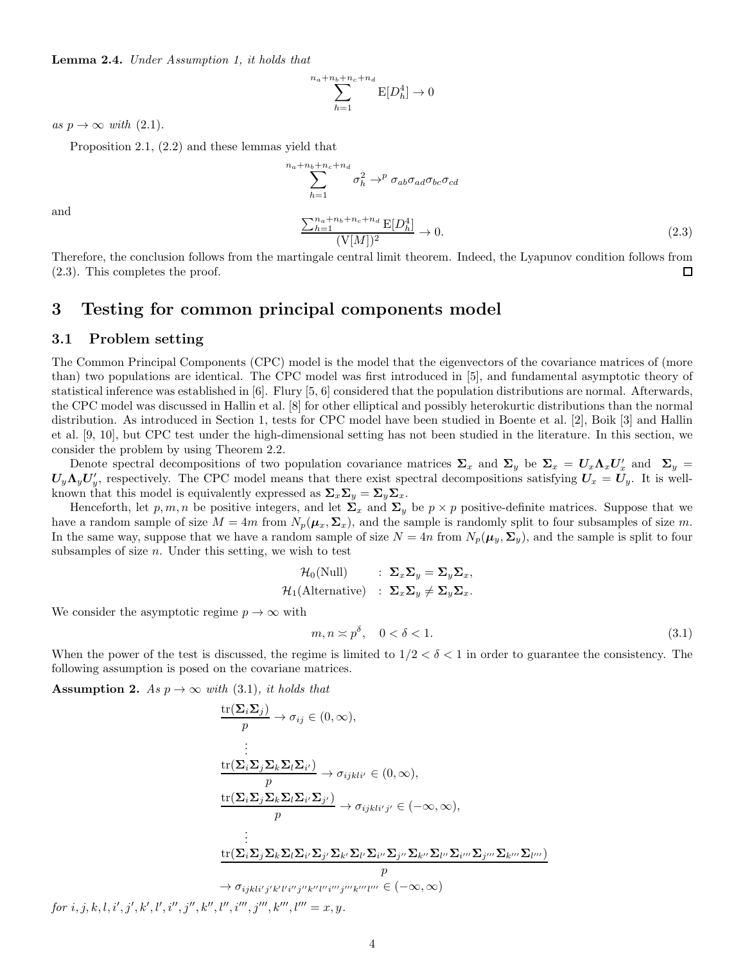Lemma 2.4. Under Assumption 1, it holds that

$$
\sum_{h=1}^{n_a + n_b + n_c + n_d} \mathbf{E}[D_h^4] \to 0
$$

as  $p \to \infty$  with  $(2.1)$ .

Proposition 2.1, (2.2) and these lemmas yield that

$$
n_a + n_b + n_c + n_d
$$
  
\n
$$
\sum_{h=1}^{n_a + n_b + n_c + n_d} \sigma_h^2 \to^p \sigma_{ab} \sigma_{ad} \sigma_{bc} \sigma_{cd}
$$
  
\n
$$
\frac{\sum_{h=1}^{n_a + n_b + n_c + n_d} \mathbb{E}[D_h^4]}{(V[M])^2} \to 0.
$$
\n(2.3)

and

Therefore, the conclusion follows from the martingale central limit theorem. Indeed, the Lyapunov condition follows from (2.3). This completes the proof.  $\Box$ 

### 3 Testing for common principal components model

#### 3.1 Problem setting

The Common Principal Components (CPC) model is the model that the eigenvectors of the covariance matrices of (more than) two populations are identical. The CPC model was first introduced in [5], and fundamental asymptotic theory of statistical inference was established in [6]. Flury [5, 6] considered that the population distributions are normal. Afterwards, the CPC model was discussed in Hallin et al. [8] for other elliptical and possibly heterokurtic distributions than the normal distribution. As introduced in Section 1, tests for CPC model have been studied in Boente et al. [2], Boik [3] and Hallin et al. [9, 10], but CPC test under the high-dimensional setting has not been studied in the literature. In this section, we consider the problem by using Theorem 2.2.

Denote spectral decompositions of two population covariance matrices  $\Sigma_x$  and  $\Sigma_y$  be  $\Sigma_x = U_x \Lambda_x U'_x$  and  $\Sigma_y =$  $U_y \Lambda_y U'_y$ , respectively. The CPC model means that there exist spectral decompositions satisfying  $U_x = U_y$ . It is wellknown that this model is equivalently expressed as  $\Sigma_x \Sigma_y = \Sigma_y \Sigma_x$ .

Henceforth, let p, m, n be positive integers, and let  $\Sigma_x$  and  $\Sigma_y$  be  $p \times p$  positive-definite matrices. Suppose that we have a random sample of size  $M = 4m$  from  $N_p(\mu_x, \Sigma_x)$ , and the sample is randomly split to four subsamples of size m. In the same way, suppose that we have a random sample of size  $N = 4n$  from  $N_p(\mu_y, \Sigma_y)$ , and the sample is split to four subsamples of size  $n$ . Under this setting, we wish to test

$$
\mathcal{H}_0(\text{Null}) \qquad : \ \Sigma_x \Sigma_y = \Sigma_y \Sigma_x, \n\mathcal{H}_1(\text{Alternative}) \qquad : \ \Sigma_x \Sigma_y \neq \Sigma_y \Sigma_x.
$$

We consider the asymptotic regime  $p \to \infty$  with

$$
m, n \approx p^{\delta}, \quad 0 < \delta < 1. \tag{3.1}
$$

When the power of the test is discussed, the regime is limited to  $1/2 < \delta < 1$  in order to guarantee the consistency. The following assumption is posed on the covariane matrices.

**Assumption 2.** As  $p \rightarrow \infty$  with (3.1), it holds that

$$
\frac{\text{tr}(\Sigma_{i}\Sigma_{j})}{p} \to \sigma_{ij} \in (0, \infty),
$$
\n
$$
\vdots
$$
\n
$$
\frac{\text{tr}(\Sigma_{i}\Sigma_{j}\Sigma_{k}\Sigma_{l}\Sigma_{i'})}{p} \to \sigma_{ijkli'} \in (0, \infty),
$$
\n
$$
\frac{\text{tr}(\Sigma_{i}\Sigma_{j}\Sigma_{k}\Sigma_{l}\Sigma_{i'}\Sigma_{j'})}{p} \to \sigma_{ijkli'j'} \in (-\infty, \infty),
$$
\n
$$
\vdots
$$
\n
$$
\frac{\text{tr}(\Sigma_{i}\Sigma_{j}\Sigma_{k}\Sigma_{l}\Sigma_{i'}\Sigma_{j'}\Sigma_{k'}\Sigma_{l'}\Sigma_{j''}\Sigma_{k''}\Sigma_{l''}\Sigma_{j'''}\Sigma_{k'''}\Sigma_{j''}\Sigma_{k'''}\Sigma_{j''}\Sigma_{k'''}\Sigma_{l'''}\Sigma_{l'''}\Sigma_{l'''}\Sigma_{l'''}\Sigma_{l'''}\Sigma_{l'''}\Sigma_{l'''}\Sigma_{l'''}\Sigma_{l'''}\Sigma_{l'''}\Sigma_{l'''}\Sigma_{l'''}\Sigma_{l'''}\Sigma_{l'''}\Sigma_{l'''}\Sigma_{l'''}\Sigma_{l'''}\Sigma_{l'''}\Sigma_{l'''}\Sigma_{l'''}\Sigma_{l'''}\Sigma_{l'''}\Sigma_{l'''}\Sigma_{l'''}\Sigma_{l'''}\Sigma_{l'''}\Sigma_{l'''}\Sigma_{l'''}\Sigma_{l'''}\Sigma_{l'''}\Sigma_{l'''}\Sigma_{l'''}\Sigma_{l'''}\Sigma_{l'''}\Sigma_{l'''}\Sigma_{l'''}\Sigma_{l'''}\Sigma_{l'''}\Sigma_{l'''}\Sigma_{l'''}\Sigma_{l'''}\Sigma_{l'''}\Sigma_{l'''}\Sigma_{l'''}\Sigma_{l'''}\Sigma_{l'''}\Sigma_{l'''}\Sigma_{l'''}\Sigma_{l'''}\Sigma_{l'''}\Sigma_{l'''}\Sigma_{l'''}\Sigma_{l'''}\Sigma_{l'''}\Sigma_{l'''}\Sigma_{l'''}\Sigma_{l'''}\Sigma_{l'''}\Sigma_{l'''}\Sigma_{l'''}\Sigma_{l'''}\Sigma_{l'''}\Sigma_{l'''}\Sigma_{l'''}\Sigma_{l'''}\Sigma_{l'''}\Sigma_{l'''}\Sigma_{l'''}\Sigma_{l'''}\Sigma_{l'''}\Sigma_{l'''}\Sigma_{l'''}\Sigma_{l'''}\Sigma_{l'''}\Sigma_{l'''}\Sigma_{l'''}\Sigma_{l'''}\Sigma_{l'''}\Sigma_{l'''}\Sigma_{
$$

 $for i, j, k, l, i', j', k', l', i'', j'', k'', l'', i''', j''', k''', l''' = x, y.$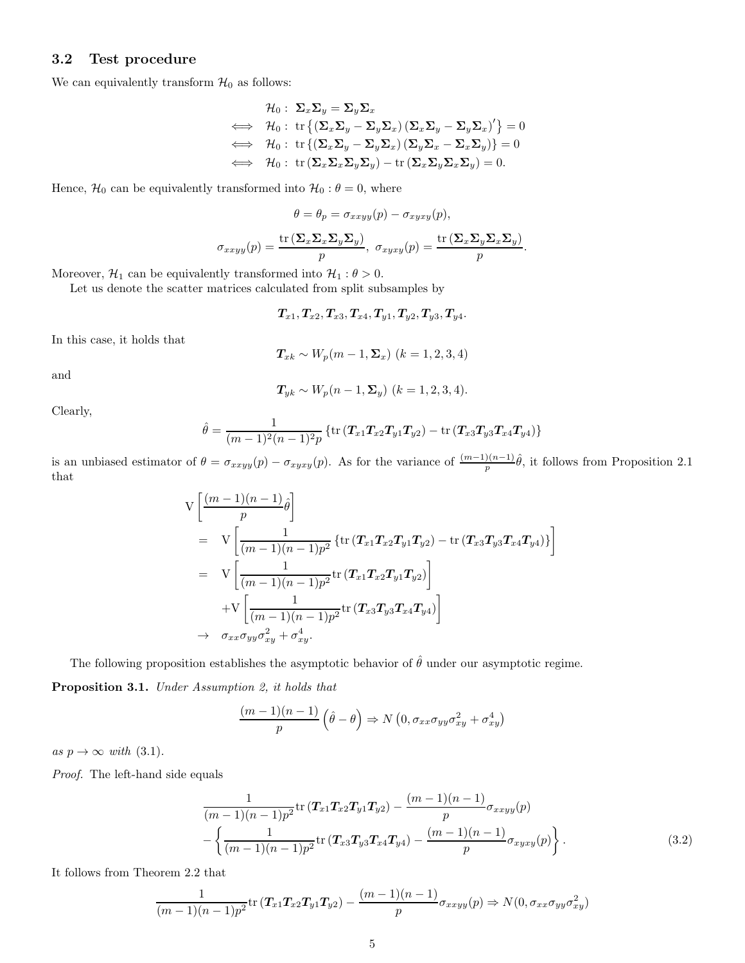#### 3.2 Test procedure

We can equivalently transform  $\mathcal{H}_0$  as follows:

$$
\mathcal{H}_0: \ \Sigma_x \Sigma_y = \Sigma_y \Sigma_x
$$
\n
$$
\iff \ \mathcal{H}_0: \ \text{tr}\left\{ \left( \Sigma_x \Sigma_y - \Sigma_y \Sigma_x \right) \left( \Sigma_x \Sigma_y - \Sigma_y \Sigma_x \right)' \right\} = 0
$$
\n
$$
\iff \ \mathcal{H}_0: \ \text{tr}\left\{ \left( \Sigma_x \Sigma_y - \Sigma_y \Sigma_x \right) \left( \Sigma_y \Sigma_x - \Sigma_x \Sigma_y \right) \right\} = 0
$$
\n
$$
\iff \ \mathcal{H}_0: \ \text{tr}\left( \Sigma_x \Sigma_x \Sigma_y \Sigma_y \right) - \text{tr}\left( \Sigma_x \Sigma_y \Sigma_x \Sigma_y \right) = 0.
$$

Hence,  $\mathcal{H}_0$  can be equivalently transformed into  $\mathcal{H}_0$  :  $\theta = 0$ , where

$$
\theta = \theta_p = \sigma_{xxyy}(p) - \sigma_{xyxy}(p),
$$

$$
\sigma_{xxyy}(p) = \frac{\text{tr}\left(\Sigma_x \Sigma_x \Sigma_y \Sigma_y\right)}{p}, \ \sigma_{xyxy}(p) = \frac{\text{tr}\left(\Sigma_x \Sigma_y \Sigma_x \Sigma_y\right)}{p}.
$$

Moreover,  $\mathcal{H}_1$  can be equivalently transformed into  $\mathcal{H}_1 : \theta > 0$ .

Let us denote the scatter matrices calculated from split subsamples by

$$
T_{x1}, T_{x2}, T_{x3}, T_{x4}, T_{y1}, T_{y2}, T_{y3}, T_{y4}.
$$

In this case, it holds that

$$
T_{xk} \sim W_p(m-1,\Sigma_x) \ (k=1,2,3,4)
$$

and

$$
T_{yk} \sim W_p(n-1, \Sigma_y)
$$
  $(k = 1, 2, 3, 4).$ 

Clearly,

$$
\hat{\theta} = \frac{1}{(m-1)^2(n-1)^2 p} \left\{ \text{tr} \left( T_{x1} T_{x2} T_{y1} T_{y2} \right) - \text{tr} \left( T_{x3} T_{y3} T_{x4} T_{y4} \right) \right\}
$$

is an unbiased estimator of  $\theta = \sigma_{xxyy}(p) - \sigma_{xyxy}(p)$ . As for the variance of  $\frac{(m-1)(n-1)}{p}\hat{\theta}$ , it follows from Proposition 2.1 that

$$
V\left[\frac{(m-1)(n-1)}{p}\hat{\theta}\right]
$$
  
=  $V\left[\frac{1}{(m-1)(n-1)p^2}\left\{\text{tr}\left(T_{x1}T_{x2}T_{y1}T_{y2}\right) - \text{tr}\left(T_{x3}T_{y3}T_{x4}T_{y4}\right)\right\}\right]$   
=  $V\left[\frac{1}{(m-1)(n-1)p^2}\text{tr}\left(T_{x1}T_{x2}T_{y1}T_{y2}\right)\right]$   
+ $V\left[\frac{1}{(m-1)(n-1)p^2}\text{tr}\left(T_{x3}T_{y3}T_{x4}T_{y4}\right)\right]$   
 $\rightarrow \sigma_{xx}\sigma_{yy}\sigma_{xy}^2 + \sigma_{xy}^4.$ 

The following proposition establishes the asymptotic behavior of  $\hat{\theta}$  under our asymptotic regime.

Proposition 3.1. Under Assumption 2, it holds that

$$
\frac{(m-1)(n-1)}{p} \left( \hat{\theta} - \theta \right) \Rightarrow N \left( 0, \sigma_{xx} \sigma_{yy} \sigma_{xy}^2 + \sigma_{xy}^4 \right)
$$

as  $p \to \infty$  with (3.1).

Proof. The left-hand side equals

$$
\frac{1}{(m-1)(n-1)p^2} \text{tr}\left(T_{x1}T_{x2}T_{y1}T_{y2}\right) - \frac{(m-1)(n-1)}{p} \sigma_{xxyy}(p) - \left\{\frac{1}{(m-1)(n-1)p^2} \text{tr}\left(T_{x3}T_{y3}T_{x4}T_{y4}\right) - \frac{(m-1)(n-1)}{p} \sigma_{xyxy}(p)\right\}.
$$
\n(3.2)

It follows from Theorem 2.2 that

$$
\frac{1}{(m-1)(n-1)p^2}\text{tr}\left(T_{x1}T_{x2}T_{y1}T_{y2}\right)-\frac{(m-1)(n-1)}{p}\sigma_{xxyy}(p) \Rightarrow N(0,\sigma_{xx}\sigma_{yy}\sigma_{xy}^2)
$$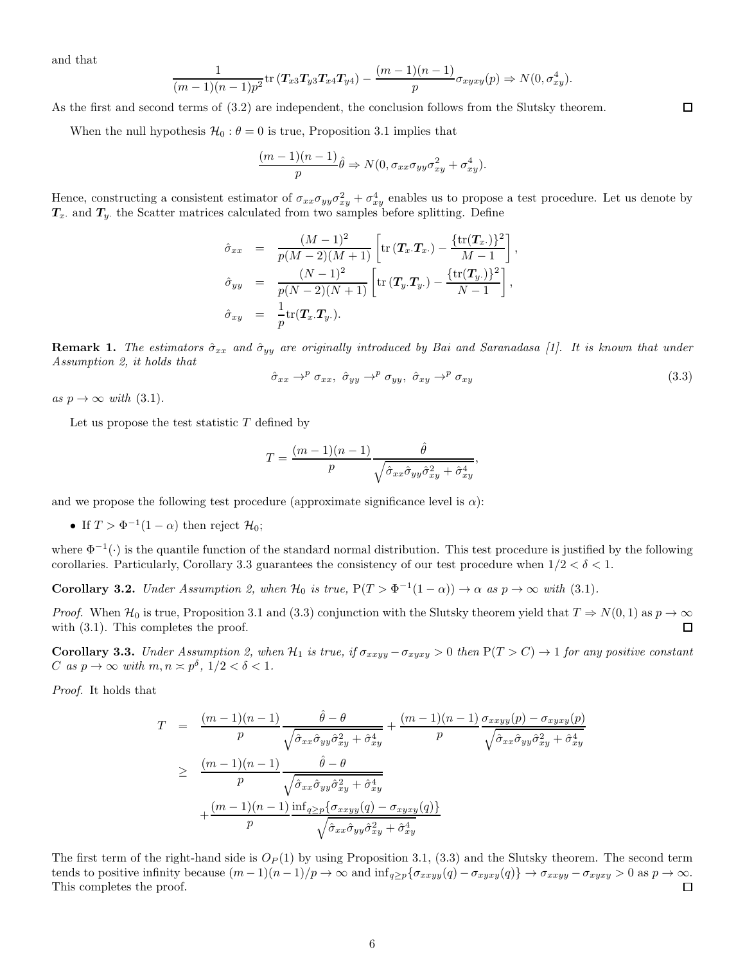and that

$$
\frac{1}{(m-1)(n-1)p^2}\text{tr}\left(T_{x3}T_{y3}T_{x4}T_{y4}\right)-\frac{(m-1)(n-1)}{p}\sigma_{xyxy}(p) \Rightarrow N(0,\sigma_{xy}^4).
$$

As the first and second terms of (3.2) are independent, the conclusion follows from the Slutsky theorem.

When the null hypothesis  $\mathcal{H}_0$ :  $\theta = 0$  is true, Proposition 3.1 implies that

$$
\frac{(m-1)(n-1)}{p}\hat{\theta} \Rightarrow N(0, \sigma_{xx}\sigma_{yy}\sigma_{xy}^2 + \sigma_{xy}^4).
$$

Hence, constructing a consistent estimator of  $\sigma_{xx}\sigma_{yy}\sigma_{xy}^2+\sigma_{xy}^4$  enables us to propose a test procedure. Let us denote by  $T_x$  and  $T_y$  the Scatter matrices calculated from two samples before splitting. Define

$$
\hat{\sigma}_{xx} = \frac{(M-1)^2}{p(M-2)(M+1)} \left[ \text{tr} \left( \mathbf{T}_x \cdot \mathbf{T}_x \right) - \frac{\{\text{tr}(\mathbf{T}_x)\}^2}{M-1} \right],
$$
\n
$$
\hat{\sigma}_{yy} = \frac{(N-1)^2}{p(N-2)(N+1)} \left[ \text{tr} \left( \mathbf{T}_y \cdot \mathbf{T}_y \right) - \frac{\{\text{tr}(\mathbf{T}_y)\}^2}{N-1} \right],
$$
\n
$$
\hat{\sigma}_{xy} = \frac{1}{p} \text{tr}(\mathbf{T}_x \cdot \mathbf{T}_y).
$$

**Remark 1.** The estimators  $\hat{\sigma}_{xx}$  and  $\hat{\sigma}_{yy}$  are originally introduced by Bai and Saranadasa [1]. It is known that under Assumption 2, it holds that

$$
\hat{\sigma}_{xx} \rightarrow^p \sigma_{xx}, \ \hat{\sigma}_{yy} \rightarrow^p \sigma_{yy}, \ \hat{\sigma}_{xy} \rightarrow^p \sigma_{xy}
$$
\n(3.3)

 $\Box$ 

as  $p \to \infty$  with (3.1).

Let us propose the test statistic  $T$  defined by

$$
T = \frac{(m-1)(n-1)}{p} \frac{\hat{\theta}}{\sqrt{\hat{\sigma}_{xx}\hat{\sigma}_{yy}\hat{\sigma}_{xy}^2 + \hat{\sigma}_{xy}^4}},
$$

and we propose the following test procedure (approximate significance level is  $\alpha$ ):

• If  $T > \Phi^{-1}(1-\alpha)$  then reject  $\mathcal{H}_0$ ;

where  $\Phi^{-1}(\cdot)$  is the quantile function of the standard normal distribution. This test procedure is justified by the following corollaries. Particularly, Corollary 3.3 guarantees the consistency of our test procedure when  $1/2 < \delta < 1$ .

**Corollary 3.2.** Under Assumption 2, when  $\mathcal{H}_0$  is true,  $P(T > \Phi^{-1}(1-\alpha)) \to \alpha$  as  $p \to \infty$  with (3.1).

*Proof.* When  $\mathcal{H}_0$  is true, Proposition 3.1 and (3.3) conjunction with the Slutsky theorem yield that  $T \Rightarrow N(0, 1)$  as  $p \to \infty$  with (3.1). This completes the proof. with  $(3.1)$ . This completes the proof.

**Corollary 3.3.** Under Assumption 2, when  $H_1$  is true, if  $\sigma_{xxyy} - \sigma_{xyxy} > 0$  then  $P(T > C) \rightarrow 1$  for any positive constant C as  $p \to \infty$  with  $m, n \asymp p^{\delta}, 1/2 < \delta < 1$ .

Proof. It holds that

$$
T = \frac{(m-1)(n-1)}{p} \frac{\hat{\theta} - \theta}{\sqrt{\hat{\sigma}_{xx}\hat{\sigma}_{yy}\hat{\sigma}_{xy}^2 + \hat{\sigma}_{xy}^4}} + \frac{(m-1)(n-1)}{p} \frac{\sigma_{xxyy}(p) - \sigma_{xyxy}(p)}{\sqrt{\hat{\sigma}_{xx}\hat{\sigma}_{yy}\hat{\sigma}_{xy}^2 + \hat{\sigma}_{xy}^4}}
$$
  
\n
$$
\geq \frac{(m-1)(n-1)}{p} \frac{\hat{\theta} - \theta}{\sqrt{\hat{\sigma}_{xx}\hat{\sigma}_{yy}\hat{\sigma}_{xy}^2 + \hat{\sigma}_{xy}^4}}
$$
  
\n
$$
+ \frac{(m-1)(n-1)}{p} \frac{\inf_{q \geq p} {\{\sigma_{xxyy}(q) - \sigma_{xyxy}(q)\}}}{\sqrt{\hat{\sigma}_{xx}\hat{\sigma}_{yy}\hat{\sigma}_{xy}^2 + \hat{\sigma}_{xy}^4}}
$$

The first term of the right-hand side is  $O_P(1)$  by using Proposition 3.1, (3.3) and the Slutsky theorem. The second term tends to positive infinity because  $(m-1)(n-1)/p \to \infty$  and  $\inf_{q \geq p} {\{\sigma_{xxyy}(q) - \sigma_{xyxy}(q)\}} \to \sigma_{xxyy} - \sigma_{xyxy} > 0$  as  $p \to \infty$ .<br>This completes the proof. This completes the proof.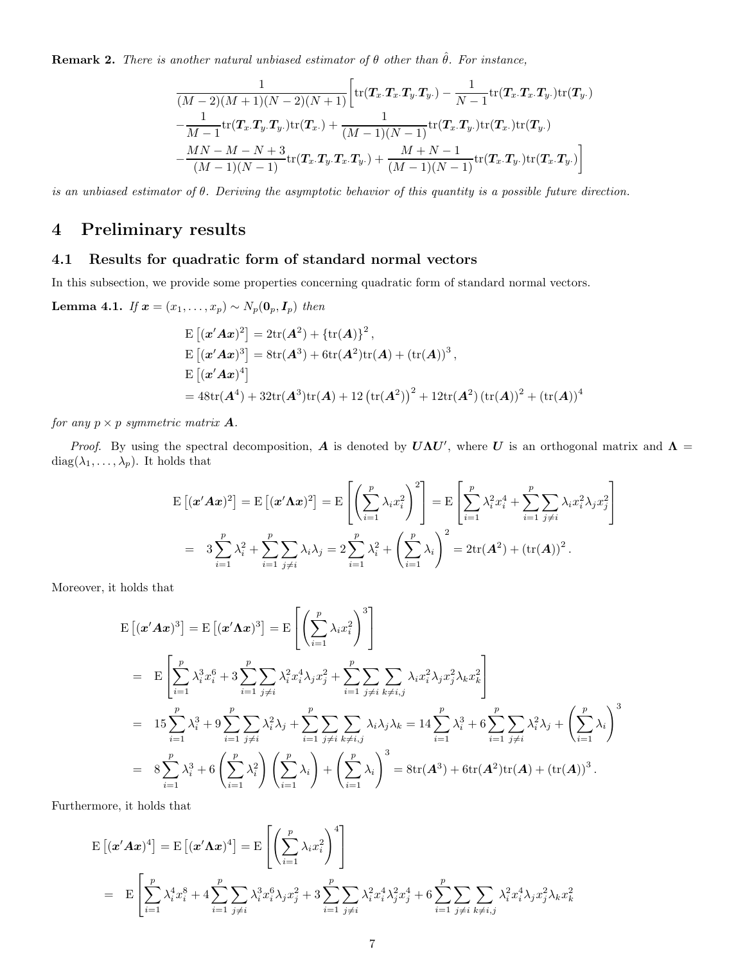**Remark 2.** There is another natural unbiased estimator of  $\theta$  other than  $\hat{\theta}$ . For instance,

$$
\frac{1}{(M-2)(M+1)(N-2)(N+1)} \bigg[ \text{tr}(\mathbf{T}_x.\mathbf{T}_x.\mathbf{T}_y.\mathbf{T}_y.) - \frac{1}{N-1} \text{tr}(\mathbf{T}_x.\mathbf{T}_x.\mathbf{T}_y.) \text{tr}(\mathbf{T}_y.) -\frac{1}{M-1} \text{tr}(\mathbf{T}_x.\mathbf{T}_y.\mathbf{T}_y.) \text{tr}(\mathbf{T}_x.) + \frac{1}{(M-1)(N-1)} \text{tr}(\mathbf{T}_x.\mathbf{T}_y.) \text{tr}(\mathbf{T}_x.) \text{tr}(\mathbf{T}_y.) -\frac{MN-M-N+3}{(M-1)(N-1)} \text{tr}(\mathbf{T}_x.\mathbf{T}_y.\mathbf{T}_x.\mathbf{T}_y.) + \frac{M+N-1}{(M-1)(N-1)} \text{tr}(\mathbf{T}_x.\mathbf{T}_y.) \text{tr}(\mathbf{T}_x.\mathbf{T}_y.)
$$

is an unbiased estimator of θ. Deriving the asymptotic behavior of this quantity is a possible future direction.

## 4 Preliminary results

#### 4.1 Results for quadratic form of standard normal vectors

In this subsection, we provide some properties concerning quadratic form of standard normal vectors.

**Lemma 4.1.** If 
$$
\mathbf{x} = (x_1, \ldots, x_p) \sim N_p(\mathbf{0}_p, \mathbf{I}_p)
$$
 then

$$
E [(x' A x)^{2}] = 2 \text{tr}(A^{2}) + {\text{tr}(A)}^{2},
$$
  
\n
$$
E [(x' A x)^{3}] = 8 \text{tr}(A^{3}) + 6 \text{tr}(A^{2}) \text{tr}(A) + (\text{tr}(A))^{3},
$$
  
\n
$$
E [(x' A x)^{4}]
$$
  
\n
$$
= 48 \text{tr}(A^{4}) + 32 \text{tr}(A^{3}) \text{tr}(A) + 12 (\text{tr}(A^{2}))^{2} + 12 \text{tr}(A^{2}) (\text{tr}(A))^{2} + (\text{tr}(A))^{4}
$$

for any  $p \times p$  symmetric matrix **A**.

Proof. By using the spectral decomposition, A is denoted by  $U\Lambda U'$ , where U is an orthogonal matrix and  $\Lambda$  = diag( $\lambda_1, \ldots, \lambda_p$ ). It holds that

$$
\begin{split} \mathcal{E}\left[ (\mathbf{x}'\mathbf{A}\mathbf{x})^2 \right] &= \mathcal{E}\left[ (\mathbf{x}'\mathbf{A}\mathbf{x})^2 \right] = \mathcal{E}\left[ \left( \sum_{i=1}^p \lambda_i x_i^2 \right)^2 \right] = \mathcal{E}\left[ \sum_{i=1}^p \lambda_i^2 x_i^4 + \sum_{i=1}^p \sum_{j \neq i} \lambda_i x_i^2 \lambda_j x_j^2 \right] \\ &= 3 \sum_{i=1}^p \lambda_i^2 + \sum_{i=1}^p \sum_{j \neq i} \lambda_i \lambda_j = 2 \sum_{i=1}^p \lambda_i^2 + \left( \sum_{i=1}^p \lambda_i \right)^2 = 2 \text{tr}(\mathbf{A}^2) + (\text{tr}(\mathbf{A}))^2 \,. \end{split}
$$

Moreover, it holds that

$$
E[(\boldsymbol{x}'\boldsymbol{A}\boldsymbol{x})^3] = E[(\boldsymbol{x}'\boldsymbol{\Lambda}\boldsymbol{x})^3] = E\left[\left(\sum_{i=1}^p \lambda_i x_i^2\right)^3\right]
$$
  
\n
$$
= E\left[\sum_{i=1}^p \lambda_i^3 x_i^6 + 3\sum_{i=1}^p \sum_{j\neq i} \lambda_i^2 x_i^4 \lambda_j x_j^2 + \sum_{i=1}^p \sum_{j\neq i} \sum_{k\neq i,j} \lambda_i x_i^2 \lambda_j x_j^2 \lambda_k x_k^2\right]
$$
  
\n
$$
= 15 \sum_{i=1}^p \lambda_i^3 + 9 \sum_{i=1}^p \sum_{j\neq i} \lambda_i^2 \lambda_j + \sum_{i=1}^p \sum_{j\neq i} \sum_{k\neq i,j} \lambda_i \lambda_j \lambda_k = 14 \sum_{i=1}^p \lambda_i^3 + 6 \sum_{i=1}^p \sum_{j\neq i} \lambda_i^2 \lambda_j + \left(\sum_{i=1}^p \lambda_i\right)^3
$$
  
\n
$$
= 8 \sum_{i=1}^p \lambda_i^3 + 6 \left(\sum_{i=1}^p \lambda_i^2\right) \left(\sum_{i=1}^p \lambda_i\right) + \left(\sum_{i=1}^p \lambda_i\right)^3 = 8 \text{tr}(\boldsymbol{A}^3) + 6 \text{tr}(\boldsymbol{A}^2) \text{tr}(\boldsymbol{A}) + (\text{tr}(\boldsymbol{A}))^3.
$$

Furthermore, it holds that

$$
\begin{split} \mathbf{E}\left[ (\mathbf{x}'\mathbf{A}\mathbf{x})^4 \right] &= \mathbf{E}\left[ (\mathbf{x}'\mathbf{A}\mathbf{x})^4 \right] = \mathbf{E}\left[ \left( \sum_{i=1}^p \lambda_i x_i^2 \right)^4 \right] \\ &= \mathbf{E}\left[ \sum_{i=1}^p \lambda_i^4 x_i^8 + 4 \sum_{i=1}^p \sum_{j \neq i} \lambda_i^3 x_i^6 \lambda_j x_j^2 + 3 \sum_{i=1}^p \sum_{j \neq i} \lambda_i^2 x_i^4 \lambda_j^2 x_j^4 + 6 \sum_{i=1}^p \sum_{j \neq i} \sum_{k \neq i,j} \lambda_i^2 x_i^4 \lambda_j x_j^2 \lambda_k x_k^2 \right] \end{split}
$$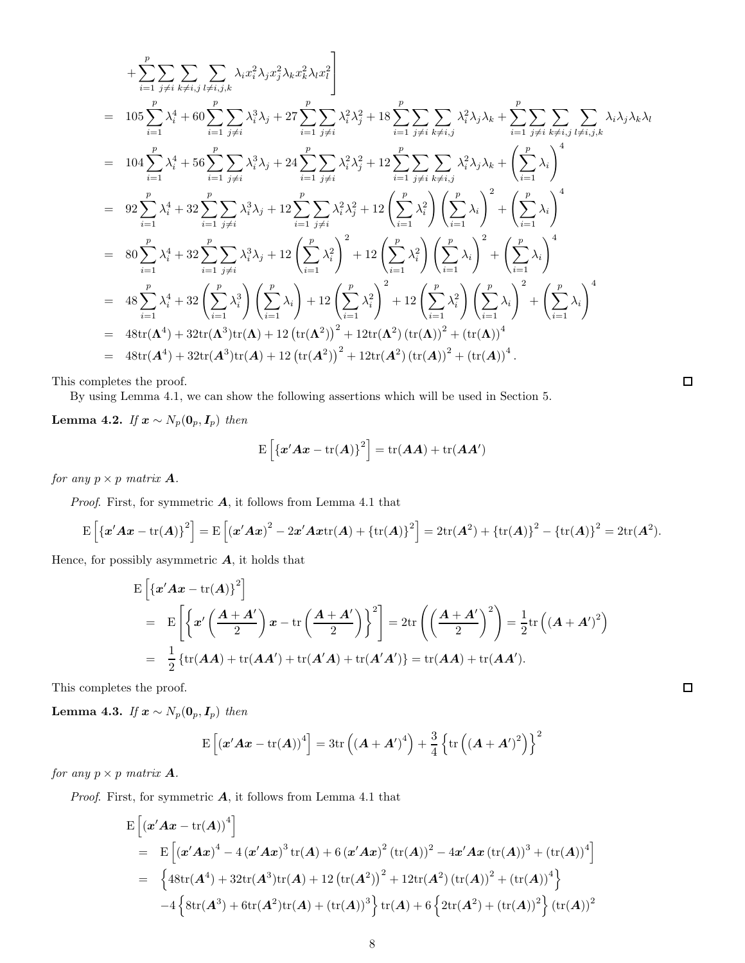$$
+\sum_{i=1}^{p} \sum_{j\neq i} \sum_{k\neq i,j} \sum_{l\neq i,j,k} \lambda_{i} x_{i}^{2} \lambda_{j} x_{j}^{2} \lambda_{k} x_{k}^{2} \lambda_{l} x_{l}^{2}
$$
\n
$$
= 105 \sum_{i=1}^{p} \lambda_{i}^{4} + 60 \sum_{i=1}^{p} \sum_{j\neq i} \lambda_{i}^{3} \lambda_{j} + 27 \sum_{i=1}^{p} \sum_{j\neq i} \lambda_{i}^{2} \lambda_{j}^{2} + 18 \sum_{i=1}^{p} \sum_{j\neq i} \sum_{k\neq i,j} \lambda_{i}^{2} \lambda_{j} \lambda_{k} + \sum_{i=1}^{p} \sum_{j\neq i} \sum_{k\neq i,j} \lambda_{i} \lambda_{j} \lambda_{k} \lambda_{l}
$$
\n
$$
= 104 \sum_{i=1}^{p} \lambda_{i}^{4} + 56 \sum_{i=1}^{p} \sum_{j\neq i} \lambda_{i}^{3} \lambda_{j} + 24 \sum_{i=1}^{p} \sum_{j\neq i} \lambda_{i}^{2} \lambda_{j}^{2} + 12 \sum_{i=1}^{p} \sum_{j\neq i} \sum_{k\neq i,j} \lambda_{i}^{2} \lambda_{j} \lambda_{k} + \left(\sum_{i=1}^{p} \lambda_{i}\right)^{4}
$$
\n
$$
= 92 \sum_{i=1}^{p} \lambda_{i}^{4} + 32 \sum_{i=1}^{p} \sum_{j\neq i} \lambda_{i}^{3} \lambda_{j} + 12 \sum_{i=1}^{p} \sum_{j\neq i} \lambda_{i}^{2} \lambda_{j}^{2} + 12 \left(\sum_{i=1}^{p} \lambda_{i}^{2}\right) \left(\sum_{i=1}^{p} \lambda_{i}\right)^{2} + \left(\sum_{i=1}^{p} \lambda_{i}\right)^{4}
$$
\n
$$
= 80 \sum_{i=1}^{p} \lambda_{i}^{4} + 32 \sum_{i=1}^{p} \sum_{j\neq i} \lambda_{i}^{3} \lambda_{j} + 12 \left(\sum_{i=1}^{p} \lambda_{i}^{2}\right)^{2} + 12 \left(\sum_{
$$

This completes the proof.

By using Lemma 4.1, we can show the following assertions which will be used in Section 5.

Lemma 4.2. If  $x \sim N_p(0_p, I_p)$  then

$$
\mathrm{E}\left[\left\{\mathbf{x}'\mathbf{A}\mathbf{x}-\mathrm{tr}(\mathbf{A})\right\}^2\right]=\mathrm{tr}(\mathbf{A}\mathbf{A})+\mathrm{tr}(\mathbf{A}\mathbf{A}')
$$

for any  $p \times p$  matrix **A**.

*Proof.* First, for symmetric  $\boldsymbol{A}$ , it follows from Lemma 4.1 that

$$
\mathrm{E}\left[\left\{x'Ax - \mathrm{tr}(A)\right\}^2\right] = \mathrm{E}\left[\left(x'Ax\right)^2 - 2x'Ax\mathrm{tr}(A) + \left\{\mathrm{tr}(A)\right\}^2\right] = 2\mathrm{tr}(A^2) + \left\{\mathrm{tr}(A)\right\}^2 - \left\{\mathrm{tr}(A)\right\}^2 = 2\mathrm{tr}(A^2).
$$

Hence, for possibly asymmetric  $A$ , it holds that

$$
E\left[\left\{x'Ax - \text{tr}(A)\right\}^2\right]
$$
  
= 
$$
E\left[\left\{x'\left(\frac{A+A'}{2}\right)x - \text{tr}\left(\frac{A+A'}{2}\right)\right\}^2\right] = 2\text{tr}\left(\left(\frac{A+A'}{2}\right)^2\right) = \frac{1}{2}\text{tr}\left((A+A')^2\right)
$$
  
= 
$$
\frac{1}{2}\left\{\text{tr}(AA) + \text{tr}(AA') + \text{tr}(A'A) + \text{tr}(A'A')\right\} = \text{tr}(AA) + \text{tr}(AA').
$$

This completes the proof.

Lemma 4.3. If  $x \sim N_p(0_p, I_p)$  then

$$
\mathrm{E}\left[\left(\mathbf{x}'\mathbf{A}\mathbf{x}-\mathrm{tr}(\mathbf{A})\right)^{4}\right]=3\mathrm{tr}\left(\left(\mathbf{A}+\mathbf{A}'\right)^{4}\right)+\frac{3}{4}\left\{\mathrm{tr}\left(\left(\mathbf{A}+\mathbf{A}'\right)^{2}\right)\right\}^{2}
$$

for any  $p \times p$  matrix **A**.

*Proof.* First, for symmetric  $A$ , it follows from Lemma 4.1 that

$$
E [(x'Ax - tr(A))4]= E [(x'Ax)4 - 4 (x'Ax)3 tr(A) + 6 (x'Ax)2 (tr(A))2 – 4x'Ax (tr(A))3 + (tr(A))4]= {48tr(A4) + 32tr(A3)tr(A) + 12 (tr(A2))2 + 12tr(A2) (tr(A))2 + (tr(A))4}-4 {str(A3) + 6tr(A2)tr(A) + (tr(A))3} tr(A) + 6 {2tr(A2) + (tr(A))2} (tr(A))2
$$

 $\Box$ 

 $\Box$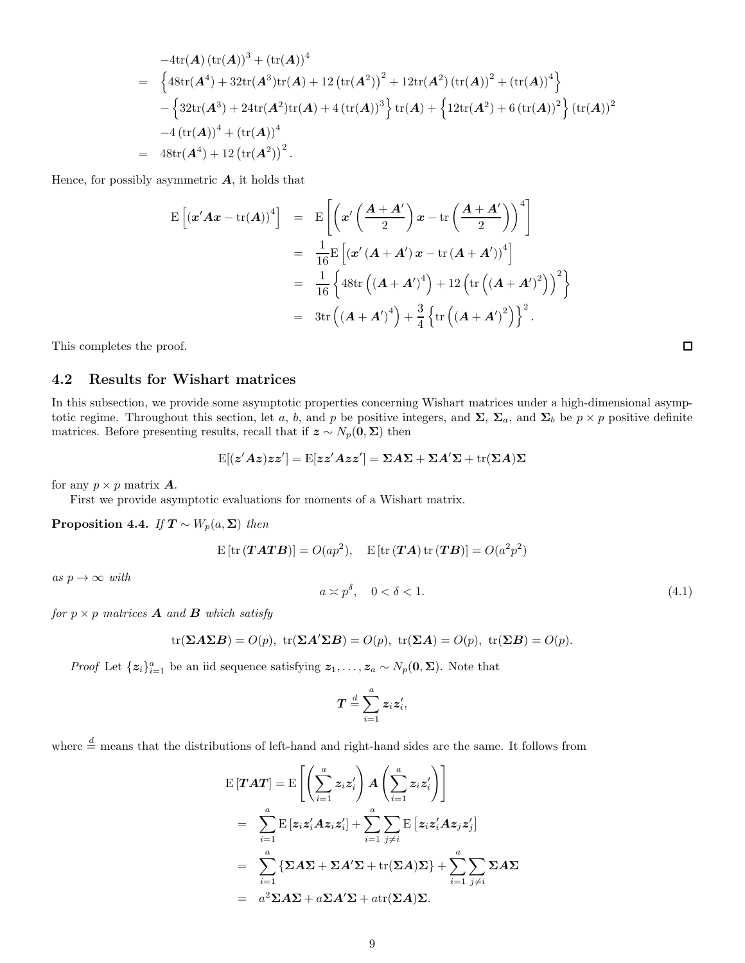$$
-4\text{tr}(\mathbf{A}) (\text{tr}(\mathbf{A}))^{3} + (\text{tr}(\mathbf{A}))^{4}
$$
\n
$$
= \left\{ 48\text{tr}(\mathbf{A}^{4}) + 32\text{tr}(\mathbf{A}^{3})\text{tr}(\mathbf{A}) + 12 (\text{tr}(\mathbf{A}^{2}))^{2} + 12\text{tr}(\mathbf{A}^{2}) (\text{tr}(\mathbf{A}))^{2} + (\text{tr}(\mathbf{A}))^{4} \right\}
$$
\n
$$
- \left\{ 32\text{tr}(\mathbf{A}^{3}) + 24\text{tr}(\mathbf{A}^{2})\text{tr}(\mathbf{A}) + 4 (\text{tr}(\mathbf{A}))^{3} \right\} \text{tr}(\mathbf{A}) + \left\{ 12\text{tr}(\mathbf{A}^{2}) + 6 (\text{tr}(\mathbf{A}))^{2} \right\} (\text{tr}(\mathbf{A}))^{2}
$$
\n
$$
-4 (\text{tr}(\mathbf{A}))^{4} + (\text{tr}(\mathbf{A}))^{4}
$$
\n
$$
= 48\text{tr}(\mathbf{A}^{4}) + 12 (\text{tr}(\mathbf{A}^{2}))^{2}.
$$

Hence, for possibly asymmetric  $A$ , it holds that

$$
\begin{split} \mathbf{E}\left[\left(\mathbf{x}'\mathbf{A}\mathbf{x}-\mathrm{tr}(\mathbf{A})\right)^{4}\right] &= \mathbf{E}\left[\left(\mathbf{x}'\left(\frac{\mathbf{A}+\mathbf{A}'}{2}\right)\mathbf{x}-\mathrm{tr}\left(\frac{\mathbf{A}+\mathbf{A}'}{2}\right)\right)^{4}\right] \\ &= \frac{1}{16}\mathbf{E}\left[\left(\mathbf{x}'\left(\mathbf{A}+\mathbf{A}'\right)\mathbf{x}-\mathrm{tr}\left(\mathbf{A}+\mathbf{A}'\right)\right)^{4}\right] \\ &= \frac{1}{16}\left\{48\mathrm{tr}\left(\left(\mathbf{A}+\mathbf{A}'\right)^{4}\right)+12\left(\mathrm{tr}\left(\left(\mathbf{A}+\mathbf{A}'\right)^{2}\right)\right)^{2}\right\} \\ &= 3\mathrm{tr}\left(\left(\mathbf{A}+\mathbf{A}'\right)^{4}\right)+\frac{3}{4}\left\{\mathrm{tr}\left(\left(\mathbf{A}+\mathbf{A}'\right)^{2}\right)\right\}^{2}.\end{split}
$$

This completes the proof.

#### 4.2 Results for Wishart matrices

In this subsection, we provide some asymptotic properties concerning Wishart matrices under a high-dimensional asymptotic regime. Throughout this section, let a, b, and p be positive integers, and  $\Sigma$ ,  $\Sigma_a$ , and  $\Sigma_b$  be  $p \times p$  positive definite matrices. Before presenting results, recall that if  $z \sim N_p(0, \Sigma)$  then

$$
\mathrm{E}[(z'Az)zz'] = \mathrm{E}[zz'Azz'] = \Sigma A \Sigma + \Sigma A' \Sigma + \mathrm{tr}(\Sigma A) \Sigma
$$

for any  $p \times p$  matrix **A**.

First we provide asymptotic evaluations for moments of a Wishart matrix.

**Proposition 4.4.** If  $T \sim W_p(a, \Sigma)$  then

$$
E [tr (TATB)] = O(a p2), \quad E [tr (TA) tr (TB)] = O(a2 p2)
$$

as  $p \to \infty$  with

$$
a \asymp p^{\delta}, \quad 0 < \delta < 1. \tag{4.1}
$$

for  $p \times p$  matrices **A** and **B** which satisfy

$$
\mathrm{tr}(\boldsymbol{\Sigma} \boldsymbol{A} \boldsymbol{\Sigma} \boldsymbol{B}) = O(p), \ \mathrm{tr}(\boldsymbol{\Sigma} \boldsymbol{A}' \boldsymbol{\Sigma} \boldsymbol{B}) = O(p), \ \mathrm{tr}(\boldsymbol{\Sigma} \boldsymbol{A}) = O(p), \ \mathrm{tr}(\boldsymbol{\Sigma} \boldsymbol{B}) = O(p).
$$

*Proof* Let  $\{z_i\}_{i=1}^a$  be an iid sequence satisfying  $z_1, \ldots, z_a \sim N_p(\mathbf{0}, \Sigma)$ . Note that

$$
\boldsymbol{T}\overset{d}{=}\sum_{i=1}^az_iz_i',
$$

where  $\stackrel{d}{=}$  means that the distributions of left-hand and right-hand sides are the same. It follows from

$$
\begin{split} \mathrm{E}\left[\boldsymbol{T}\boldsymbol{A}\boldsymbol{T}\right] &= \mathrm{E}\left[\left(\sum_{i=1}^{a}z_{i}z_{i}^{\prime}\right)\boldsymbol{A}\left(\sum_{i=1}^{a}z_{i}z_{i}^{\prime}\right)\right] \\ &= \sum_{i=1}^{a}\mathrm{E}\left[z_{i}z_{i}^{\prime}\boldsymbol{A}z_{i}z_{i}^{\prime}\right] + \sum_{i=1}^{a}\sum_{j\neq i}\mathrm{E}\left[z_{i}z_{i}^{\prime}\boldsymbol{A}z_{j}z_{j}^{\prime}\right] \\ &= \sum_{i=1}^{a}\left\{\boldsymbol{\Sigma}\boldsymbol{A}\boldsymbol{\Sigma} + \boldsymbol{\Sigma}\boldsymbol{A}^{\prime}\boldsymbol{\Sigma} + \mathrm{tr}(\boldsymbol{\Sigma}\boldsymbol{A})\boldsymbol{\Sigma}\right\} + \sum_{i=1}^{a}\sum_{j\neq i}\boldsymbol{\Sigma}\boldsymbol{A}\boldsymbol{\Sigma} \\ &= a^{2}\boldsymbol{\Sigma}\boldsymbol{A}\boldsymbol{\Sigma} + a\boldsymbol{\Sigma}\boldsymbol{A}^{\prime}\boldsymbol{\Sigma} + a\mathrm{tr}(\boldsymbol{\Sigma}\boldsymbol{A})\boldsymbol{\Sigma}. \end{split}
$$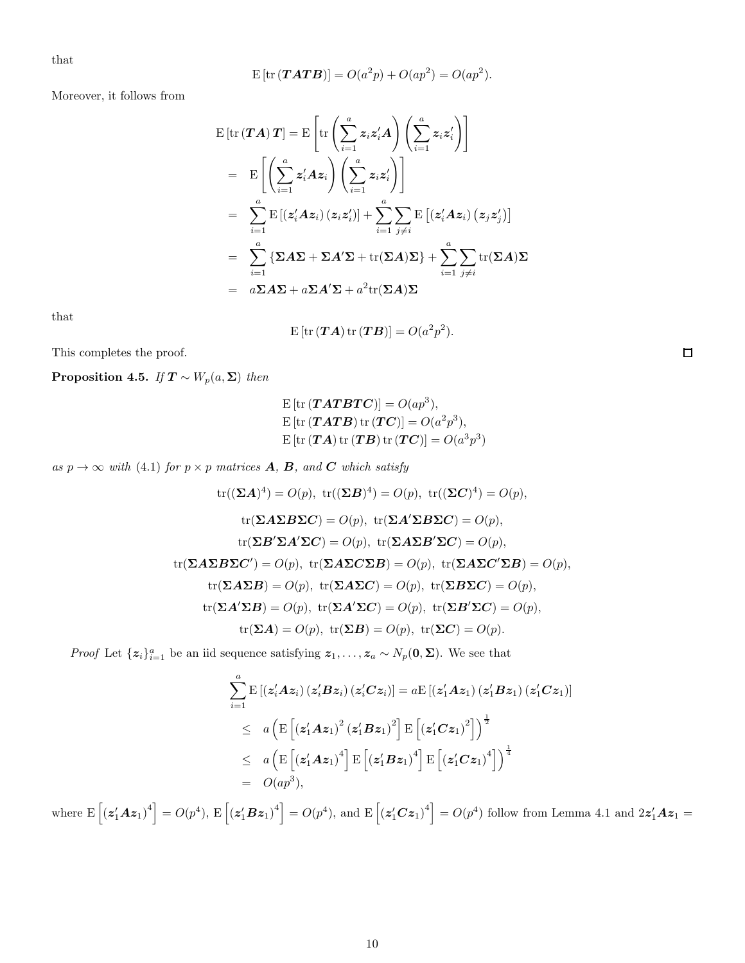that

$$
E [tr (TATB)] = O(a2p) + O(ap2) = O(ap2).
$$

Moreover, it follows from

$$
E\left[\mathrm{tr}\left(\boldsymbol{T}\boldsymbol{A}\right)\boldsymbol{T}\right] = E\left[\mathrm{tr}\left(\sum_{i=1}^{a} z_{i} z_{i}^{\prime} \boldsymbol{A}\right)\left(\sum_{i=1}^{a} z_{i} z_{i}^{\prime}\right)\right]
$$
  
\n
$$
= E\left[\left(\sum_{i=1}^{a} z_{i}^{\prime} \boldsymbol{A} z_{i}\right)\left(\sum_{i=1}^{a} z_{i} z_{i}^{\prime}\right)\right]
$$
  
\n
$$
= \sum_{i=1}^{a} E\left[\left(z_{i}^{\prime} \boldsymbol{A} z_{i}\right)\left(z_{i} z_{i}^{\prime}\right)\right] + \sum_{i=1}^{a} \sum_{j \neq i} E\left[\left(z_{i}^{\prime} \boldsymbol{A} z_{i}\right)\left(z_{j} z_{j}^{\prime}\right)\right]
$$
  
\n
$$
= \sum_{i=1}^{a} \left\{\boldsymbol{\Sigma} \boldsymbol{A} \boldsymbol{\Sigma} + \boldsymbol{\Sigma} \boldsymbol{A}^{\prime} \boldsymbol{\Sigma} + \mathrm{tr}(\boldsymbol{\Sigma} \boldsymbol{A}) \boldsymbol{\Sigma}\right\} + \sum_{i=1}^{a} \sum_{j \neq i} \mathrm{tr}(\boldsymbol{\Sigma} \boldsymbol{A}) \boldsymbol{\Sigma}
$$
  
\n
$$
= a \boldsymbol{\Sigma} \boldsymbol{A} \boldsymbol{\Sigma} + a \boldsymbol{\Sigma} \boldsymbol{A}^{\prime} \boldsymbol{\Sigma} + a^{2} \mathrm{tr}(\boldsymbol{\Sigma} \boldsymbol{A}) \boldsymbol{\Sigma}
$$

that

$$
E\left[\mathrm{tr}\left(\boldsymbol{T}\boldsymbol{A}\right)\mathrm{tr}\left(\boldsymbol{T}\boldsymbol{B}\right)\right]=O(a^2p^2).
$$

This completes the proof.

**Proposition 4.5.** If  $T \sim W_p(a, \Sigma)$  then

$$
E [tr (TATBTC)] = O(ap3),
$$
  
\n
$$
E [tr (TATB) tr (TC)] = O(a2p3),
$$
  
\n
$$
E [tr (TA) tr (TB) tr (TC)] = O(a3p3)
$$

as  $p \to \infty$  with (4.1) for  $p \times p$  matrices **A**, **B**, and **C** which satisfy

tr(
$$
(\Sigma A)^4
$$
) = O(p), tr( $(\Sigma B)^4$ ) = O(p), tr( $(\Sigma C)^4$ ) = O(p),  
tr( $(\Sigma A \Sigma B \Sigma C)$ ) = O(p), tr( $(\Sigma A' \Sigma B \Sigma C)$ ) = O(p),  
tr( $(\Sigma B' \Sigma A' \Sigma C)$ ) = O(p), tr( $(\Sigma A \Sigma B' \Sigma C)$ ) = O(p),  
tr( $(\Sigma A \Sigma B \Sigma C')$ ) = O(p), tr( $(\Sigma A \Sigma C \Sigma B)$ ) = O(p), tr( $(\Sigma A \Sigma C' \Sigma B)$ ) = O(p),  
tr( $(\Sigma A \Sigma B)$ ) = O(p), tr( $(\Sigma A \Sigma C)$ ) = O(p), tr( $(\Sigma B' \Sigma C)$ ) = O(p),  
tr( $(\Sigma A') \Sigma B$ ) = O(p), tr( $(\Sigma A') \Sigma C$ ) = O(p), tr( $(\Sigma B') \Sigma C$ ) = O(p),  
tr( $(\Sigma A)$ ) = O(p), tr( $(\Sigma B)$ ) = O(p), tr( $(\Sigma C)$ ) = O(p).

*Proof* Let  $\{z_i\}_{i=1}^a$  be an iid sequence satisfying  $z_1, \ldots, z_a \sim N_p(\mathbf{0}, \Sigma)$ . We see that

$$
\sum_{i=1}^{a} \mathrm{E}\left[\left(z_{i}^{\prime} A z_{i}\right)\left(z_{i}^{\prime} B z_{i}\right)\left(z_{i}^{\prime} C z_{i}\right)\right] = a \mathrm{E}\left[\left(z_{1}^{\prime} A z_{1}\right)\left(z_{1}^{\prime} B z_{1}\right)\left(z_{1}^{\prime} C z_{1}\right)\right]
$$
\n
$$
\leq a \left(\mathrm{E}\left[\left(z_{1}^{\prime} A z_{1}\right)^{2}\left(z_{1}^{\prime} B z_{1}\right)^{2}\right] \mathrm{E}\left[\left(z_{1}^{\prime} C z_{1}\right)^{2}\right]\right)^{\frac{1}{2}}
$$
\n
$$
\leq a \left(\mathrm{E}\left[\left(z_{1}^{\prime} A z_{1}\right)^{4}\right] \mathrm{E}\left[\left(z_{1}^{\prime} B z_{1}\right)^{4}\right] \mathrm{E}\left[\left(z_{1}^{\prime} C z_{1}\right)^{4}\right]\right)^{\frac{1}{4}}
$$
\n
$$
= O(ap^{3}),
$$

where  $E\left[\left(z'_1Az_1\right)^4\right] = O(p^4)$ ,  $E\left[\left(z'_1Bz_1\right)^4\right] = O(p^4)$ , and  $E\left[\left(z'_1Cz_1\right)^4\right] = O(p^4)$  follow from Lemma 4.1 and  $2z'_1Az_1 =$ 

 $\Box$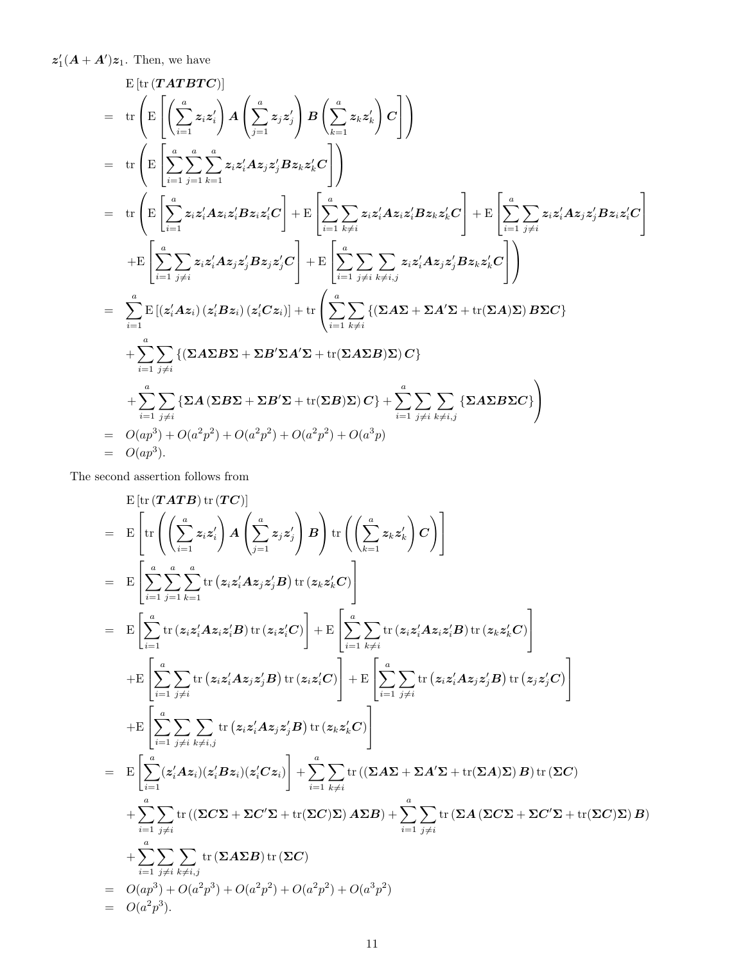$\boldsymbol{z}_1'(\boldsymbol{A} + \boldsymbol{A}')\boldsymbol{z}_1$ . Then, we have

$$
E\left[\text{tr}(\boldsymbol{T}\boldsymbol{A}\boldsymbol{T}\boldsymbol{B}\boldsymbol{T}\boldsymbol{C})\right]
$$
\n
$$
= \text{tr}\left(E\left[\left(\sum_{i=1}^{a} z_{i} z_{i}'\right) \boldsymbol{A}\left(\sum_{j=1}^{a} z_{j} z_{j}'\right) \boldsymbol{B}\left(\sum_{k=1}^{a} z_{k} z_{k}'\right) \boldsymbol{C}\right]\right)
$$
\n
$$
= \text{tr}\left(E\left[\sum_{i=1}^{a} \sum_{j=1}^{a} z_{i} z_{i}' \boldsymbol{A} z_{j} z_{j}' \boldsymbol{B} z_{k} z_{k}' \boldsymbol{C}\right]\right)
$$
\n
$$
= \text{tr}\left(E\left[\sum_{i=1}^{a} z_{i} z_{i}' \boldsymbol{A} z_{i} z_{i}' \boldsymbol{B} z_{i} z_{i}' \boldsymbol{C}\right] + E\left[\sum_{i=1}^{a} \sum_{k \neq i} z_{i} z_{i}' \boldsymbol{A} z_{i} z_{i}' \boldsymbol{B} z_{k} z_{k}' \boldsymbol{C}\right] + E\left[\sum_{i=1}^{a} \sum_{j \neq i} z_{i} z_{i}' \boldsymbol{A} z_{j} z_{j}' \boldsymbol{B} z_{i} z_{i}' \boldsymbol{C}\right]
$$
\n
$$
+ E\left[\sum_{i=1}^{a} \sum_{j \neq i} z_{i} z_{i}' \boldsymbol{A} z_{j} z_{j}' \boldsymbol{B} z_{j} z_{j}' \boldsymbol{C}\right] + E\left[\sum_{i=1}^{a} \sum_{j \neq i} \sum_{k \neq i, j} z_{i} z_{i}' \boldsymbol{A} z_{j} z_{j}' \boldsymbol{B} z_{k} z_{k}' \boldsymbol{C}\right]\right)
$$
\n
$$
= \sum_{i=1}^{a} E\left[\left(z_{i}' \boldsymbol{A} z_{i}\right) \left(z_{i}' \boldsymbol{B} z_{i}\right) \left(z_{i}' \boldsymbol{C} z_{i}\right)\right] + \text{tr}\left(\sum_{i=1}^{a} \sum_{k \neq i} \left\{\left(\Sigma \boldsymbol{A} \boldsymbol{\Sigma} + \boldsymbol{\Sigma} \boldsymbol{A} \boldsymbol{\Sigma} + \text{tr}(\boldsymbol{\Sigma} \boldsymbol{A}) \boldsymbol
$$

The second assertion follows from

$$
E\left[\text{tr}\left(\boldsymbol{T}\boldsymbol{A}\boldsymbol{T}\boldsymbol{B}\right)\text{tr}\left(\boldsymbol{T}\boldsymbol{C}\right)\right]\right]
$$
\n
$$
= E\left[\text{tr}\left(\left(\sum_{i=1}^{a} z_{i} z_{i}'\right) \boldsymbol{A}\left(\sum_{j=1}^{a} z_{j} z_{j}'\right) \boldsymbol{B}\right)\text{tr}\left(\left(\sum_{k=1}^{a} z_{k} z_{k}'\right) \boldsymbol{C}\right)\right]\right]
$$
\n
$$
= E\left[\sum_{i=1}^{a} \sum_{j=1}^{n} \sum_{k=1}^{a} \text{tr}\left(z_{i} z_{i}' \boldsymbol{A} z_{j} z_{j}' \boldsymbol{B}\right) \text{tr}\left(z_{k} z_{k}' \boldsymbol{C}\right)\right]
$$
\n
$$
= E\left[\sum_{i=1}^{a} \text{tr}\left(z_{i} z_{i}' \boldsymbol{A} z_{i} z_{i}' \boldsymbol{B}\right) \text{tr}\left(z_{i} z_{i}' \boldsymbol{C}\right)\right] + E\left[\sum_{i=1}^{a} \sum_{k \neq i} \text{tr}\left(z_{i} z_{i}' \boldsymbol{A} z_{i} z_{i}' \boldsymbol{B}\right) \text{tr}\left(z_{k} z_{k}' \boldsymbol{C}\right)\right]
$$
\n
$$
+ E\left[\sum_{i=1}^{a} \sum_{j \neq i} \text{tr}\left(z_{i} z_{i}' \boldsymbol{A} z_{j} z_{j}' \boldsymbol{B}\right) \text{tr}\left(z_{i} z_{i}' \boldsymbol{C}\right)\right] + E\left[\sum_{i=1}^{a} \sum_{j \neq i} \text{tr}\left(z_{i} z_{i}' \boldsymbol{A} z_{j} z_{j}' \boldsymbol{B}\right) \text{tr}\left(z_{j} z_{j}' \boldsymbol{C}\right)\right]
$$
\n
$$
+ E\left[\sum_{i=1}^{a} \sum_{j \neq i} \text{tr}\left(z_{i} z_{i}' \boldsymbol{A} z_{j} z_{j}' \boldsymbol{B}\right) \text{tr}\left(z_{k} z_{k}' \boldsymbol{C}\right)\right]
$$
\n
$$
+ \sum_{i=1}^{a} \sum_{j \neq i} \sum_{k \neq i, j} \text{tr}\left(z_{i} z_{i}'
$$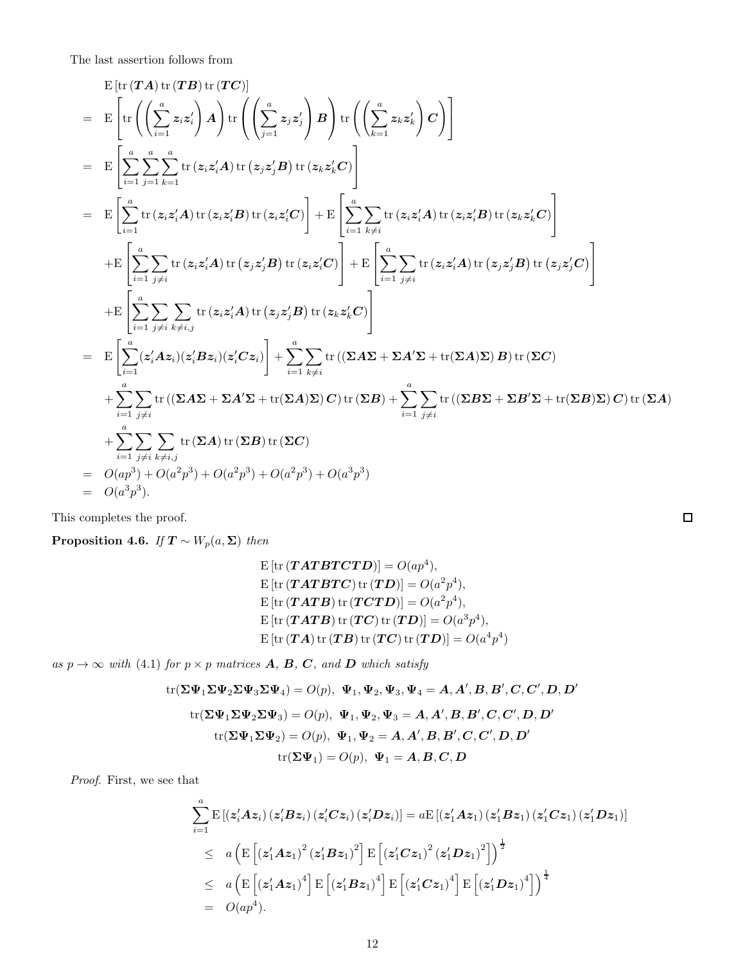The last assertion follows from

$$
\begin{split}\n&= \mathbb{E}\left[\text{tr}\left(\boldsymbol{T}\boldsymbol{A}\right)\text{tr}\left(\boldsymbol{T}\boldsymbol{B}\right)\text{tr}\left(\boldsymbol{T}\boldsymbol{C}\right)\right] \\
&= \mathbb{E}\left[\text{tr}\left(\left(\sum_{i=1}^{a}z_{i}z_{i}^{'}\right)\boldsymbol{A}\right)\text{tr}\left(\left(\sum_{j=1}^{a}z_{j}z_{j}^{'}\right)\boldsymbol{B}\right)\text{tr}\left(\left(\sum_{k=1}^{a}z_{k}z_{k}^{'}\right)\boldsymbol{C}\right)\right] \\
&= \mathbb{E}\left[\sum_{i=1}^{a}\sum_{j=1}^{a}\sum_{k=1}^{a}\text{tr}\left(z_{i}z_{i}^{'}\boldsymbol{A}\right)\text{tr}\left(z_{j}z_{j}^{'}\boldsymbol{B}\right)\text{tr}\left(z_{k}z_{k}^{'}\boldsymbol{C}\right)\right] \\
&= \mathbb{E}\left[\sum_{i=1}^{a}\text{tr}\left(z_{i}z_{i}^{'}\boldsymbol{A}\right)\text{tr}\left(z_{i}z_{i}^{'}\boldsymbol{B}\right)\text{tr}\left(z_{k}z_{k}^{'}\boldsymbol{C}\right)\right] + \mathbb{E}\left[\sum_{i=1}^{a}\sum_{k\neq i}\text{tr}\left(z_{i}z_{i}^{'}\boldsymbol{A}\right)\text{tr}\left(z_{k}z_{k}^{'}\boldsymbol{C}\right)\right] \\
&+ \mathbb{E}\left[\sum_{i=1}^{a}\sum_{j\neq i}\text{tr}\left(z_{i}z_{i}^{'}\boldsymbol{A}\right)\text{tr}\left(z_{j}z_{j}^{'}\boldsymbol{B}\right)\text{tr}\left(z_{k}z_{i}^{'}\boldsymbol{C}\right)\right] + \mathbb{E}\left[\sum_{i=1}^{a}\sum_{j\neq i}\text{tr}\left(z_{i}z_{i}^{'}\boldsymbol{A}\right)\text{tr}\left(z_{j}z_{j}^{'}\boldsymbol{B}\right)\text{tr}\left(z_{k}z_{k}^{'}\boldsymbol{C}\right)\right] \\
&+ \mathbb{E}\left[\sum_{i=1}^{a}\sum_{j\neq i}\sum_{k\neq i,j}\text{tr}\left(z_{i}z_{i}^{'}\boldsymbol{A}\right)\text{tr}\left(z_{j}z_{j}^{'}\boldsymbol{B}\right)\text{tr}\left(z_{k
$$

This completes the proof.

**Proposition 4.6.** If  $T \sim W_p(a, \Sigma)$  then

$$
E [tr (TATBTCTD)] = O(ap4),
$$
  
\n
$$
E [tr (TATBTC) tr (TD)] = O(a2p4),
$$
  
\n
$$
E [tr (TATB) tr (TCTD)] = O(a2p4),
$$
  
\n
$$
E [tr (TATB) tr (TC) tr (TD)] = O(a3p4),
$$
  
\n
$$
E [tr (TA) tr (TB) tr (TC) tr (TD)] = O(a4p4)
$$

as  $p \rightarrow \infty$  with (4.1) for  $p \times p$  matrices **A**, **B**, **C**, and **D** which satisfy

tr(
$$
\Sigma \Psi_1 \Sigma \Psi_2 \Sigma \Psi_3 \Sigma \Psi_4
$$
) = O(p),  $\Psi_1$ ,  $\Psi_2$ ,  $\Psi_3$ ,  $\Psi_4 = A$ , A', B, B', C, C', D, D'  
tr( $\Sigma \Psi_1 \Sigma \Psi_2 \Sigma \Psi_3$ ) = O(p),  $\Psi_1$ ,  $\Psi_2$ ,  $\Psi_3 = A$ , A', B, B', C, C', D, D'  
tr( $\Sigma \Psi_1 \Sigma \Psi_2$ ) = O(p),  $\Psi_1$ ,  $\Psi_2 = A$ , A', B, B', C, C', D, D'  
tr( $\Sigma \Psi_1$ ) = O(p),  $\Psi_1 = A$ , B, C, D

Proof. First, we see that

$$
\sum_{i=1}^{a} \mathrm{E} \left[ \left( z_{i}' A z_{i} \right) \left( z_{i}' B z_{i} \right) \left( z_{i}' C z_{i} \right) \left( z_{i}' D z_{i} \right) \right] = a \mathrm{E} \left[ \left( z_{1}' A z_{1} \right) \left( z_{1}' B z_{1} \right) \left( z_{1}' C z_{1} \right) \left( z_{1}' D z_{1} \right) \right]
$$
\n
$$
\leq a \left( \mathrm{E} \left[ \left( z_{1}' A z_{1} \right)^{2} \left( z_{1}' B z_{1} \right)^{2} \right] \mathrm{E} \left[ \left( z_{1}' C z_{1} \right)^{2} \left( z_{1}' D z_{1} \right)^{2} \right] \right)^{\frac{1}{2}}
$$
\n
$$
\leq a \left( \mathrm{E} \left[ \left( z_{1}' A z_{1} \right)^{4} \right] \mathrm{E} \left[ \left( z_{1}' B z_{1} \right)^{4} \right] \mathrm{E} \left[ \left( z_{1}' C z_{1} \right)^{4} \right] \mathrm{E} \left[ \left( z_{1}' D z_{1} \right)^{4} \right] \right)^{\frac{1}{4}}
$$
\n
$$
= O(ap^{4}).
$$

 $\Box$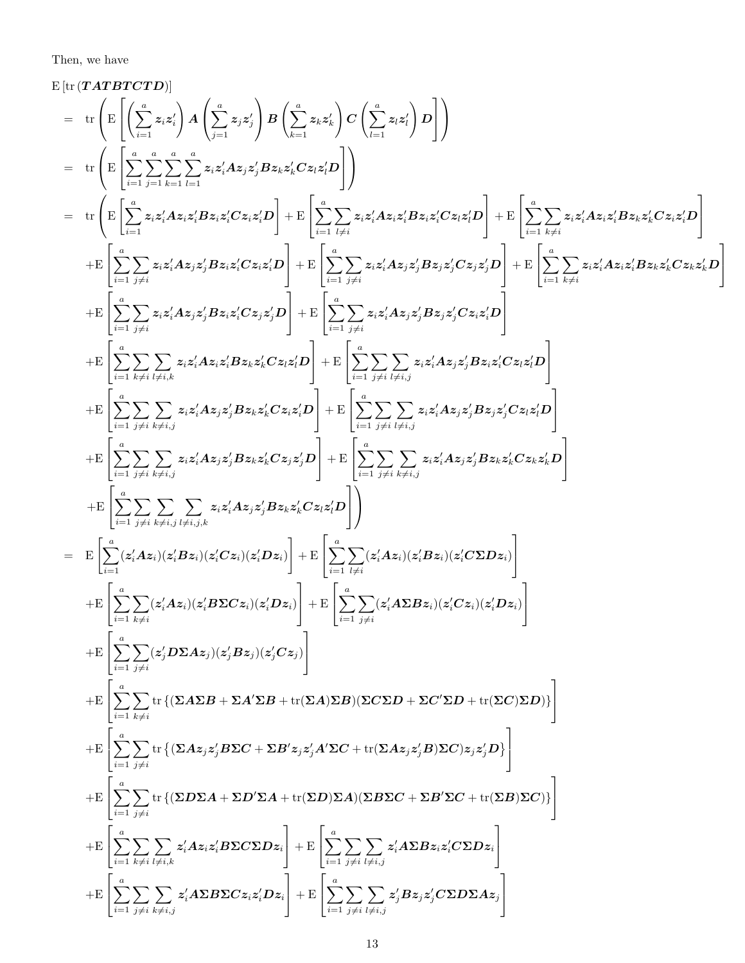Then, we have

$$
E\left[\text{tr}(\text{TATTOTD})\right] = \text{tr}\left[\mathbf{E}\left[\left(\sum_{i=1}^{n}x_{i}z_{i}^{*}\right)A\left(\sum_{i=1}^{n}z_{i}z_{i}^{*}\right)B\left(\sum_{i=1}^{n}z_{i}z_{i}^{*}\right)D\left(\sum_{i=1}^{n}z_{i}z_{i}^{*}\right)D\right]\right]
$$
\n
$$
= \text{tr}\left(\mathbf{E}\left[\sum_{i=1}^{n} \sum_{j=1}^{n} \sum_{k=1}^{n}z_{i}z_{i}^{*}Az_{i}z_{i}^{*}Bz_{k}z_{k}^{*}Cz_{k}z_{k}^{*}D\right]\right)
$$
\n
$$
= \text{tr}\left(\mathbf{E}\left[\sum_{i=1}^{n} z_{i}z_{i}^{*}Az_{i}z_{i}^{*}Bz_{i}z_{i}^{*}Cz_{k}z_{k}^{*}D\right]+\mathbf{E}\left[\sum_{i=1}^{n} \sum_{j\neq i}z_{i}z_{i}^{*}Az_{i}z_{i}^{*}Cz_{k}z_{k}^{*}D\right]+\mathbf{E}\left[\sum_{i=1}^{n} \sum_{j\neq i}z_{i}z_{i}^{*}Az_{i}z_{i}^{*}Cz_{k}z_{k}^{*}D\right]+\mathbf{E}\left[\sum_{i=1}^{n} \sum_{j\neq i}z_{i}z_{i}^{*}Az_{i}z_{i}^{*}Cz_{k}z_{k}^{*}D\right]+\mathbf{E}\left[\sum_{i=1}^{n} \sum_{j\neq i}z_{i}z_{i}^{*}Az_{i}z_{i}^{*}Cz_{k}z_{k}^{*}D\right]+\mathbf{E}\left[\sum_{i=1}^{n} \sum_{j\neq i}z_{i}z_{i}^{*}Az_{i}z_{i}^{*}Cz_{k}z_{k}^{*}D\right]+\mathbf{E}\left[\sum_{i=1}^{n} \sum_{j\neq i}z_{i}z_{i}^{*}Az_{i}z_{i}^{*}Cz_{k}z_{k}^{*}D\right]+\mathbf{E}\left[\sum_{i=1}^{n} \sum_{j\neq i}z_{i}z_{i}^{*}Az_{i}z_{
$$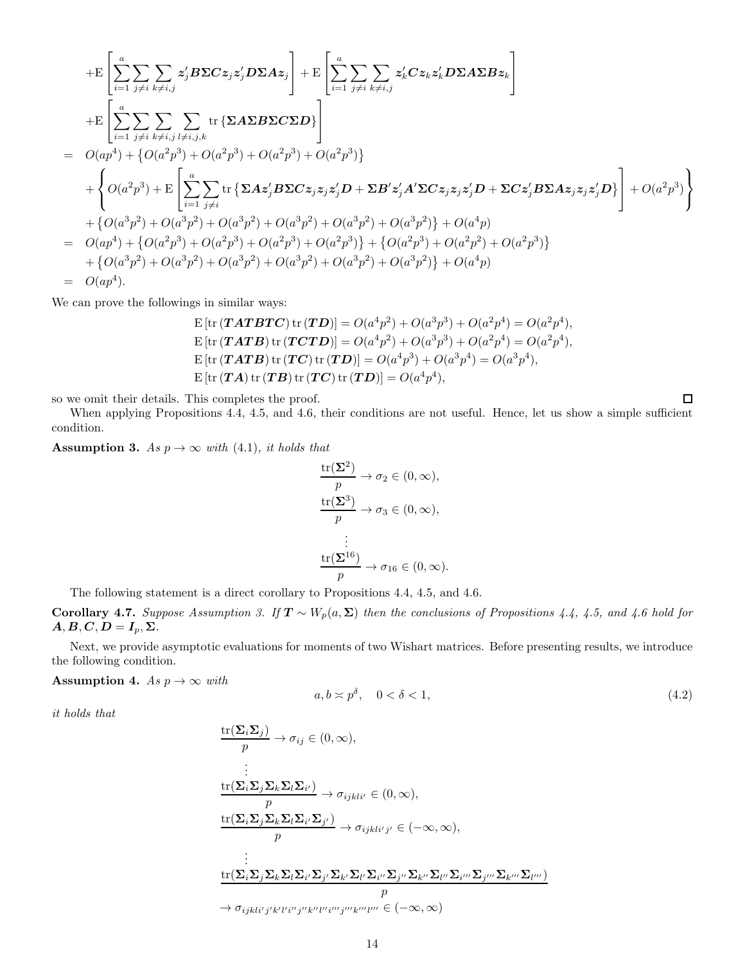$$
+E\left[\sum_{i=1}^{a}\sum_{j\neq i}\sum_{k\neq i,j}z'_{j}B\Sigma Cz_{j}z'_{j}D\Sigma Az_{j}\right] + E\left[\sum_{i=1}^{a}\sum_{j\neq i}\sum_{k\neq i,j}z'_{k}Cz_{k}z'_{k}D\Sigma A\Sigma Bz_{k}\right]
$$
  
\n
$$
+E\left[\sum_{i=1}^{a}\sum_{j\neq i}\sum_{k\neq i,j}\sum_{l\neq i,j,k}\text{tr}\left\{\Sigma A\Sigma B\Sigma C\Sigma D\right\}\right]
$$
  
\n
$$
= O(ap^{4}) + \left\{O(a^{2}p^{3}) + O(a^{2}p^{3}) + O(a^{2}p^{3}) + O(a^{2}p^{3})\right\}
$$
  
\n
$$
+ \left\{O(a^{2}p^{3}) + E\left[\sum_{i=1}^{a}\sum_{j\neq i}\text{tr}\left\{\Sigma Az'_{j}B\Sigma Cz_{j}z_{j}z'_{j}D + \Sigma B'z'_{j}A'\Sigma Cz_{j}z_{j}z'_{j}D + \Sigma Cz'_{j}B\Sigma Az_{j}z_{j}z'_{j}D\right\}\right] + O(a^{2}p^{3})\right\}
$$
  
\n
$$
+ \left\{O(a^{3}p^{2}) + O(a^{3}p^{2}) + O(a^{3}p^{2}) + O(a^{3}p^{2}) + O(a^{3}p^{2}) + O(a^{3}p^{2})\right\} + O(a^{4}p)
$$
  
\n
$$
= O(ap^{4}) + \left\{O(a^{2}p^{3}) + O(a^{2}p^{3}) + O(a^{2}p^{3}) + O(a^{2}p^{3})\right\} + \left\{O(a^{2}p^{3}) + O(a^{2}p^{2}) + O(a^{3}p^{2})\right\}
$$
  
\n
$$
+ \left\{O(a^{3}p^{2}) + O(a^{3}p^{2}) + O(a^{3}p^{2}) + O(a^{3}p^{2}) + O(a^{3}p^{2}) + O(a^{3}p^{2})\right\} + O(a^{4}p)
$$
  
\n
$$
= O(ap^{4}).
$$

We can prove the followings in similar ways:

$$
E [tr (TATBTC) tr (TD)] = O(a^4p^2) + O(a^3p^3) + O(a^2p^4) = O(a^2p^4),
$$
  
\n
$$
E [tr (TATB) tr (TCTD)] = O(a^4p^2) + O(a^3p^3) + O(a^2p^4) = O(a^2p^4),
$$
  
\n
$$
E [tr (TATB) tr (TC) tr (TD)] = O(a^4p^3) + O(a^3p^4) = O(a^3p^4),
$$
  
\n
$$
E [tr (TA) tr (TB) tr (TC) tr (TD)] = O(a^4p^4),
$$

so we omit their details. This completes the proof.

When applying Propositions 4.4, 4.5, and 4.6, their conditions are not useful. Hence, let us show a simple sufficient condition.

Assumption 3. As  $p \to \infty$  with (4.1), it holds that

$$
\frac{\text{tr}(\Sigma^2)}{p} \to \sigma_2 \in (0, \infty),
$$

$$
\frac{\text{tr}(\Sigma^3)}{p} \to \sigma_3 \in (0, \infty),
$$

$$
\vdots
$$

$$
\frac{\text{tr}(\Sigma^{16})}{p} \to \sigma_{16} \in (0, \infty).
$$

The following statement is a direct corollary to Propositions 4.4, 4.5, and 4.6.

Corollary 4.7. Suppose Assumption 3. If  $T \sim W_p(a, \Sigma)$  then the conclusions of Propositions 4.4, 4.5, and 4.6 hold for  $A, B, C, D = I_p, \Sigma.$ 

Next, we provide asymptotic evaluations for moments of two Wishart matrices. Before presenting results, we introduce the following condition.

#### Assumption 4. As  $p \to \infty$  with

$$
a, b \approx p^{\delta}, \quad 0 < \delta < 1,\tag{4.2}
$$

 $\Box$ 

it holds that

tr(ΣiΣ<sup>j</sup> ) p → σij ∈ (0, ∞), . . . tr(ΣiΣjΣkΣlΣ<sup>i</sup> ′ ) p → σijkli′ ∈ (0, ∞), tr(ΣiΣjΣkΣlΣ<sup>i</sup> ′Σ<sup>j</sup> ′ ) p → σijkli′ <sup>j</sup> ′ ∈ (−∞, ∞), . . . tr(ΣiΣjΣkΣlΣ<sup>i</sup> ′Σ<sup>j</sup> ′Σk′Σ<sup>l</sup> ′Σ<sup>i</sup> ′′Σ<sup>j</sup> ′′Σk′′Σ<sup>l</sup> ′′Σ<sup>i</sup> ′′′Σ<sup>j</sup> ′′′Σk′′′Σ<sup>l</sup> ′′′ ) p → σijkli′ <sup>j</sup> ′k′ l ′i ′′j ′′k′′ l ′′ i ′′′j ′′′k′′′ l ′′′ ∈ (−∞, ∞)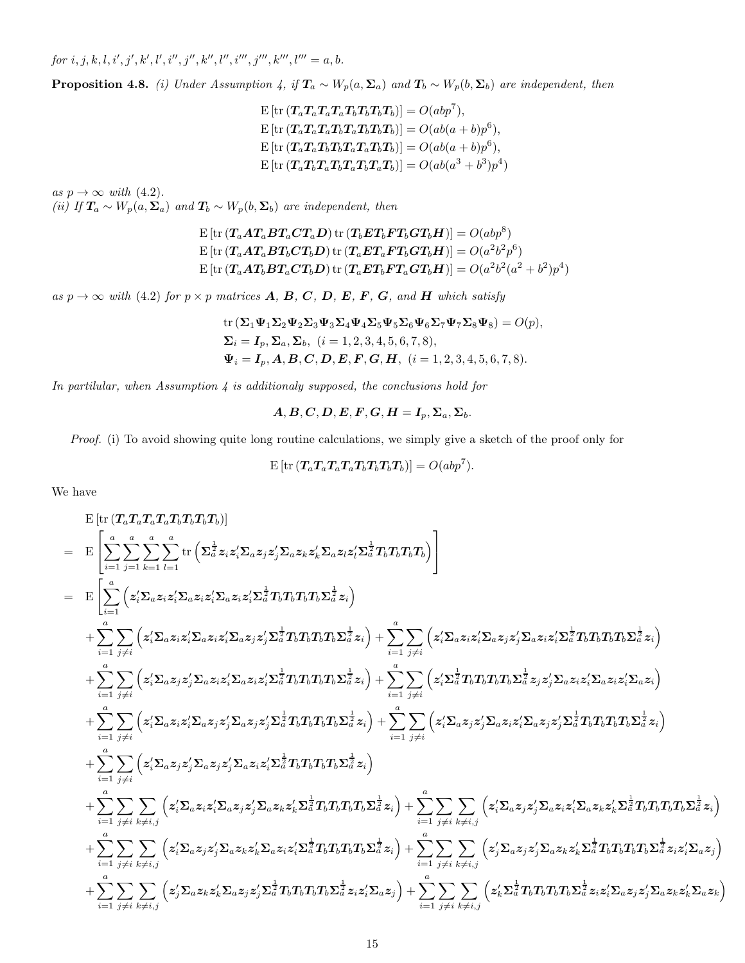$for i, j, k, l, i', j', k', l', i'', j'', k'', l'', i''', j''', k''', l''' = a, b.$ 

**Proposition 4.8.** (i) Under Assumption 4, if  $T_a \sim W_p(a, \Sigma_a)$  and  $T_b \sim W_p(b, \Sigma_b)$  are independent, then

$$
E\left[\text{tr}\left(T_a T_a T_a T_a T_b T_b T_b T_b\right)\right] = O(abp^7),
$$
  
\n
$$
E\left[\text{tr}\left(T_a T_a T_a T_b T_a T_b T_b\right)\right] = O(ab(a+b)p^6),
$$
  
\n
$$
E\left[\text{tr}\left(T_a T_a T_b T_b T_a T_a T_b T_b\right)\right] = O(ab(a+b)p^6),
$$
  
\n
$$
E\left[\text{tr}\left(T_a T_b T_a T_b T_a T_b T_a T_b\right)\right] = O(ab(a^3+b^3)p^4)
$$

as  $p \to \infty$  with (4.2). (ii) If  $T_a \sim W_p(a, \Sigma_a)$  and  $T_b \sim W_p(b, \Sigma_b)$  are independent, then

$$
\begin{aligned} &\text{E}\left[\text{tr}\left(\boldsymbol{T}_a\boldsymbol{A}\boldsymbol{T}_a\boldsymbol{B}\boldsymbol{T}_a\boldsymbol{C}\boldsymbol{T}_a\boldsymbol{D}\right)\text{tr}\left(\boldsymbol{T}_b\boldsymbol{E}\boldsymbol{T}_b\boldsymbol{F}\boldsymbol{T}_b\boldsymbol{G}\boldsymbol{T}_b\boldsymbol{H}\right)\right]=O(abp^8) \\ &\text{E}\left[\text{tr}\left(\boldsymbol{T}_a\boldsymbol{A}\boldsymbol{T}_a\boldsymbol{B}\boldsymbol{T}_b\boldsymbol{C}\boldsymbol{T}_b\boldsymbol{D}\right)\text{tr}\left(\boldsymbol{T}_a\boldsymbol{E}\boldsymbol{T}_a\boldsymbol{F}\boldsymbol{T}_b\boldsymbol{G}\boldsymbol{T}_b\boldsymbol{H}\right)\right]=O(a^2b^2p^6) \\ &\text{E}\left[\text{tr}\left(\boldsymbol{T}_a\boldsymbol{A}\boldsymbol{T}_b\boldsymbol{B}\boldsymbol{T}_a\boldsymbol{C}\boldsymbol{T}_b\boldsymbol{D}\right)\text{tr}\left(\boldsymbol{T}_a\boldsymbol{E}\boldsymbol{T}_b\boldsymbol{F}\boldsymbol{T}_a\boldsymbol{G}\boldsymbol{T}_b\boldsymbol{H}\right)\right]=O(a^2b^2(a^2+b^2)p^4) \end{aligned}
$$

as  $p \to \infty$  with (4.2) for  $p \times p$  matrices **A**, **B**, **C**, **D**, **E**, **F**, **G**, and **H** which satisfy

tr 
$$
(\Sigma_1 \Psi_1 \Sigma_2 \Psi_2 \Sigma_3 \Psi_3 \Sigma_4 \Psi_4 \Sigma_5 \Psi_5 \Sigma_6 \Psi_6 \Sigma_7 \Psi_7 \Sigma_8 \Psi_8) = O(p),
$$
  
\n $\Sigma_i = I_p, \Sigma_a, \Sigma_b, (i = 1, 2, 3, 4, 5, 6, 7, 8),$   
\n $\Psi_i = I_p, A, B, C, D, E, F, G, H, (i = 1, 2, 3, 4, 5, 6, 7, 8).$ 

In partilular, when Assumption  $\lambda$  is additionaly supposed, the conclusions hold for

$$
A, B, C, D, E, F, G, H = I_p, \Sigma_a, \Sigma_b.
$$

Proof. (i) To avoid showing quite long routine calculations, we simply give a sketch of the proof only for

$$
\mathrm{E}\left[\mathrm{tr}\left(\boldsymbol{T}_a\boldsymbol{T}_a\boldsymbol{T}_a\boldsymbol{T}_a\boldsymbol{T}_b\boldsymbol{T}_b\boldsymbol{T}_b\boldsymbol{T}_b\right)\right]=O(abp^7).
$$

We have

$$
\begin{split} &\mathbf{E}\left[\mathrm{tr}\left(T_aT_aT_aT_aT_bT_bT_bT_b\right)\right] \\ &=\quad \mathbf{E}\left[\sum_{i=1}^a\sum_{j=1}^a\sum_{k=1}^a\sum_{l=1}^a\mathrm{tr}\left(\sum_{d}^{\frac{1}{2}}z_iz_1'\Sigma_{a}z_1z_2'\Sigma_{a}z_1z_2'\Sigma_{a}z_1z_2'\Sigma_{a}z_1z_2'\Sigma_{a}z_1z_2'\Sigma_{a}z_1z_2'\Sigma_{a}z_1z_2'\Sigma_{a}z_1z_2'\Sigma_{a}z_1z_2'\Sigma_{a}z_1z_2'\Sigma_{a}z_1z_2'\Sigma_{a}z_1z_2'\Sigma_{a}z_1z_2'\Sigma_{a}z_1z_2'\Sigma_{a}z_1z_2'\Sigma_{a}z_1z_2'\Sigma_{a}z_1z_2'\Sigma_{a}z_1z_2'\Sigma_{a}z_1z_2'\Sigma_{a}z_1z_2'\Sigma_{a}z_1z_2'\Sigma_{a}z_1z_2'\Sigma_{a}z_1z_2'\Sigma_{a}z_1z_2'\Sigma_{a}z_1z_2'\Sigma_{a}z_1z_2'\Sigma_{a}z_1z_2'\Sigma_{a}z_1z_2'\Sigma_{a}z_1z_2'\Sigma_{a}z_1z_2'\Sigma_{a}z_1z_2'\Sigma_{a}z_1z_2'\Sigma_{a}z_1z_2'\Sigma_{a}z_1z_2'\Sigma_{a}z_1z_2'\Sigma_{a}z_1z_2'\Sigma_{a}z_1z_2'\Sigma_{a}z_1z_2'\Sigma_{a}z_1z_2'\Sigma_{a}z_1z_2'\Sigma_{a}z_1z_2'\Sigma_{a}z_1z_2'\Sigma_{a}z_1z_2'\Sigma_{a}z_1z_2'\Sigma_{a}z_1z_2'\Sigma_{a}z_1z_2'\Sigma_{a}z_1z_2'\Sigma_{a}z_1z_2'\Sigma_{a}z_1z_2'\Sigma_{a}z_1z_2'\Sigma_{a}z_1z_2'\Sigma_{a}z_1z_2'\Sigma_{a}z_1z_2'\Sigma_{a}z_1z_2'\Sigma_{a}z_1z_2'\Sigma_{a}z_1z_2'\Sigma_{a}z_1z_2'\Sigma_{a}z_1z_2'\Sigma_{a}z_1z_2
$$

 $\setminus$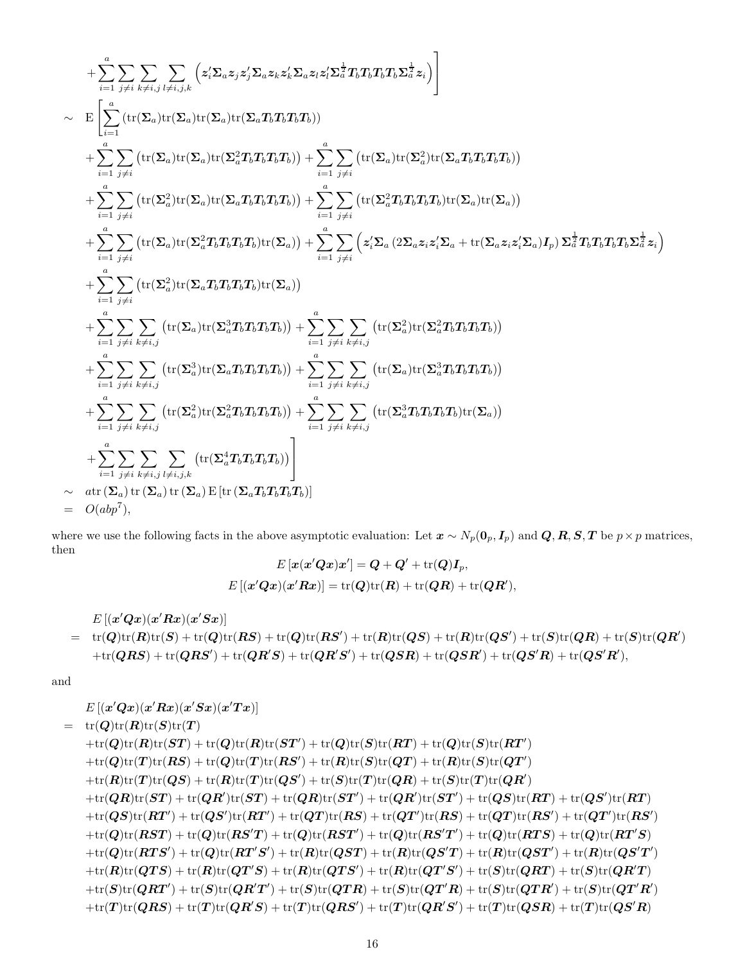$$
+ \sum_{i=1}^{a} \sum_{j\neq i} \sum_{k\neq i,j} \sum_{l\neq i,j,k} \left( z_{i}'\Sigma_{a}z_{j}z_{j}'\Sigma_{a}z_{k}z_{k}'\Sigma_{a}z_{l}z_{l}'\Sigma_{a}^{\frac{1}{2}}T_{b}T_{b}T_{b}T_{b}\Sigma_{a}^{\frac{1}{2}}z_{i}) \right) \n\sim \mathbb{E}\left[\sum_{i=1}^{a} \left(\text{tr}(\Sigma_{a})\text{tr}(\Sigma_{a})\text{tr}(\Sigma_{a})\text{tr}(\Sigma_{a}T_{b}T_{b}T_{b})\right) \n+ \sum_{i=1}^{a} \sum_{j\neq i} \left(\text{tr}(\Sigma_{a})\text{tr}(\Sigma_{a})\text{tr}(\Sigma_{a}^{2}T_{b}T_{b}T_{b})\right) + \sum_{i=1}^{a} \sum_{j\neq i} \left(\text{tr}(\Sigma_{a})\text{tr}(\Sigma_{a}^{2})\text{tr}(\Sigma_{a}T_{b}T_{b})\right) \n+ \sum_{i=1}^{a} \sum_{j\neq i} \left(\text{tr}(\Sigma_{a})\text{tr}(\Sigma_{a}T_{b}T_{b}T_{b})\right) + \sum_{i=1}^{a} \sum_{j\neq i} \left(\text{tr}(\Sigma_{a}^{2}T_{b}T_{b}T_{b})\text{tr}(\Sigma_{a})\text{tr}(\Sigma_{a})\right) \n+ \sum_{i=1}^{a} \sum_{j\neq i} \left(\text{tr}(\Sigma_{a})\text{tr}(\Sigma_{a}^{2}T_{b}T_{b}T_{b})\text{tr}(\Sigma_{a})\right) + \sum_{i=1}^{a} \sum_{j\neq i} \left(z_{i}'\Sigma_{a}(2\Sigma_{a}z_{i}z_{i}'\Sigma_{a} + \text{tr}(\Sigma_{a}z_{i}Z_{b}T_{b})T_{b}\Sigma_{a}^{\frac{1}{2}}z_{i}\right) \n+ \sum_{i=1}^{a} \sum_{j\neq i} \left(\text{tr}(\Sigma_{a})\text{tr}(\Sigma_{a}^{2}T_{b}T_{b}T_{b})\text{tr}(\Sigma_{a})\right) \n+ \sum_{i=1}^{a} \sum_{j\neq i} \left(\text{tr
$$

where we use the following facts in the above asymptotic evaluation: Let  $x \sim N_p(\mathbf{0}_p, \mathbf{I}_p)$  and  $\mathbf{Q}, \mathbf{R}, \mathbf{S}, \mathbf{T}$  be  $p \times p$  matrices, then

$$
E\left[x(x'Qx)x'\right]=Q+Q'+\text{tr}(Q)I_p,
$$
  

$$
E\left[(x'Qx)(x'Rx)\right]=\text{tr}(Q)\text{tr}(R)+\text{tr}(QR)+\text{tr}(QR'),
$$

$$
\begin{array}{ll} & E\left[(x'Qx)(x'Rx)(x'Sx)\right] \\ & = & \operatorname{tr}(Q)\operatorname{tr}(R)\operatorname{tr}(S) + \operatorname{tr}(Q)\operatorname{tr}(RS) + \operatorname{tr}(Q)\operatorname{tr}(RS') + \operatorname{tr}(R)\operatorname{tr}(QS) + \operatorname{tr}(R)\operatorname{tr}(QS')+ \operatorname{tr}(S)\operatorname{tr}(QR) + \operatorname{tr}(S)\operatorname{tr}(QR') \\ & + \operatorname{tr}(QRS) + \operatorname{tr}(QRS')+ \operatorname{tr}(QR'S) + \operatorname{tr}(QR'S') + \operatorname{tr}(QSR) + \operatorname{tr}(QSR') + \operatorname{tr}(QS'R) + \operatorname{tr}(QS'R'), \end{array}
$$

and

$$
E\left[(x'Qx)(x'Rx)(x'Sx)(x'Tx)\right]
$$
\n
$$
= \text{tr}(Q)\text{tr}(R)\text{tr}(S)\text{tr}(T)
$$
\n
$$
+ \text{tr}(Q)\text{tr}(R)\text{tr}(ST) + \text{tr}(Q)\text{tr}(R)\text{tr}(ST') + \text{tr}(Q)\text{tr}(S)\text{tr}(RT) + \text{tr}(Q)\text{tr}(S)\text{tr}(RT')
$$
\n
$$
+ \text{tr}(Q)\text{tr}(T)\text{tr}(RS) + \text{tr}(Q)\text{tr}(T)\text{tr}(RS') + \text{tr}(R)\text{tr}(S)\text{tr}(QT) + \text{tr}(R)\text{tr}(S)\text{tr}(QT')
$$
\n
$$
+ \text{tr}(R)\text{tr}(T)\text{tr}(QS) + \text{tr}(R)\text{tr}(T)\text{tr}(QS') + \text{tr}(S)\text{tr}(T)\text{tr}(QR) + \text{tr}(S)\text{tr}(T)\text{tr}(QR')
$$
\n
$$
+ \text{tr}(QR)\text{tr}(ST') + \text{tr}(QR)\text{tr}(ST') + \text{tr}(QR)\text{tr}(ST') + \text{tr}(QR)\text{tr}(ST') + \text{tr}(QS)\text{tr}(RT) + \text{tr}(QS')\text{tr}(RT)
$$
\n
$$
+ \text{tr}(Q)\text{tr}(RT') + \text{tr}(QS')\text{tr}(RT') + \text{tr}(Q)\text{tr}(RS) + \text{tr}(QT')\text{tr}(RS) + \text{tr}(QT)\text{tr}(RS') + \text{tr}(QT')\text{tr}(RS')
$$
\n
$$
+ \text{tr}(Q)\text{tr}(RST) + \text{tr}(Q)\text{tr}(RS'T') + \text{tr}(Q)\text{tr}(RS'T') + \text{tr}(Q)\text{tr}(RS'T') + \text{tr}(Q)\text{tr}(RTS) + \text{tr}(Q)\text{tr}(RT'S')
$$
\n
$$
+ \text{tr}(Q)\text{tr}(RTS') + \text{tr}(Q)\text{tr}(RT'S') + \text{tr}(R)\text{tr}(QST') + \text{tr}(R)\text{tr}(QST') + \text{tr}(R)\text{tr}(QST') + \text{tr}(R)\text{tr}(QST')
$$
\n
$$
+ \text{tr}(R)\text{tr}(QTS) + \text{tr}(R)\text{tr}(QT'S') + \text{tr}(
$$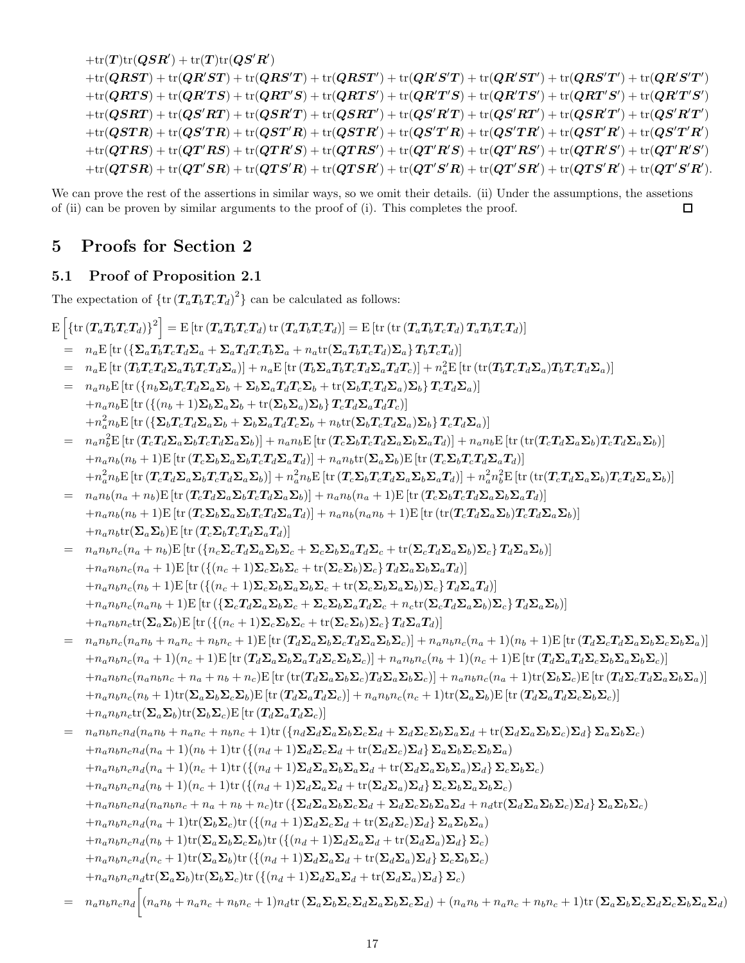$$
+ \mathrm{tr}(T) \mathrm{tr}(QSR') + \mathrm{tr}(T) \mathrm{tr}(QS'R') \\ + \mathrm{tr}(QRST) + \mathrm{tr}(QRS'T') + \mathrm{tr}(QRST') + \mathrm{tr}(QR'S'T') + \mathrm{tr}(QR'S'T') + \mathrm{tr}(QR'S'T') + \mathrm{tr}(QR'S'T') \\ + \mathrm{tr}(QRST) + \mathrm{tr}(QR'TS) + \mathrm{tr}(QRT'S) + \mathrm{tr}(QRTS') + \mathrm{tr}(QR'TS') + \mathrm{tr}(QR'TS') + \mathrm{tr}(QR'TS') + \mathrm{tr}(QR'T'S') \\ + \mathrm{tr}(QSTR) + \mathrm{tr}(QS'R'T) + \mathrm{tr}(QSR'T') + \mathrm{tr}(QS'R'T') + \mathrm{tr}(QS'R'T') + \mathrm{tr}(QS'R'T') + \mathrm{tr}(QS'R'T') \\ + \mathrm{tr}(QSTR) + \mathrm{tr}(QS'TR) + \mathrm{tr}(QST'R) + \mathrm{tr}(QSTR') + \mathrm{tr}(QS'T'R') + \mathrm{tr}(QS'TR') + \mathrm{tr}(QS'TR') + \mathrm{tr}(QST'R) + \mathrm{tr}(QST'R) + \mathrm{tr}(QST'R') + \mathrm{tr}(QTS'T'R') + \mathrm{tr}(QTS'R') + \mathrm{tr}(QTS'R') + \mathrm{tr}(QTS'R') + \mathrm{tr}(QTS'R') + \mathrm{tr}(QTS'R') + \mathrm{tr}(QTS'R') + \mathrm{tr}(QTS'R') + \mathrm{tr}(QTS'R') + \mathrm{tr}(QTS'R') + \mathrm{tr}(QTS'R') + \mathrm{tr}(QTS'R') + \mathrm{tr}(QTS'R') + \mathrm{tr}(QTS'R') + \mathrm{tr}(QTS'R') + \mathrm{tr}(QTS'R') + \mathrm{tr}(QTS'R') + \mathrm{tr}(QTS'R') + \mathrm{tr}(QTS'R') + \mathrm{tr}(QTS'R') + \mathrm{tr}(QTS'R') + \mathrm{tr}(QTS'R') + \mathrm{tr}(QTS'R') + \mathrm{tr}(QTS'R') + \mathrm{tr}(QTS'R') + \mathrm{tr}(QTS'R') + \mathrm{tr}(QTS'R') + \mathrm{tr}(QTS'R') + \mathrm{tr}(QTS'R') + \mathrm{tr}(QTS'R') + \mathrm{tr}(QTS'R') + \mathrm{tr}(QTS'R') + \mathrm{tr}(QTS'R') + \mathrm{tr}(QTS'R') + \mathrm{tr}(QTS'R') + \mathrm{tr}(QTS'R') + \mathrm{tr}(QTS'R') + \mathrm{tr}(QTS'R') + \mathrm{tr}(QTS'R') + \mathrm{tr}(QTS'R') + \mathrm{tr}(QTS'R
$$

We can prove the rest of the assertions in similar ways, so we omit their details. (ii) Under the assumptions, the assetions of (ii) can be proven by similar arguments to the proof of (i). This completes the proof. П

## 5 Proofs for Section 2

### 5.1 Proof of Proposition 2.1

The expectation of  $\{\text{tr}(\mathbf{T}_a\mathbf{T}_b\mathbf{T}_c\mathbf{T}_d)^2\}$  can be calculated as follows:

$$
\mathrm{E}\left[\left\{\mathrm{tr}\left(T_a T_b T_c T_d\right)\right\}^2\right] = \mathrm{E}\left[\mathrm{tr}\left(T_a T_b T_c T_d\right)\mathrm{tr}\left(T_a T_b T_c T_d\right)\right] = \mathrm{E}\left[\mathrm{tr}\left(\mathrm{tr}\left(T_a T_b T_c T_d\right) T_a T_b T_c T_d\right)\right]
$$

- $= n_a \mathbb{E} \left[ \text{tr} \left( \{ \mathbf{\Sigma}_a T_b T_c T_d \mathbf{\Sigma}_a + \mathbf{\Sigma}_a T_d T_c T_b \mathbf{\Sigma}_a + n_a \text{tr}(\mathbf{\Sigma}_a T_b T_c T_d) \mathbf{\Sigma}_a \right\} T_b T_c T_d \right) \right]$
- $= \quad n_a \mathrm{E} \left[ \mathrm{tr} \left( T_b T_c T_d \Sigma_a T_b T_c T_d \Sigma_a \right) \right] + n_a \mathrm{E} \left[ \mathrm{tr} \left( T_b \Sigma_a T_b T_c T_d \Sigma_a T_d T_c \right) \right] + n_a^2 \mathrm{E} \left[ \mathrm{tr} \left( \mathrm{tr} (T_b T_c T_d \Sigma_a) T_b T_c T_d \Sigma_a \right) \right]$
- $n_a n_b \text{E} \left[ \text{tr} \left( \{ n_b \Sigma_b T_c T_d \Sigma_a \Sigma_b + \Sigma_b \Sigma_a T_d T_c \Sigma_b + \text{tr}(\Sigma_b T_c T_d \Sigma_a) \Sigma_b \right\} T_c T_d \Sigma_a \right) \right]$  $+n_an_bE$  [tr  $({{(n_b + 1)\Sigma_b}\Sigma_a\Sigma_b + \text{tr}(\Sigma_b\Sigma_a)\Sigma_b}$   $T_cT_d\Sigma_aT_dT_c)$ ]  $+n_a^2 n_b \text{E}\left[\text{tr}\left(\left\{\mathbf{\Sigma}_b T_c T_d \mathbf{\Sigma}_a\mathbf{\Sigma}_b+\mathbf{\Sigma}_b\mathbf{\Sigma}_a T_d T_c \mathbf{\Sigma}_b+n_b\text{tr}(\mathbf{\Sigma}_b T_c T_d \mathbf{\Sigma}_a)\mathbf{\Sigma}_b\right\}T_c T_d \mathbf{\Sigma}_a\right)\right]$
- $= n_a n_b^2 \mathrm{E} \left[ \mathrm{tr} \left( T_c T_d \Sigma_a \Sigma_b T_c T_d \Sigma_a \Sigma_b \right) \right] + n_a n_b \mathrm{E} \left[ \mathrm{tr} \left( T_c \Sigma_b T_c T_d \Sigma_a \Sigma_b \Sigma_a T_d \right) \right] + n_a n_b \mathrm{E} \left[ \mathrm{tr} \left( \mathrm{tr} (T_c T_d \Sigma_a \Sigma_b) T_c T_d \Sigma_a \Sigma_b \right) \right]$  $+n_a n_b (n_b + 1) E \left[ \text{tr} \left( T_c \Sigma_b \Sigma_a \Sigma_b T_c T_d \Sigma_a T_d \right) \right] + n_a n_b \text{tr} \left( \Sigma_a \Sigma_b \right) E \left[ \text{tr} \left( T_c \Sigma_b T_c T_d \Sigma_a T_d \right) \right]$  $+n_a^2n_b\mathrm{E}\left[\mathrm{tr}\left(\bm{T}_c\bm{T}_d\bm{\Sigma}_a\bm{\Sigma}_b\bm{T}_c\bm{T}_d\bm{\Sigma}_a\bm{\Sigma}_b\right)\right]+n_a^2n_b\mathrm{E}\left[\mathrm{tr}\left(\bm{T}_c\bm{\Sigma}_b\bm{T}_c\bm{T}_d\bm{\Sigma}_a\bm{\Sigma}_b\bm{\Sigma}_a\bm{T}_d\right)\right]+n_a^2n_b^2\mathrm{E}\left[\mathrm{tr}\left(\mathrm{tr}(\bm{T}_c\bm{T}_d\bm{\Sigma}_a\bm{\Sigma}_b)\bm{T}_c\bm{T}_d\bm{\Sigma}_a\bm{\Sigma}_b\right)\right]$
- $= n_a n_b (n_a + n_b) \mathbf{E} [\text{tr} (\mathbf{T}_c \mathbf{T}_d \mathbf{\Sigma}_a \mathbf{\Sigma}_b \mathbf{T}_c \mathbf{T}_d \mathbf{\Sigma}_a \mathbf{\Sigma}_b)] + n_a n_b (n_a + 1) \mathbf{E} [\text{tr} (\mathbf{T}_c \mathbf{\Sigma}_b \mathbf{T}_c \mathbf{T}_d \mathbf{\Sigma}_a \mathbf{\Sigma}_b \mathbf{\Sigma}_a \mathbf{T}_d)]$  $+n_an_b(n_b + 1)E$  [tr  $(T_c\Sigma_b\Sigma_a\Sigma_bT_cT_d\Sigma_aT_d)] + n_an_b(n_an_b + 1)E$  [tr  $(\text{tr}(T_cT_d\Sigma_a\Sigma_b)T_cT_d\Sigma_a\Sigma_b)]$ ]  $+n_an_b\text{tr}(\Sigma_a\Sigma_b)E$  [tr  $(T_c\Sigma_bT_cT_d\Sigma_aT_d)$ ]
- $= n_a n_b n_c (n_a + n_b) E \left[ \text{tr} \left( \{n_c \Sigma_c T_d \Sigma_a \Sigma_b \Sigma_c + \Sigma_c \Sigma_b \Sigma_a T_d \Sigma_c + \text{tr}(\Sigma_c T_d \Sigma_a \Sigma_b) \Sigma_c \} T_d \Sigma_a \Sigma_b \right) \right]$  $+n_a n_b n_c (n_a + 1) E \left[ \text{tr} \left( \{ (n_c + 1) \Sigma_c \Sigma_b \Sigma_c + \text{tr} (\Sigma_c \Sigma_b) \Sigma_c \} T_d \Sigma_a \Sigma_b \Sigma_a T_d \right) \right]$  $+n_a n_b n_c (n_b + 1) E \left[ \text{tr} \left( \{ (n_c + 1) \Sigma_c \Sigma_b \Sigma_a \Sigma_b \Sigma_c + \text{tr} (\Sigma_c \Sigma_b \Sigma_a \Sigma_b) \Sigma_c \right\} T_d \Sigma_a T_d \right) \right]$  $+n_an_bn_c(n_an_b+1)E [tr (\{ \mathbf{\Sigma_cT_d\Sigma_a\Sigma_b\Sigma_c} + \mathbf{\Sigma_c\Sigma_b\Sigma_aT_d\Sigma_c} + n_ctr(\mathbf{\Sigma_cT_d\Sigma_a\Sigma_b)\mathbf{\Sigma_c} \} T_d\Sigma_a\Sigma_b)]$  $+n_an_bn_ctr(\Sigma_a\Sigma_b)E [tr (\{(n_c+1)\Sigma_c\Sigma_b\Sigma_c + tr(\Sigma_c\Sigma_b)\Sigma_c\}T_d\Sigma_aT_d)]$
- $=n_a n_b n_c (n_a n_b + n_a n_c + n_b n_c + 1)E$  [tr  $(T_d \Sigma_a \Sigma_b \Sigma_c T_d \Sigma_a \Sigma_b \Sigma_c)$ ] +  $n_a n_b n_c (n_a + 1)(n_b + 1)E$  [tr  $(T_d \Sigma_c T_d \Sigma_a \Sigma_b \Sigma_c \Sigma_b \Sigma_a)$ ]  $+n_a n_b n_c (n_a + 1)(n_c + 1)E$  [tr  $(T_d \Sigma_a \Sigma_b \Sigma_a T_d \Sigma_c \Sigma_b \Sigma_c)$ ] +  $n_a n_b n_c (n_b + 1)(n_c + 1)E$  [tr  $(T_d \Sigma_a T_d \Sigma_c \Sigma_b \Sigma_a \Sigma_b \Sigma_c)$ ]  $+n_{a}n_{b}n_{c}(n_{a}n_{b}n_{c}+n_{a}+n_{b}+n_{c})\text{E}\left[\text{tr}\left(\text{tr}(\boldsymbol{T}_{d}\boldsymbol{\Sigma}_{a}\boldsymbol{\Sigma}_{b}\boldsymbol{\Sigma}_{c})\boldsymbol{T}_{d}\boldsymbol{\Sigma}_{a}\boldsymbol{\Sigma}_{b}\boldsymbol{\Sigma}_{c}\right)\right]+n_{a}n_{b}n_{c}(n_{a}+1)\text{tr}(\boldsymbol{\Sigma}_{b}\boldsymbol{\Sigma}_{c})\text{E}\left[\text{tr}\left(\boldsymbol{T}_{d}\boldsymbol{\Sigma}_{c}\boldsymbol{T}_{d}\boldsymbol{\Sigma}_{a}\boldsymbol{\Sigma}_{b}\boldsymbol{\Sigma}_{a}\right)\right]$  $+n_an_bn_c(n_b + 1)\text{tr}(\mathbf{\Sigma}_a\mathbf{\Sigma}_b\mathbf{\Sigma}_c\mathbf{\Sigma}_b)\text{E}\left[\text{tr}\left(T_d\mathbf{\Sigma}_aT_d\mathbf{\Sigma}_c\right)\right] + n_an_bn_c(n_c + 1)\text{tr}(\mathbf{\Sigma}_a\mathbf{\Sigma}_b)\text{E}\left[\text{tr}\left(T_d\mathbf{\Sigma}_aT_d\mathbf{\Sigma}_c\mathbf{\Sigma}_b\mathbf{\Sigma}_c\right)\right]$  $+n_a n_b n_c \text{tr}(\Sigma_a \Sigma_b) \text{tr}(\Sigma_b \Sigma_c) E [\text{tr} (T_d \Sigma_a T_d \Sigma_c)]$
- $n_a n_b n_c n_d (n_a n_b + n_a n_c + n_b n_c + 1)$ tr  $({n_d \Sigma_d \Sigma_a \Sigma_b \Sigma_c \Sigma_d + \Sigma_d \Sigma_c \Sigma_b \Sigma_a \Sigma_d + \text{tr}(\Sigma_d \Sigma_a \Sigma_b \Sigma_c) \Sigma_d} ) \Sigma_a \Sigma_b \Sigma_c)$  $+n_a n_b n_c n_d (n_a + 1)(n_b + 1)$ tr  $({n_d + 1)\Sigma_d \Sigma_c \Sigma_d + \text{tr}(\Sigma_d \Sigma_c) \Sigma_d } \Sigma_a \Sigma_b \Sigma_c \Sigma_b \Sigma_a)$  $+n_an_bnc_nd(n_a+1)(n_c+1)\text{tr}(\{(n_d+1)\Sigma_d\Sigma_a\Sigma_b\Sigma_a\Sigma_d+\text{tr}(\Sigma_d\Sigma_a\Sigma_b\Sigma_a)\Sigma_d\}\Sigma_c\Sigma_b\Sigma_c)$  $+n_a n_b n_c n_d (n_b + 1)(n_c + 1)$ tr  $({n_d + 1)\Sigma_d \Sigma_a \Sigma_d + \text{tr}(\Sigma_d \Sigma_a) \Sigma_d} {\Sigma_c \Sigma_b \Sigma_a \Sigma_b \Sigma_c})$  $+n_an_bnc_nd(n_an_bnc + n_a + n_b + n_c)$ tr  $({\{\Sigma_d \Sigma_a \Sigma_b \Sigma_c \Sigma_d + \Sigma_d \Sigma_c \Sigma_b \Sigma_a \Sigma_d + n_d}$ tr $({\Sigma_d \Sigma_a \Sigma_b \Sigma_c) \Sigma_d\} \Sigma_a \Sigma_b \Sigma_c)$  $+n_an_bn_cn_d(n_a+1)\text{tr}(\boldsymbol{\Sigma}_b\boldsymbol{\Sigma}_c)\text{tr}\left(\{(n_d+1)\boldsymbol{\Sigma}_d\boldsymbol{\Sigma}_c\boldsymbol{\Sigma}_d+\text{tr}(\boldsymbol{\Sigma}_d\boldsymbol{\Sigma}_c)\boldsymbol{\Sigma}_d\right\}\boldsymbol{\Sigma}_a\boldsymbol{\Sigma}_b\boldsymbol{\Sigma}_a\right)$  $+n_a n_b n_c n_d (n_b + 1)$ tr $(\Sigma_a \Sigma_b \Sigma_c \Sigma_b)$ tr  $({(n_d + 1)\Sigma_d \Sigma_a \Sigma_d + \text{tr}(\Sigma_d \Sigma_a) \Sigma_d} \Sigma_c)$  $+n_an_bn_cn_d(n_c+1)\text{tr}(\Sigma_a\Sigma_b)\text{tr}(\{(n_d+1)\Sigma_d\Sigma_a\Sigma_d+\text{tr}(\Sigma_d\Sigma_a)\Sigma_d\Sigma_c\Sigma_b\Sigma_c)$  $+n_an_bn_cn_d$ tr $(\mathbf{\Sigma}_a\mathbf{\Sigma}_b)$ tr $(\mathbf{\Sigma}_b\mathbf{\Sigma}_c)$ tr  $(\{(n_d+1)\mathbf{\Sigma}_d\mathbf{\Sigma}_a\mathbf{\Sigma}_d + \text{tr}(\mathbf{\Sigma}_d\mathbf{\Sigma}_a)\mathbf{\Sigma}_d\}\mathbf{\Sigma}_c)$
- $= \left[n_an_bn_cn_d\right]\left(n_an_b+n_an_c+n_bn_c+1\right)n_d$ tr ( $\boldsymbol{\Sigma_a\Sigma_b\Sigma_c\Sigma_d\Sigma_a\Sigma_b\Sigma_c\Sigma_d\right) + \left(n_an_b+n_an_c+n_bn_c+1\right)$ tr ( $\boldsymbol{\Sigma_a\Sigma_b\Sigma_c\Sigma_d\Sigma_a\Sigma_d\Sigma_d\Sigma_c\Sigma_d\Sigma_c\Sigma_d\Sigma_c\Sigma_d\Sigma_c\Sigma_d\Sigma_c\Sigma_d\Sigma_c\Sigma_d\Sigma_c\Sigma_d\Sigma_c\Sigma_d\Sigma_c\Sigma_d\Sigma_c\Sigma_d\Sigma_c\Sigma_d\Sigma_c\Sigma_d\Sigma_c\Sigma_d\Sigma_c\Sigma_d\Sigma_c\Sigma_d\Sigma_c\Sigma_d\Sigma_c\Sigma_d\Sigma_c\Sigma_d\S$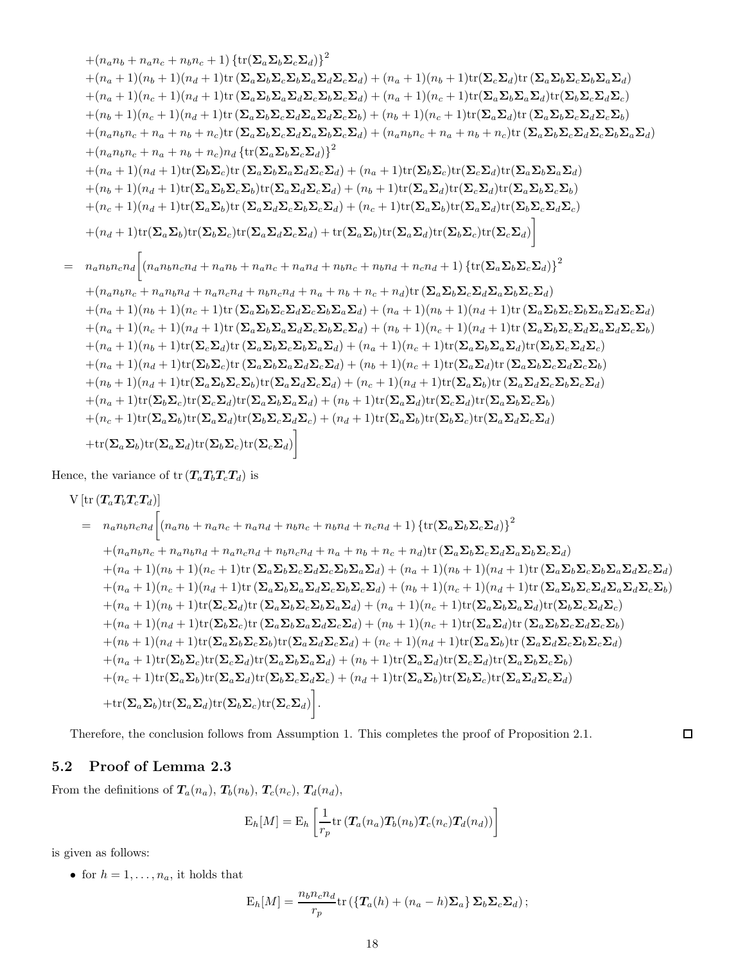$$
+(n_{a}n_{b}+n_{a}n_{c}+n_{b}n_{c}+1)\{\text{tr}(\Sigma_{a}\Sigma_{b}\Sigma_{c}\Sigma_{d})\}^{2}
$$
  
\n
$$
+(n_{a}+1)(n_{b}+1)(n_{d}+1)\text{tr}(\Sigma_{a}\Sigma_{b}\Sigma_{c}\Sigma_{b}\Sigma_{a}\Sigma_{d}\Sigma_{c}\Sigma_{d})+(n_{a}+1)(n_{b}+1)\text{tr}(\Sigma_{c}\Sigma_{d})\text{tr}(\Sigma_{a}\Sigma_{b}\Sigma_{c}\Sigma_{b}\Sigma_{d}\Sigma_{d})
$$
  
\n
$$
+(n_{a}+1)(n_{c}+1)(n_{d}+1)\text{tr}(\Sigma_{a}\Sigma_{b}\Sigma_{c}\Sigma_{d}\Sigma_{d}\Sigma_{c}\Sigma_{b}\Sigma_{c}\Sigma_{d})+(n_{a}+1)(n_{c}+1)\text{tr}(\Sigma_{a}\Sigma_{b}\Sigma_{a}\Sigma_{d}\Sigma_{d})\text{tr}(\Sigma_{b}\Sigma_{c}\Sigma_{d}\Sigma_{c})
$$
  
\n
$$
+(n_{b}+1)(n_{c}+1)(n_{d}+1)\text{tr}(\Sigma_{a}\Sigma_{b}\Sigma_{c}\Sigma_{d}\Sigma_{a}\Sigma_{d}\Sigma_{c}\Sigma_{b})+(n_{b}+1)(n_{c}+1)\text{tr}(\Sigma_{a}\Sigma_{b}\Sigma_{c}\Sigma_{d}\Sigma_{c}\Sigma_{b})
$$
  
\n
$$
+(n_{a}n_{b}n_{c}+n_{a}+n_{b}+n_{c})\text{tr}(\Sigma_{a}\Sigma_{b}\Sigma_{c}\Sigma_{d}\Sigma_{c}\Sigma_{d})+(n_{a}n_{b}n_{c}+n_{a}+n_{b}+n_{c})\text{tr}(\Sigma_{a}\Sigma_{b}\Sigma_{c}\Sigma_{d}\Sigma_{c}\Sigma_{d})
$$
  
\n
$$
+(n_{a}+1)(n_{d}+1)\text{tr}(\Sigma_{b}\Sigma_{c}\Sigma_{c}\Sigma_{d}\Sigma_{c}\Sigma_{d}\Sigma_{c}\Sigma_{d})+(n_{a}+1)\text{tr}(\Sigma_{b}\Sigma_{c}\Sigma_{d}\Sigma_{c}\Sigma_{d}\Sigma_{c}\Sigma_{d})
$$
  
\n
$$
+(n_{a}+1)(n_{d}+1)\text{tr}(\Sigma_{a}\Sigma_{b}\Sigma_{c}\Sigma_{b})\text{tr}(\Sigma_{a}\Sigma_{a}\Sigma_{c}\Sigma_{d})+(n_{a}+1)\text{tr}(\Sigma_{b}\Sigma_{
$$

Hence, the variance of  ${\rm tr} \left( \boldsymbol{T}_a \boldsymbol{T}_b \boldsymbol{T}_c \boldsymbol{T}_d \right)$  is

$$
V\left[\text{tr}\left(T_a T_b T_c T_d\right)\right]
$$
\n
$$
= n_a n_b n_c n_d \left[\left(n_a n_b + n_a n_c + n_a n_d + n_b n_c + n_b n_d + n_c n_d + 1\right) \left\{\text{tr}\left(\Sigma_a \Sigma_b \Sigma_c \Sigma_d\right)\right\}^2 + (n_a n_b n_c + n_a n_b n_d + n_a n_c n_d + n_b n_c n_d + n_a + n_b + n_c + n_d) \text{tr}\left(\Sigma_a \Sigma_b \Sigma_c \Sigma_d \Sigma_d \Sigma_a \Sigma_b \Sigma_c \Sigma_d\right)\right]
$$
\n
$$
+ (n_a + 1)(n_b + 1)(n_c + 1) \text{tr}\left(\Sigma_a \Sigma_b \Sigma_c \Sigma_d \Sigma_c \Sigma_d \Sigma_d \Sigma_d\right) + (n_a + 1)(n_b + 1)(n_d + 1) \text{tr}\left(\Sigma_a \Sigma_b \Sigma_c \Sigma_d \Sigma_d \Sigma_d \Sigma_d\right)
$$
\n
$$
+ (n_a + 1)(n_c + 1)(n_d + 1) \text{tr}\left(\Sigma_a \Sigma_b \Sigma_a \Sigma_d \Sigma_c \Sigma_b \Sigma_c \Sigma_d\right) + (n_b + 1)(n_c + 1)(n_d + 1) \text{tr}\left(\Sigma_a \Sigma_b \Sigma_c \Sigma_d \Sigma_d \Sigma_c \Sigma_d\right)
$$
\n
$$
+ (n_a + 1)(n_b + 1) \text{tr}\left(\Sigma_c \Sigma_d\right) \text{tr}\left(\Sigma_a \Sigma_b \Sigma_c \Sigma_b \Sigma_a \Sigma_d\right) + (n_a + 1)(n_c + 1) \text{tr}\left(\Sigma_a \Sigma_b \Sigma_c \Sigma_d \Sigma_d \Sigma_c\right)
$$
\n
$$
+ (n_a + 1)(n_d + 1) \text{tr}\left(\Sigma_b \Sigma_c \right) \text{tr}\left(\Sigma_a \Sigma_b \Sigma_a \Sigma_d \Sigma_c \Sigma_d\right) + (n_b + 1)(n_c + 1) \text{tr}\left(\Sigma_a \Sigma_a \Sigma_d \Sigma_c \Sigma_d \Sigma_c \Sigma_d\right)
$$
\n
$$
+ (n_b + 1)(n_d + 1) \text{tr}\left(\Sigma_a \Sigma_b \Sigma_c \Sigma_b \Sigma_d \Sigma_d \Sigma_d \Sigma_d\right) + (n_b + 1)(n_d + 1) \text{tr}\left(\Sigma_a \Sigma_a \Sigma_d \Sigma_c \Sigma_d \Sigma_d\right)
$$
\n
$$
+ (n_b + 1)(n_d + 1) \text{tr}\left(\Sigma_a \Sigma_b
$$

Therefore, the conclusion follows from Assumption 1. This completes the proof of Proposition 2.1.

## 5.2 Proof of Lemma 2.3

From the definitions of  $T_a(n_a)$ ,  $T_b(n_b)$ ,  $T_c(n_c)$ ,  $T_d(n_d)$ ,

$$
E_h[M] = E_h \left[ \frac{1}{r_p} tr\left( T_a(n_a) T_b(n_b) T_c(n_c) T_d(n_d) \right) \right]
$$

is given as follows:

• for  $h = 1, \ldots, n_a$ , it holds that

$$
E_h[M] = \frac{n_b n_c n_d}{r_p} \text{tr}\left(\left\{T_a(h) + (n_a - h)\Sigma_a\right\} \Sigma_b \Sigma_c \Sigma_d\right);
$$

 $\Box$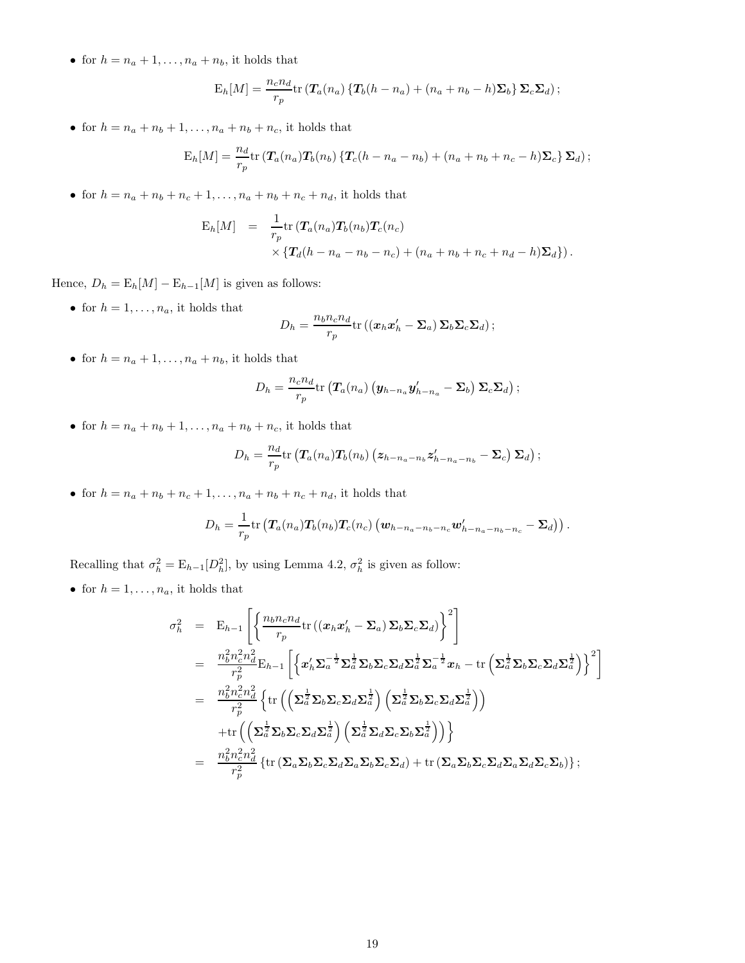• for  $h = n_a + 1, \ldots, n_a + n_b$ , it holds that

$$
E_h[M] = \frac{n_c n_d}{r_p} \text{tr} \left( \mathbf{T}_a(n_a) \left\{ \mathbf{T}_b(h - n_a) + (n_a + n_b - h) \mathbf{\Sigma}_b \right\} \mathbf{\Sigma}_c \mathbf{\Sigma}_d \right);
$$

• for  $h = n_a + n_b + 1, \ldots, n_a + n_b + n_c$ , it holds that

$$
E_h[M] = \frac{n_d}{r_p} tr\left(T_a(n_a) T_b(n_b) \left\{ T_c(h - n_a - n_b) + (n_a + n_b + n_c - h) \Sigma_c \right\} \Sigma_d \right);
$$

• for  $h = n_a + n_b + n_c + 1, ..., n_a + n_b + n_c + n_d$ , it holds that

$$
E_h[M] = \frac{1}{r_p} tr \left( \mathbf{T}_a(n_a) \mathbf{T}_b(n_b) \mathbf{T}_c(n_c) \times \{ \mathbf{T}_d(h - n_a - n_b - n_c) + (n_a + n_b + n_c + n_d - h) \Sigma_d \} \right).
$$

Hence,  $D_h = \mathbb{E}_h[M] - \mathbb{E}_{h-1}[M]$  is given as follows:

• for  $h = 1, \ldots, n_a$ , it holds that

$$
D_h = \frac{n_b n_c n_d}{r_p} \text{tr}\left( (\boldsymbol{x}_h \boldsymbol{x}_h' - \boldsymbol{\Sigma}_a) \, \boldsymbol{\Sigma}_b \boldsymbol{\Sigma}_c \boldsymbol{\Sigma}_d \right);
$$

• for  $h = n_a + 1, \ldots, n_a + n_b$ , it holds that

$$
D_h = \frac{n_c n_d}{r_p} \text{tr} \left( \mathbf{T}_a(n_a) \left( \mathbf{y}_{h-n_a} \mathbf{y}'_{h-n_a} - \mathbf{\Sigma}_b \right) \mathbf{\Sigma}_c \mathbf{\Sigma}_d \right);
$$

• for  $h = n_a + n_b + 1, \ldots, n_a + n_b + n_c$ , it holds that

$$
D_h = \frac{n_d}{r_p} \text{tr} \left( \mathbf{T}_a(n_a) \mathbf{T}_b(n_b) \left( \mathbf{z}_{h-n_a-n_b} \mathbf{z}'_{h-n_a-n_b} - \mathbf{\Sigma}_c \right) \mathbf{\Sigma}_d \right);
$$

• for  $h = n_a + n_b + n_c + 1, ..., n_a + n_b + n_c + n_d$ , it holds that

$$
D_h = \frac{1}{r_p} tr \left( \mathbf{T}_a(n_a) \mathbf{T}_b(n_b) \mathbf{T}_c(n_c) \left( \mathbf{w}_{h-n_a-n_b-n_c} \mathbf{w}'_{h-n_a-n_b-n_c} - \mathbf{\Sigma}_d \right) \right).
$$

Recalling that  $\sigma_h^2 = \mathbb{E}_{h-1}[D_h^2]$ , by using Lemma 4.2,  $\sigma_h^2$  is given as follow:

• for  $h = 1, \ldots, n_a$ , it holds that

$$
\sigma_h^2 = \mathbf{E}_{h-1} \left[ \left\{ \frac{n_b n_c n_d}{r_p} \text{tr} \left( (\mathbf{x}_h \mathbf{x}_h' - \mathbf{\Sigma}_a) \mathbf{\Sigma}_b \mathbf{\Sigma}_c \mathbf{\Sigma}_d \right) \right\}^2 \right]
$$
\n
$$
= \frac{n_b^2 n_c^2 n_d^2}{r_p^2} \mathbf{E}_{h-1} \left[ \left\{ \mathbf{x}_h' \mathbf{\Sigma}_a^{-\frac{1}{2}} \mathbf{\Sigma}_a^{\frac{1}{2}} \mathbf{\Sigma}_b \mathbf{\Sigma}_c \mathbf{\Sigma}_d \mathbf{\Sigma}_a^{\frac{1}{2}} \mathbf{\Sigma}_a^{-\frac{1}{2}} \mathbf{x}_h - \text{tr} \left( \mathbf{\Sigma}_a^{\frac{1}{2}} \mathbf{\Sigma}_b \mathbf{\Sigma}_c \mathbf{\Sigma}_d \mathbf{\Sigma}_a^{\frac{1}{2}} \right) \right\}^2 \right]
$$
\n
$$
= \frac{n_b^2 n_c^2 n_d^2}{r_p^2} \left\{ \text{tr} \left( \left( \mathbf{\Sigma}_a^{\frac{1}{2}} \mathbf{\Sigma}_b \mathbf{\Sigma}_c \mathbf{\Sigma}_d \mathbf{\Sigma}_a^{\frac{1}{2}} \right) \left( \mathbf{\Sigma}_a^{\frac{1}{2}} \mathbf{\Sigma}_b \mathbf{\Sigma}_c \mathbf{\Sigma}_d \mathbf{\Sigma}_a^{\frac{1}{2}} \right) \right)
$$
\n
$$
+ \text{tr} \left( \left( \mathbf{\Sigma}_a^{\frac{1}{2}} \mathbf{\Sigma}_b \mathbf{\Sigma}_c \mathbf{\Sigma}_d \mathbf{\Sigma}_a^{\frac{1}{2}} \right) \left( \mathbf{\Sigma}_a^{\frac{1}{2}} \mathbf{\Sigma}_d \mathbf{\Sigma}_c \mathbf{\Sigma}_b \mathbf{\Sigma}_a^{\frac{1}{2}} \right) \right) \right\}
$$
\n
$$
= \frac{n_b^2 n_c^2 n_d^2}{r_p^2} \left\{ \text{tr} \left( \mathbf{\Sigma}_a \mathbf{\Sigma}_b \mathbf{\Sigma}_c \mathbf{\Sigma}_d \mathbf{\Sigma}_a \mathbf{\Sigma}_b \mathbf{\Sigma}_c \mathbf{\Sigma}_d \right) + \text{tr} \left( \mathbf{\Sigma}_a \mathbf{\Sigma}_b \mathbf{\Sigma}_c \mathbf{\Sigma}_d \mathbf{\Sigma}_a \mathbf{\Sigma}_
$$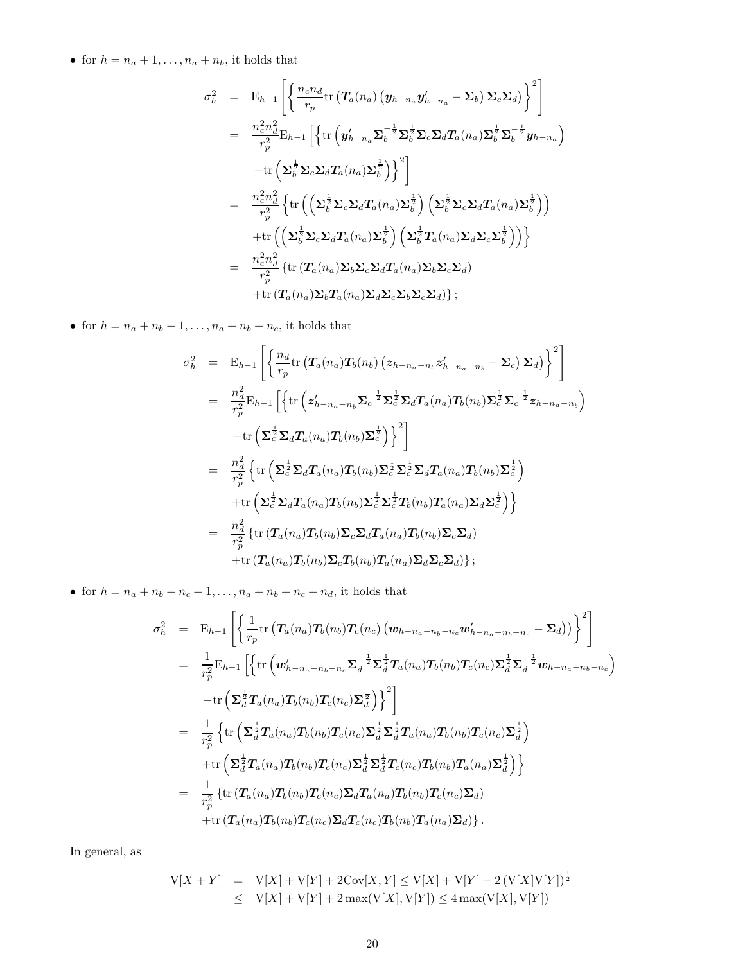• for  $h = n_a + 1, \ldots, n_a + n_b$ , it holds that

$$
\sigma_h^2 = \mathbf{E}_{h-1} \left[ \left\{ \frac{n_c n_d}{r_p} \text{tr} \left( \mathbf{T}_a(n_a) \left( \mathbf{y}_{h-n_a} \mathbf{y}_{h-n_a}' - \mathbf{\Sigma}_b \right) \mathbf{\Sigma}_c \mathbf{\Sigma}_d \right) \right\}^2 \right]
$$
\n
$$
= \frac{n_c^2 n_d^2}{r_p^2} \mathbf{E}_{h-1} \left[ \left\{ \text{tr} \left( \mathbf{y}_{h-n_a}' \mathbf{\Sigma}_b^{-\frac{1}{2}} \mathbf{\Sigma}_b^{\frac{1}{2}} \mathbf{\Sigma}_c \mathbf{\Sigma}_d \mathbf{T}_a(n_a) \mathbf{\Sigma}_b^{\frac{1}{2}} \mathbf{\Sigma}_b^{-\frac{1}{2}} \mathbf{y}_{h-n_a} \right) \right. \right.
$$
\n
$$
- \text{tr} \left( \mathbf{\Sigma}_b^{\frac{1}{2}} \mathbf{\Sigma}_c \mathbf{\Sigma}_d \mathbf{T}_a(n_a) \mathbf{\Sigma}_b^{\frac{1}{2}} \right) \right]^2
$$
\n
$$
= \frac{n_c^2 n_d^2}{r_p^2} \left\{ \text{tr} \left( \left( \mathbf{\Sigma}_b^{\frac{1}{2}} \mathbf{\Sigma}_c \mathbf{\Sigma}_d \mathbf{T}_a(n_a) \mathbf{\Sigma}_b^{\frac{1}{2}} \right) \left( \mathbf{\Sigma}_b^{\frac{1}{2}} \mathbf{\Sigma}_c \mathbf{\Sigma}_d \mathbf{T}_a(n_a) \mathbf{\Sigma}_b^{\frac{1}{2}} \right) \right)
$$
\n
$$
+ \text{tr} \left( \left( \mathbf{\Sigma}_b^{\frac{1}{2}} \mathbf{\Sigma}_c \mathbf{\Sigma}_d \mathbf{T}_a(n_a) \mathbf{\Sigma}_b^{\frac{1}{2}} \right) \left( \mathbf{\Sigma}_b^{\frac{1}{2}} \mathbf{T}_a(n_a) \mathbf{\Sigma}_d \mathbf{\Sigma}_c \mathbf{\Sigma}_b^{\frac{1}{2}} \right) \right) \right\}
$$
\n
$$
= \frac{n_c^2 n_d^2}{r_p^2} \left\{ \text{tr} \left( \mathbf{T}_a(n_a) \mathbf{\Sigma}_b \mathbf{\Sigma}_c \mathbf{\Sigma}_d \mathbf{T}_a(n_a) \mathbf{\Sigma}_b \mathbf{\Sigma}_c \mathbf{\Sigma}_d \right) \right\}
$$

• for  $h = n_a + n_b + 1, \ldots, n_a + n_b + n_c$ , it holds that

$$
\sigma_h^2 = \mathbf{E}_{h-1} \left[ \left\{ \frac{n_d}{r_p} \text{tr} \left( \mathbf{T}_a(n_a) \mathbf{T}_b(n_b) \left( z_{h-n_a-n_b} z'_{h-n_a-n_b} - \Sigma_c \right) \Sigma_d \right) \right\}^2 \right]
$$
\n
$$
= \frac{n_d^2}{r_p^2} \mathbf{E}_{h-1} \left[ \left\{ \text{tr} \left( z'_{h-n_a-n_b} \Sigma_c^{-\frac{1}{2}} \Sigma_c^{\frac{1}{2}} \Sigma_d \mathbf{T}_a(n_a) \mathbf{T}_b(n_b) \Sigma_c^{\frac{1}{2}} \Sigma_c^{-\frac{1}{2}} z_{h-n_a-n_b} \right) \right\}
$$
\n
$$
- \text{tr} \left( \Sigma_c^{\frac{1}{2}} \Sigma_d \mathbf{T}_a(n_a) \mathbf{T}_b(n_b) \Sigma_c^{\frac{1}{2}} \right) \right]^2
$$
\n
$$
= \frac{n_d^2}{r_p^2} \left\{ \text{tr} \left( \Sigma_c^{\frac{1}{2}} \Sigma_d \mathbf{T}_a(n_a) \mathbf{T}_b(n_b) \Sigma_c^{\frac{1}{2}} \Sigma_c^{\frac{1}{2}} \Sigma_d \mathbf{T}_a(n_a) \mathbf{T}_b(n_b) \Sigma_c^{\frac{1}{2}} \right) \right\}
$$
\n
$$
+ \text{tr} \left( \Sigma_c^{\frac{1}{2}} \Sigma_d \mathbf{T}_a(n_a) \mathbf{T}_b(n_b) \Sigma_c^{\frac{1}{2}} \Sigma_c^{\frac{1}{2}} \mathbf{T}_b(n_b) \mathbf{T}_a(n_a) \Sigma_d \Sigma_c^{\frac{1}{2}} \right) \right\}
$$
\n
$$
= \frac{n_d^2}{r_p^2} \left\{ \text{tr} \left( \mathbf{T}_a(n_a) \mathbf{T}_b(n_b) \Sigma_c \Sigma_d \mathbf{T}_a(n_a) \mathbf{T}_b(n_b) \Sigma_c \Sigma_d \right) \right\}
$$
\n
$$
+ \text{tr} \left( \mathbf{T}_a(n_a) \mathbf{T}_b(n_b) \Sigma_c \mathbf{T}_b(n_b) \mathbf{T}_a(n_a) \Sigma_d \Sigma_c \Sigma_d \right) \right\};
$$

• for  $h = n_a + n_b + n_c + 1, \ldots, n_a + n_b + n_c + n_d$ , it holds that

$$
\sigma_h^2 = \mathbf{E}_{h-1} \left[ \left\{ \frac{1}{r_p} \text{tr} \left( \mathbf{T}_a(n_a) \mathbf{T}_b(n_b) \mathbf{T}_c(n_c) \left( \mathbf{w}_{h-n_a-n_b-n_c} \mathbf{w}_{h-n_a-n_b-n_c}' - \mathbf{\Sigma}_d \right) \right) \right\}^2 \right]
$$
\n
$$
= \frac{1}{r_p^2} \mathbf{E}_{h-1} \left[ \left\{ \text{tr} \left( \mathbf{w}_{h-n_a-n_b-n_c}' \mathbf{\Sigma}_d^{-\frac{1}{2}} \mathbf{\Sigma}_d^{\frac{1}{2}} \mathbf{T}_a(n_a) \mathbf{T}_b(n_b) \mathbf{T}_c(n_c) \mathbf{\Sigma}_d^{\frac{1}{2}} \mathbf{\Sigma}_d^{-\frac{1}{2}} \mathbf{w}_{h-n_a-n_b-n_c} \right) \right. \left. - \text{tr} \left( \mathbf{\Sigma}_d^{\frac{1}{2}} \mathbf{T}_a(n_a) \mathbf{T}_b(n_b) \mathbf{T}_c(n_c) \mathbf{\Sigma}_d^{\frac{1}{2}} \right) \right\}^2 \right]
$$
\n
$$
= \frac{1}{r_p^2} \left\{ \text{tr} \left( \mathbf{\Sigma}_d^{\frac{1}{2}} \mathbf{T}_a(n_a) \mathbf{T}_b(n_b) \mathbf{T}_c(n_c) \mathbf{\Sigma}_d^{\frac{1}{2}} \mathbf{\Sigma}_d^{\frac{1}{2}} \mathbf{T}_a(n_a) \mathbf{T}_b(n_b) \mathbf{T}_c(n_c) \mathbf{\Sigma}_d^{\frac{1}{2}} \right) \right\}
$$
\n
$$
+ \text{tr} \left( \mathbf{\Sigma}_d^{\frac{1}{2}} \mathbf{T}_a(n_a) \mathbf{T}_b(n_b) \mathbf{T}_c(n_c) \mathbf{\Sigma}_d^{\frac{1}{2}} \mathbf{\Sigma}_d^{\frac{1}{2}} \mathbf{T}_c(n_c) \mathbf{T}_b(n_b) \mathbf{T}_a(n_a) \mathbf{\Sigma}_d^{\frac{1}{2}} \right) \right\}
$$
\n
$$
= \frac{1}{r_p^2} \left\{ \text{tr} \left( \mathbf{T}_a(n_a) \mathbf{T}_b(n_b) \mathbf{T}_c(n_c) \mathbf{\Sigma}_d \mathbf{T}_a(n_a) \mathbf{T}_b(n_b) \mathbf{T}_c(n_c) \mathbf{\Sigma}_d \
$$

In general, as

$$
V[X + Y] = V[X] + V[Y] + 2\text{Cov}[X, Y] \le V[X] + V[Y] + 2(V[X]V[Y])^{\frac{1}{2}}
$$
  
 
$$
\le V[X] + V[Y] + 2\max(V[X], V[Y]) \le 4\max(V[X], V[Y])
$$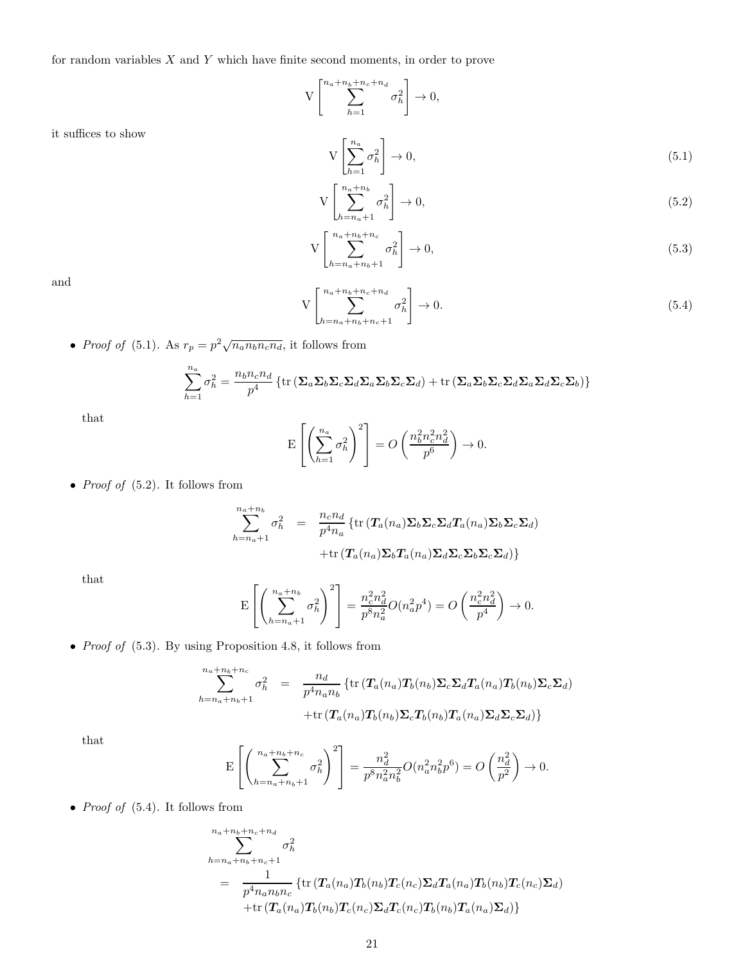for random variables  $X$  and  $Y$  which have finite second moments, in order to prove

$$
V\left[\sum_{h=1}^{n_a+n_b+n_c+n_d}\sigma_h^2\right]\to 0,
$$

it suffices to show

$$
V\left[\sum_{h=1}^{n_a} \sigma_h^2\right] \to 0,\tag{5.1}
$$

$$
V\left[\sum_{h=n_a+1}^{n_a+n_b} \sigma_h^2\right] \to 0,\tag{5.2}
$$

$$
V\left[\sum_{h=n_a+n_b+1}^{n_a+n_b+n_c} \sigma_h^2\right] \to 0,\tag{5.3}
$$

and

$$
V\left[\sum_{h=n_a+n_b+n_c+1}^{n_a+n_b+n_c+n_d} \sigma_h^2\right] \to 0. \tag{5.4}
$$

• *Proof of* (5.1). As  $r_p = p^2 \sqrt{n_a n_b n_c n_d}$ , it follows from

$$
\sum_{h=1}^{n_a} \sigma_h^2 = \frac{n_b n_c n_d}{p^4} \left\{ \text{tr} \left( \sum_a \sum_b \sum_c \sum_d \sum_b \sum_c \sum_d \right) + \text{tr} \left( \sum_a \sum_b \sum_c \sum_d \sum_d \sum_c \sum_b \right) \right\}
$$

that

$$
\mathbf{E}\left[\left(\sum_{h=1}^{n_a} \sigma_h^2\right)^2\right] = O\left(\frac{n_b^2 n_c^2 n_d^2}{p^6}\right) \to 0.
$$

• *Proof of*  $(5.2)$ . It follows from

$$
\sum_{h=n_a+1}^{n_a+n_b} \sigma_h^2 = \frac{n_c n_d}{p^4 n_a} \left\{ \text{tr} \left( T_a(n_a) \Sigma_b \Sigma_c \Sigma_d T_a(n_a) \Sigma_b \Sigma_c \Sigma_d \right) + \text{tr} \left( T_a(n_a) \Sigma_b T_a(n_a) \Sigma_d \Sigma_c \Sigma_b \Sigma_c \Sigma_d \right) \right\}
$$

that

$$
\mathcal{E}\left[\left(\sum_{h=n_a+1}^{n_a+n_b} \sigma_h^2\right)^2\right] = \frac{n_c^2 n_d^2}{p^8 n_a^2} O(n_a^2 p^4) = O\left(\frac{n_c^2 n_d^2}{p^4}\right) \to 0.
$$

• Proof of (5.3). By using Proposition 4.8, it follows from

$$
\sum_{h=n_a+n_b+1}^{n_a+n_b+n_c} \sigma_h^2 = \frac{n_d}{p^4 n_a n_b} \left\{ \text{tr} \left( T_a(n_a) T_b(n_b) \Sigma_c \Sigma_d T_a(n_a) T_b(n_b) \Sigma_c \Sigma_d \right) + \text{tr} \left( T_a(n_a) T_b(n_b) \Sigma_c T_b(n_b) T_a(n_a) \Sigma_d \Sigma_c \Sigma_d \right) \right\}
$$

that

$$
\mathbf{E}\left[\left(\sum_{h=n_a+n_b+1}^{n_a+n_b+n_c} \sigma_h^2\right)^2\right] = \frac{n_d^2}{p^8 n_a^2 n_b^2} O(n_a^2 n_b^2 p^6) = O\left(\frac{n_d^2}{p^2}\right) \to 0.
$$

• *Proof of*  $(5.4)$ . It follows from

$$
\sum_{h=n_a+n_b+n_c+n_d}^{n_a+n_b+n_c+n_d} \sigma_h^2
$$
\n
$$
= \frac{1}{p^4 n_a n_b n_c} \left\{ \text{tr} \left( T_a(n_a) T_b(n_b) T_c(n_c) \Sigma_d T_a(n_a) T_b(n_b) T_c(n_c) \Sigma_d \right) + \text{tr} \left( T_a(n_a) T_b(n_b) T_c(n_c) \Sigma_d T_c(n_c) T_b(n_b) T_a(n_a) \Sigma_d \right) \right\}
$$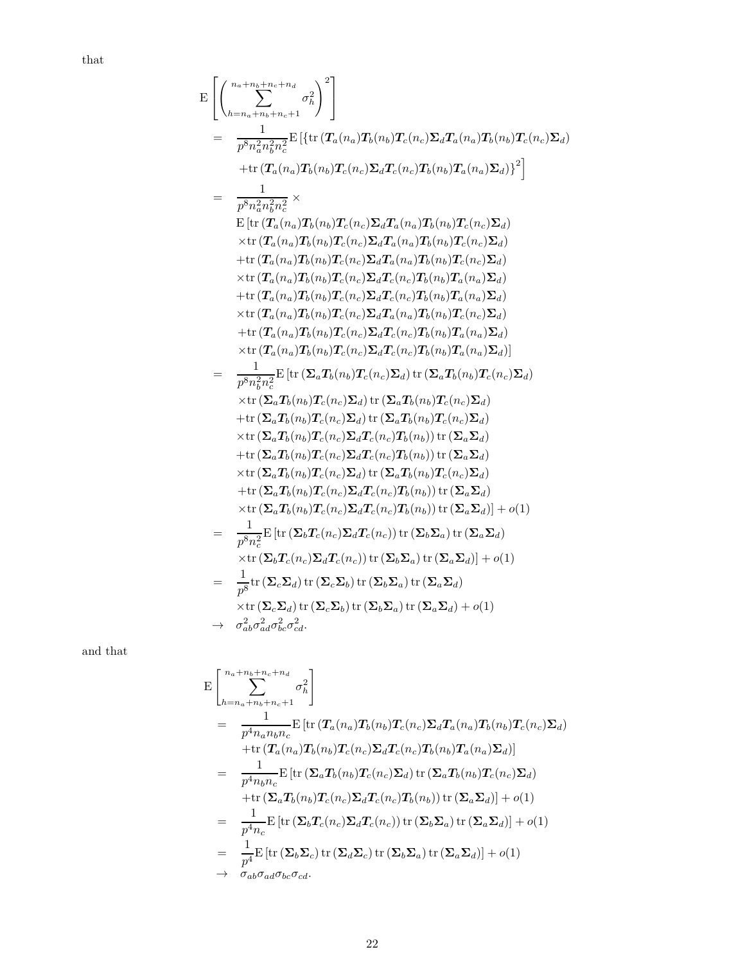that

$$
E\left[\left(\sum_{h=n_a+n_b+n_c+n_d}^{n_a+n_b+n_c+n_d}\sigma_h^2\right)^2\right]
$$
\n
$$
=\frac{1}{p^8n_a^2n_b^2n_c^2}\mathrm{E}\left[\left\{\mathrm{tr}\left(T_a(n_a)T_b(n_b)T_c(n_c)\Sigma_dT_a(n_a)T_b(n_b)T_c(n_c)\Sigma_d\right)^2\right\}\right] + \mathrm{tr}\left(T_a(n_a)T_b(n_b)T_c(n_c)\Sigma_dT_c(n_c)T_b(n_b)T_a(n_a)\Sigma_d)\right)^2\right]
$$
\n
$$
=\frac{1}{p^8n_a^2n_b^2n_c^2}\times
$$
\n
$$
E\left[\mathrm{tr}\left(T_a(n_a)T_b(n_b)T_c(n_c)\Sigma_dT_a(n_a)T_b(n_b)T_c(n_c)\Sigma_d\right)^2\right] \times \mathrm{tr}\left(T_a(n_a)T_b(n_b)T_c(n_c)\Sigma_d\right)^2 + \mathrm{tr}\left(T_a(n_a)T_b(n_b)T_c(n_c)\Sigma_d\right)^2 + \mathrm{tr}\left(T_a(n_a)T_b(n_b)T_c(n_c)\Sigma_dT_a(n_a)T_b(n_b)T_c(n_c)\Sigma_d\right)^2 + \mathrm{tr}\left(T_a(n_a)T_b(n_b)T_c(n_c)\Sigma_dT_a(n_a)T_b(n_b)T_a(n_a)\Sigma_d\right)^2 + \mathrm{tr}\left(T_a(n_a)T_b(n_b)T_c(n_c)\Sigma_dT_c(n_c)T_b(n_b)T_a(n_a)\Sigma_d\right)^2 + \mathrm{tr}\left(T_a(n_a)T_b(n_b)T_c(n_c)\Sigma_dT_c(n_c)T_b(n_b)T_a(n_a)\Sigma_d\right)^2 + \mathrm{tr}\left(T_a(n_a)T_b(n_b)T_c(n_c)\Sigma_dT_c(n_c)T_b(n_b)T_a(n_a)\Sigma_d\right)^2 + \mathrm{tr}\left(T_a(n_a)T_b(n_b)T_c(n_c)\Sigma_dT_c(n_c)T_b(n_b)T_c(n_c)\Sigma_d\right)^2 + \mathrm{tr}\left(T_a(n_a)T_b(n_b)T_c(n_c)\Sigma_d\right)^2 + \mathrm{tr}\left(T_aT_b(n_b)T_c(n_c)\Sigma_d\right)^2 + \mathrm{tr}\left(T_aT_b(n_b)T_c(n_c)\Sigma_d\right)^2 + \mathrm{tr}\left(T_aT_b(n_b)T_c(n_c)\Sigma_d\right)^2 + \mathrm{tr}\left(T_aT_b(n_b)T_c(n_c)\Sigma_d\right)^2 + \mathrm{tr}\left(T_aT_b(n_b)T_c(n_c)\Sigma_d\right)^2 + \mathrm{tr}\left(T_aT_b(n_b
$$

and that

$$
E\left[\sum_{h=n_a+n_b+n_c+1}^{n_a+n_b+n_c+n_d}\sigma_h^2\right]
$$
\n
$$
=\frac{1}{p^{4}n_a n_b n_c}E\left[\text{tr}\left(T_a(n_a)T_b(n_b)T_c(n_c)\Sigma_d T_a(n_a)T_b(n_b)T_c(n_c)\Sigma_d\right)\right]
$$
\n
$$
+\text{tr}\left(T_a(n_a)T_b(n_b)T_c(n_c)\Sigma_d T_c(n_c)T_b(n_b)T_a(n_a)\Sigma_d\right)\right]
$$
\n
$$
=\frac{1}{p^{4}n_b n_c}E\left[\text{tr}\left(\Sigma_a T_b(n_b)T_c(n_c)\Sigma_d\right)\text{tr}\left(\Sigma_a T_b(n_b)T_c(n_c)\Sigma_d\right)\right]
$$
\n
$$
+\text{tr}\left(\Sigma_a T_b(n_b)T_c(n_c)\Sigma_d T_c(n_c)T_b(n_b)\right)\text{tr}\left(\Sigma_a \Sigma_d\right)\right] + o(1)
$$
\n
$$
=\frac{1}{p^{4}n_c}E\left[\text{tr}\left(\Sigma_b T_c(n_c)\Sigma_d T_c(n_c)\right)\text{tr}\left(\Sigma_b \Sigma_a\right)\text{tr}\left(\Sigma_a \Sigma_d\right)\right] + o(1)
$$
\n
$$
=\frac{1}{p^4}E\left[\text{tr}\left(\Sigma_b \Sigma_c\right)\text{tr}\left(\Sigma_d \Sigma_c\right)\text{tr}\left(\Sigma_b \Sigma_a\right)\text{tr}\left(\Sigma_a \Sigma_d\right)\right] + o(1)
$$
\n
$$
\rightarrow \sigma_{ab}\sigma_{ad}\sigma_{bc}\sigma_{cd}.
$$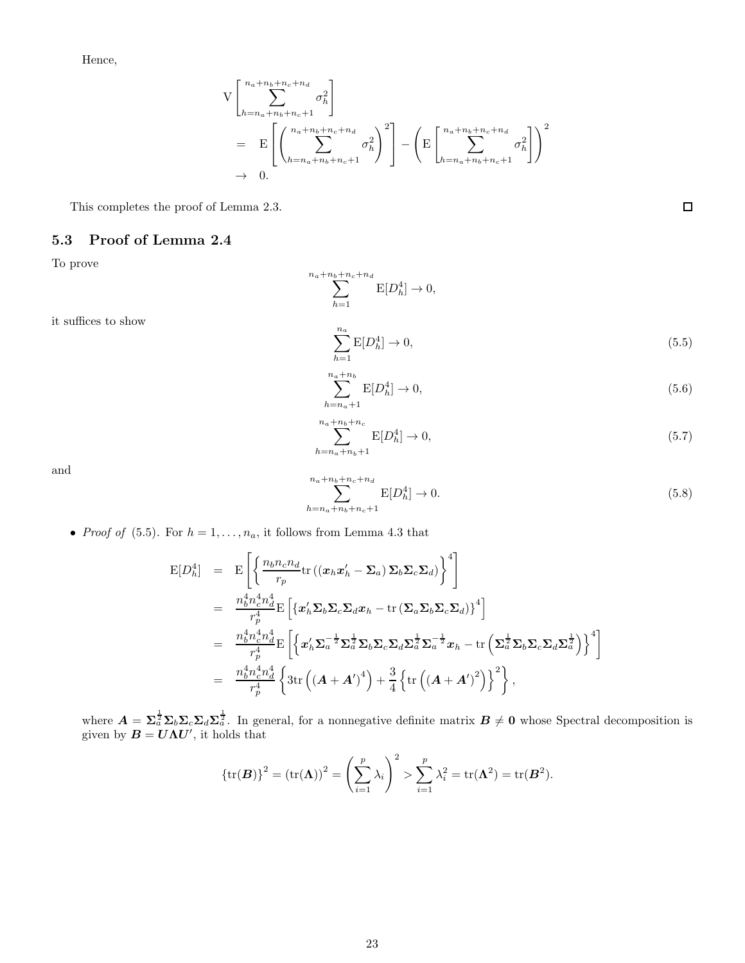Hence,

$$
V\left[\sum_{h=n_a+n_b+n_c+1}^{n_a+n_b+n_c+n_d} \sigma_h^2\right]
$$
  
=  $E\left[\left(\sum_{h=n_a+n_b+n_c+1}^{n_a+n_b+n_c+n_d} \sigma_h^2\right)^2\right] - \left(E\left[\sum_{h=n_a+n_b+n_c+1}^{n_a+n_b+n_c+n_d} \sigma_h^2\right]\right)$   
 $\rightarrow 0.$ 

 $E[D_h^4] \to 0,$ 

 $\sum^{n_a+n_b+n_c+n_d}$  $h=1$ 

This completes the proof of Lemma 2.3.

#### 5.3 Proof of Lemma 2.4

To prove

it suffices to show

$$
\sum_{h=1}^{n_a} \mathcal{E}[D_h^4] \to 0,\tag{5.5}
$$

 $\,2$ 

$$
\sum_{h=n_a+1}^{n_a+n_b} E[D_h^4] \to 0,\tag{5.6}
$$

$$
\sum_{h=n_a+n_b+1}^{n_a+n_b+n_c} E[D_h^4] \to 0,
$$
\n(5.7)

and

$$
\sum_{h=n_a+n_b+n_c+1}^{n_a+n_b+n_c+n_d} \mathcal{E}[D_h^4] \to 0. \tag{5.8}
$$

• *Proof of* (5.5). For  $h = 1, ..., n_a$ , it follows from Lemma 4.3 that

$$
\begin{split}\n\mathbf{E}[D_h^4] &= \mathbf{E}\left[\left\{\frac{n_b n_c n_d}{r_p} \text{tr}\left((\mathbf{x}_h \mathbf{x}_h' - \mathbf{\Sigma}_a) \mathbf{\Sigma}_b \mathbf{\Sigma}_c \mathbf{\Sigma}_d\right)\right\}^4\right] \\
&= \frac{n_b^4 n_c^4 n_d^4}{r_p^4} \mathbf{E}\left[\left\{\mathbf{x}_h' \mathbf{\Sigma}_b \mathbf{\Sigma}_c \mathbf{\Sigma}_d \mathbf{x}_h - \text{tr}\left(\mathbf{\Sigma}_a \mathbf{\Sigma}_b \mathbf{\Sigma}_c \mathbf{\Sigma}_d\right)\right\}^4\right] \\
&= \frac{n_b^4 n_c^4 n_d^4}{r_p^4} \mathbf{E}\left[\left\{\mathbf{x}_h' \mathbf{\Sigma}_a^{-\frac{1}{2}} \mathbf{\Sigma}_a^{\frac{1}{2}} \mathbf{\Sigma}_b \mathbf{\Sigma}_c \mathbf{\Sigma}_d \mathbf{\Sigma}_a^{\frac{1}{2}} \mathbf{\Sigma}_a^{-\frac{1}{2}} \mathbf{x}_h - \text{tr}\left(\mathbf{\Sigma}_a^{\frac{1}{2}} \mathbf{\Sigma}_b \mathbf{\Sigma}_c \mathbf{\Sigma}_d \mathbf{\Sigma}_a^{\frac{1}{2}}\right)\right\}^4\right] \\
&= \frac{n_b^4 n_c^4 n_d^4}{r_p^4} \left\{\text{3tr}\left((\mathbf{A} + \mathbf{A}')^4\right) + \frac{3}{4} \left\{\text{tr}\left((\mathbf{A} + \mathbf{A}')^2\right)\right\}^2\right\},\n\end{split}
$$

where  $A = \sum_{a}^{\frac{1}{2}} \sum_{b} \sum_{c} \sum_{d} \sum_{a}^{\frac{1}{2}}$ . In general, for a nonnegative definite matrix  $B \neq 0$  whose Spectral decomposition is given by  $B = U\Lambda U'$ , it holds that

$$
\{\operatorname{tr}(\boldsymbol{B})\}^2 = (\operatorname{tr}(\boldsymbol{\Lambda}))^2 = \left(\sum_{i=1}^p \lambda_i\right)^2 > \sum_{i=1}^p \lambda_i^2 = \operatorname{tr}(\boldsymbol{\Lambda}^2) = \operatorname{tr}(\boldsymbol{B}^2).
$$

 $\Box$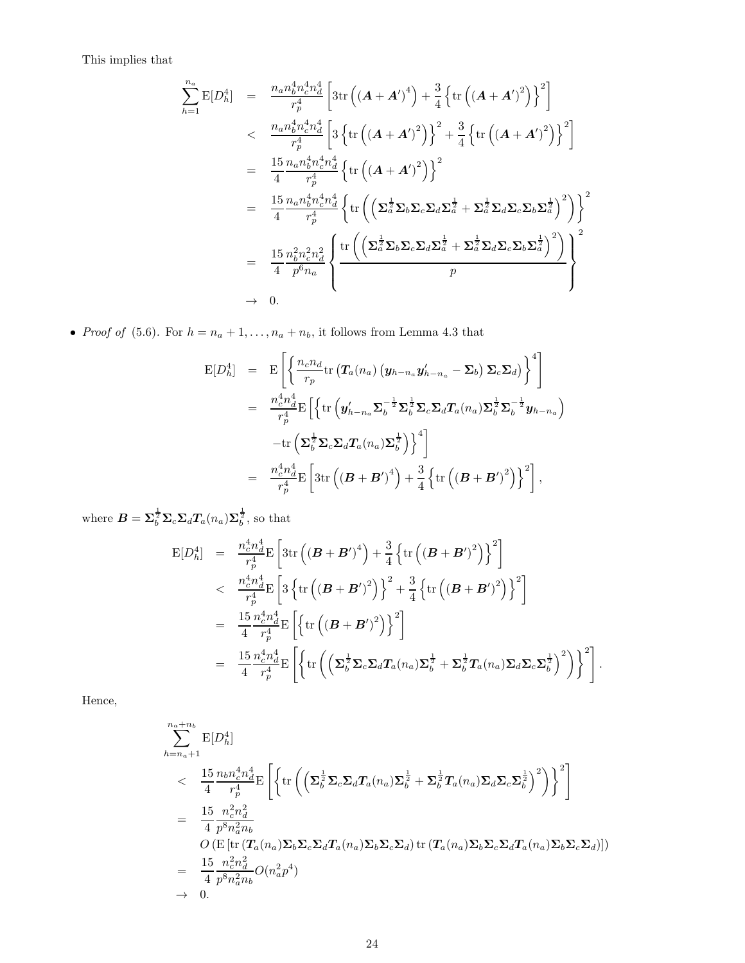This implies that

$$
\sum_{h=1}^{n_a} \mathbf{E}[D_h^4] = \frac{n_a n_b^4 n_c^4 n_d^4}{r_p^4} \left[ 3 \text{tr} \left( (\mathbf{A} + \mathbf{A}')^4 \right) + \frac{3}{4} \left\{ \text{tr} \left( (\mathbf{A} + \mathbf{A}')^2 \right) \right\}^2 \right] \n
$$
< \frac{n_a n_b^4 n_c^4 n_d^4}{r_p^4} \left[ 3 \left\{ \text{tr} \left( (\mathbf{A} + \mathbf{A}')^2 \right) \right\}^2 + \frac{3}{4} \left\{ \text{tr} \left( (\mathbf{A} + \mathbf{A}')^2 \right) \right\}^2 \right]
$$
\n
$$
= \frac{15}{4} \frac{n_a n_b^4 n_c^4 n_d^4}{r_p^4} \left\{ \text{tr} \left( (\mathbf{A} + \mathbf{A}')^2 \right) \right\}^2
$$
\n
$$
= \frac{15}{4} \frac{n_a n_b^4 n_c^4 n_d^4}{r_p^4} \left\{ \text{tr} \left( \left( \mathbf{\Sigma}_a^{\frac{1}{2}} \mathbf{\Sigma}_b \mathbf{\Sigma}_c \mathbf{\Sigma}_d \mathbf{\Sigma}_a^{\frac{1}{2}} + \mathbf{\Sigma}_a^{\frac{1}{2}} \mathbf{\Sigma}_d \mathbf{\Sigma}_c \mathbf{\Sigma}_b \mathbf{\Sigma}_a^{\frac{1}{2}} \right)^2 \right) \right\}^2
$$
\n
$$
= \frac{15}{4} \frac{n_b^2 n_c^2 n_d^2}{p^6 n_a} \left\{ \frac{\text{tr} \left( \left( \mathbf{\Sigma}_a^{\frac{1}{2}} \mathbf{\Sigma}_b \mathbf{\Sigma}_c \mathbf{\Sigma}_d \mathbf{\Sigma}_a^{\frac{1}{2}} + \mathbf{\Sigma}_a^{\frac{1}{2}} \mathbf{\Sigma}_d \mathbf{\Sigma}_c \mathbf{\Sigma}_b \mathbf{\Sigma}_a^{\frac{1}{2}} \right)^2 \right)}{p} \right\}^2
$$
\n
$$
\rightarrow 0.
$$
$$

• Proof of (5.6). For  $h = n_a + 1, \ldots, n_a + n_b$ , it follows from Lemma 4.3 that

$$
\begin{array}{rcl}\n\mathbf{E}[D_h^4] & = & \mathbf{E}\left[\left\{\frac{n_c n_d}{r_p} \text{tr}\left(\mathbf{T}_a(n_a)\left(\mathbf{y}_{h-n_a}\mathbf{y}_{h-n_a}' - \mathbf{\Sigma}_b\right) \mathbf{\Sigma}_c \mathbf{\Sigma}_d\right)\right\}^4\right] \\
& = & \frac{n_c^4 n_d^4}{r_p^4} \mathbf{E}\left[\left\{\text{tr}\left(\mathbf{y}_{h-n_a}' \mathbf{\Sigma}_b^{-\frac{1}{2}} \mathbf{\Sigma}_b^{\frac{1}{2}} \mathbf{\Sigma}_c \mathbf{\Sigma}_d \mathbf{T}_a(n_a) \mathbf{\Sigma}_b^{\frac{1}{2}} \mathbf{\Sigma}_b^{-\frac{1}{2}} \mathbf{y}_{h-n_a}\right)\right. \\
& & \left.-\text{tr}\left(\mathbf{\Sigma}_b^{\frac{1}{2}} \mathbf{\Sigma}_c \mathbf{\Sigma}_d \mathbf{T}_a(n_a) \mathbf{\Sigma}_b^{\frac{1}{2}}\right)\right\}^4\right] \\
& = & \frac{n_c^4 n_d^4}{r_p^4} \mathbf{E}\left[3 \text{tr}\left((\boldsymbol{B} + \boldsymbol{B}')^4\right) + \frac{3}{4}\left\{\text{tr}\left((\boldsymbol{B} + \boldsymbol{B}')^2\right)\right\}^2\right],\n\end{array}
$$

where  $B = \Sigma_b^{\frac{1}{2}} \Sigma_c \Sigma_d T_a(n_a) \Sigma_b^{\frac{1}{2}}$ , so that

$$
\begin{split} \mathcal{E}[D_h^4] &= \frac{n_c^4 n_d^4}{r_p^4} \mathcal{E}\left[3 \text{tr}\left((\boldsymbol{B} + \boldsymbol{B}')^4\right) + \frac{3}{4} \left\{\text{tr}\left((\boldsymbol{B} + \boldsymbol{B}')^2\right)\right\}^2\right] \\ &< \frac{n_c^4 n_d^4}{r_p^4} \mathcal{E}\left[3 \left\{\text{tr}\left((\boldsymbol{B} + \boldsymbol{B}')^2\right)\right\}^2 + \frac{3}{4} \left\{\text{tr}\left((\boldsymbol{B} + \boldsymbol{B}')^2\right)\right\}^2\right] \\ &= \frac{15}{4} \frac{n_c^4 n_d^4}{r_p^4} \mathcal{E}\left[\left\{\text{tr}\left((\boldsymbol{B} + \boldsymbol{B}')^2\right)\right\}^2\right] \\ &= \frac{15}{4} \frac{n_c^4 n_d^4}{r_p^4} \mathcal{E}\left[\left\{\text{tr}\left(\left(\boldsymbol{\Sigma}_b^{\frac{1}{2}} \boldsymbol{\Sigma}_c \boldsymbol{\Sigma}_d \boldsymbol{T}_a(n_a) \boldsymbol{\Sigma}_b^{\frac{1}{2}} + \boldsymbol{\Sigma}_b^{\frac{1}{2}} \boldsymbol{T}_a(n_a) \boldsymbol{\Sigma}_d \boldsymbol{\Sigma}_c \boldsymbol{\Sigma}_b^{\frac{1}{2}}\right)^2\right)\right\}^2\right]. \end{split}
$$

Hence,

$$
\sum_{h=n_a+1}^{n_a+n_b} E[D_h^1] \n
$$
\leq \frac{15}{4} \frac{n_b n_c^4 n_d^4}{r_p^4} E\left[ \left\{ tr \left( \left( \sum_{b} \frac{1}{2} \sum_{c} \sum_{d} T_a(n_a) \sum_{b} \frac{1}{2} + \sum_{b} \frac{1}{2} T_a(n_a) \sum_{d} \sum_{c} \sum_{b} \frac{1}{2} \right)^2 \right) \right\}^2 \right] \n= \frac{15}{4} \frac{n_c^2 n_d^2}{p^8 n_a^2 n_b} \nO\left( E\left[ tr\left( T_a(n_a) \sum_{b} \sum_{c} \sum_{d} T_a(n_a) \sum_{b} \sum_{c} \sum_{d} \right) tr\left( T_a(n_a) \sum_{b} \sum_{c} \sum_{d} T_a(n_a) \sum_{b} \sum_{c} \sum_{d} \right) \right] \n= \frac{15}{4} \frac{n_c^2 n_d^2}{p^8 n_a^2 n_b} O(n_a^2 p^4) \n\to 0.
$$
$$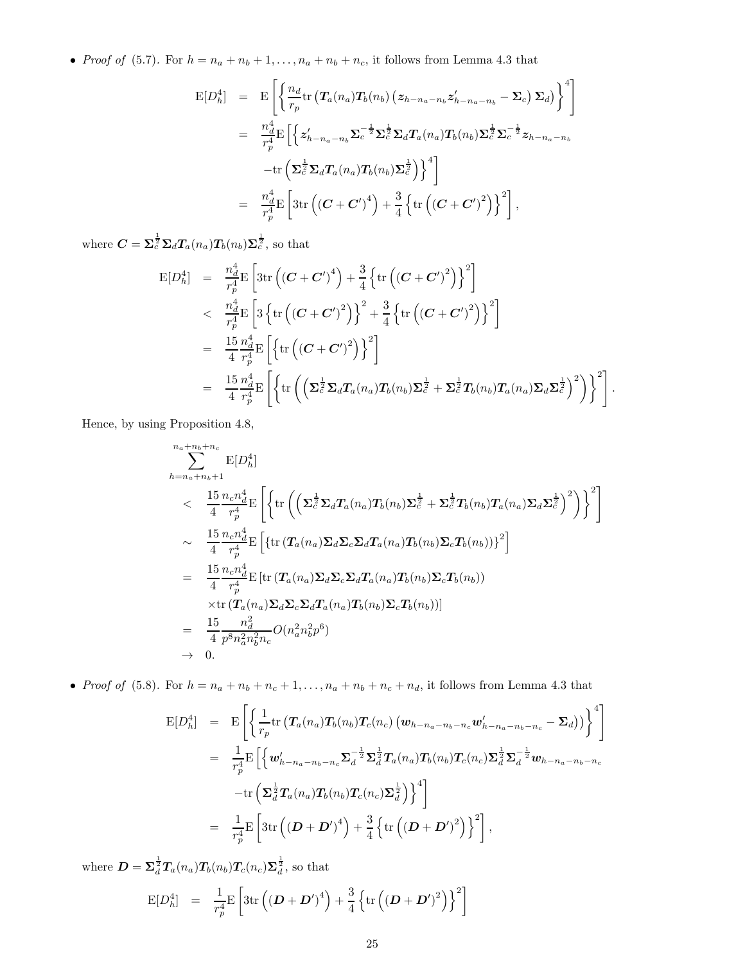• Proof of (5.7). For  $h = n_a + n_b + 1, \ldots, n_a + n_b + n_c$ , it follows from Lemma 4.3 that

$$
E[D_h^4] = E\left[\left\{\frac{n_d}{r_p}\text{tr}\left(T_a(n_a)T_b(n_b)\left(z_{h-n_a-n_b}z'_{h-n_a-n_b}-\Sigma_c\right)\Sigma_d\right)\right\}^4\right]
$$
  
\n
$$
= \frac{n_d^4}{r_p^4}E\left[\left\{z'_{h-n_a-n_b}\Sigma_c^{-\frac{1}{2}}\Sigma_c^{\frac{1}{2}}\Sigma_d T_a(n_a)T_b(n_b)\Sigma_c^{\frac{1}{2}}\Sigma_c^{-\frac{1}{2}}z_{h-n_a-n_b}\right.\right.
$$
  
\n
$$
-tr\left(\Sigma_c^{\frac{1}{2}}\Sigma_d T_a(n_a)T_b(n_b)\Sigma_c^{\frac{1}{2}}\right)\right\}^4
$$
  
\n
$$
= \frac{n_d^4}{r_p^4}E\left[3\text{tr}\left((\mathbf{C}+\mathbf{C}')^4\right)+\frac{3}{4}\left\{\text{tr}\left((\mathbf{C}+\mathbf{C}')^2\right)\right\}^2\right],
$$

where  $\boldsymbol{C} = \boldsymbol{\Sigma}_c^{\frac{1}{2}} \boldsymbol{\Sigma}_d \boldsymbol{T}_a(n_a) \boldsymbol{T}_b(n_b) \boldsymbol{\Sigma}_c^{\frac{1}{2}}$ , so that

$$
\begin{split} \mathrm{E}[D_h^4] &= \frac{n_d^4}{r_p^4} \mathrm{E}\left[3\mathrm{tr}\left((\boldsymbol{C}+\boldsymbol{C}')^4\right) + \frac{3}{4}\left\{\mathrm{tr}\left((\boldsymbol{C}+\boldsymbol{C}')^2\right)\right\}^2\right] \\ &< \frac{n_d^4}{r_p^4} \mathrm{E}\left[3\left\{\mathrm{tr}\left((\boldsymbol{C}+\boldsymbol{C}')^2\right)\right\}^2 + \frac{3}{4}\left\{\mathrm{tr}\left((\boldsymbol{C}+\boldsymbol{C}')^2\right)\right\}^2\right] \\ &= \frac{15}{4}\frac{n_d^4}{r_p^4} \mathrm{E}\left[\left\{\mathrm{tr}\left((\boldsymbol{C}+\boldsymbol{C}')^2\right)\right\}^2\right] \\ &= \frac{15}{4}\frac{n_d^4}{r_p^4} \mathrm{E}\left[\left\{\mathrm{tr}\left(\left(\boldsymbol{\Sigma}_c^{\frac{1}{2}}\boldsymbol{\Sigma}_d\boldsymbol{T}_a(n_a)\boldsymbol{T}_b(n_b)\boldsymbol{\Sigma}_c^{\frac{1}{2}} + \boldsymbol{\Sigma}_c^{\frac{1}{2}}\boldsymbol{T}_b(n_b)\boldsymbol{T}_a(n_a)\boldsymbol{\Sigma}_d\boldsymbol{\Sigma}_c^{\frac{1}{2}}\right)^2\right)\right\}^2\right]. \end{split}
$$

Hence, by using Proposition 4.8,

$$
\sum_{h=n_a+n_b+1}^{n_a+n_b+n_c} \mathbf{E}[D_h^4]
$$
\n
$$
< \frac{15}{4} \frac{n_c n_d^4}{r_p^4} \mathbf{E}\left[ \left\{ \text{tr}\left( \left( \Sigma_c^{\frac{1}{2}} \Sigma_d T_a(n_a) T_b(n_b) \Sigma_c^{\frac{1}{2}} + \Sigma_c^{\frac{1}{2}} T_b(n_b) T_a(n_a) \Sigma_d \Sigma_c^{\frac{1}{2}} \right)^2 \right) \right\}^2 \right]
$$
\n
$$
\sim \frac{15}{4} \frac{n_c n_d^4}{r_p^4} \mathbf{E}\left[ \left\{ \text{tr}\left( T_a(n_a) \Sigma_d \Sigma_c \Sigma_d T_a(n_a) T_b(n_b) \Sigma_c T_b(n_b) \right) \right\}^2 \right]
$$
\n
$$
= \frac{15}{4} \frac{n_c n_d^4}{r_p^4} \mathbf{E}\left[ \text{tr}\left( T_a(n_a) \Sigma_d \Sigma_c \Sigma_d T_a(n_a) T_b(n_b) \Sigma_c T_b(n_b) \right) \right]
$$
\n
$$
\times \text{tr}\left( T_a(n_a) \Sigma_d \Sigma_c \Sigma_d T_a(n_a) T_b(n_b) \Sigma_c T_b(n_b) \right)
$$
\n
$$
= \frac{15}{4} \frac{n_d^2}{p^8 n_a^2 n_b^2 n_c} O(n_a^2 n_b^2 p^6)
$$
\n
$$
\rightarrow 0.
$$

• Proof of (5.8). For  $h = n_a + n_b + n_c + 1, \ldots, n_a + n_b + n_c + n_d$ , it follows from Lemma 4.3 that

$$
E[D_h^4] = E\left[\left\{\frac{1}{r_p}\text{tr}\left(T_a(n_a)T_b(n_b)T_c(n_c)\left(\boldsymbol{w}_{h-n_a-n_b-n_c}\boldsymbol{w}_{h-n_a-n_b-n_c}' - \boldsymbol{\Sigma}_d\right)\right)\right\}^4\right]
$$
  
\n
$$
= \frac{1}{r_p^4}E\left[\left\{\boldsymbol{w}_{h-n_a-n_b-n_c}'\boldsymbol{\Sigma}_d^{-\frac{1}{2}}\boldsymbol{\Sigma}_d^{\frac{1}{2}}T_a(n_a)T_b(n_b)T_c(n_c)\boldsymbol{\Sigma}_d^{\frac{1}{2}}\boldsymbol{\Sigma}_d^{-\frac{1}{2}}\boldsymbol{w}_{h-n_a-n_b-n_c}\right.\right.
$$
  
\n
$$
-tr\left(\boldsymbol{\Sigma}_d^{\frac{1}{2}}T_a(n_a)T_b(n_b)T_c(n_c)\boldsymbol{\Sigma}_d^{\frac{1}{2}}\right)\right\}^4
$$
  
\n
$$
= \frac{1}{r_p^4}E\left[3\text{tr}\left((\boldsymbol{D}+\boldsymbol{D}')^4\right) + \frac{3}{4}\left\{\text{tr}\left((\boldsymbol{D}+\boldsymbol{D}')^2\right)\right\}^2\right],
$$

where  $\mathbf{D} = \mathbf{\Sigma}_d^{\frac{1}{2}} T_a(n_a) T_b(n_b) T_c(n_c) \mathbf{\Sigma}_d^{\frac{1}{2}}$ , so that

$$
E[D_h^4] = \frac{1}{r_p^4} E\left[3tr\left((\boldsymbol{D} + \boldsymbol{D}')^4\right) + \frac{3}{4}\left\{tr\left((\boldsymbol{D} + \boldsymbol{D}')^2\right)\right\}^2\right]
$$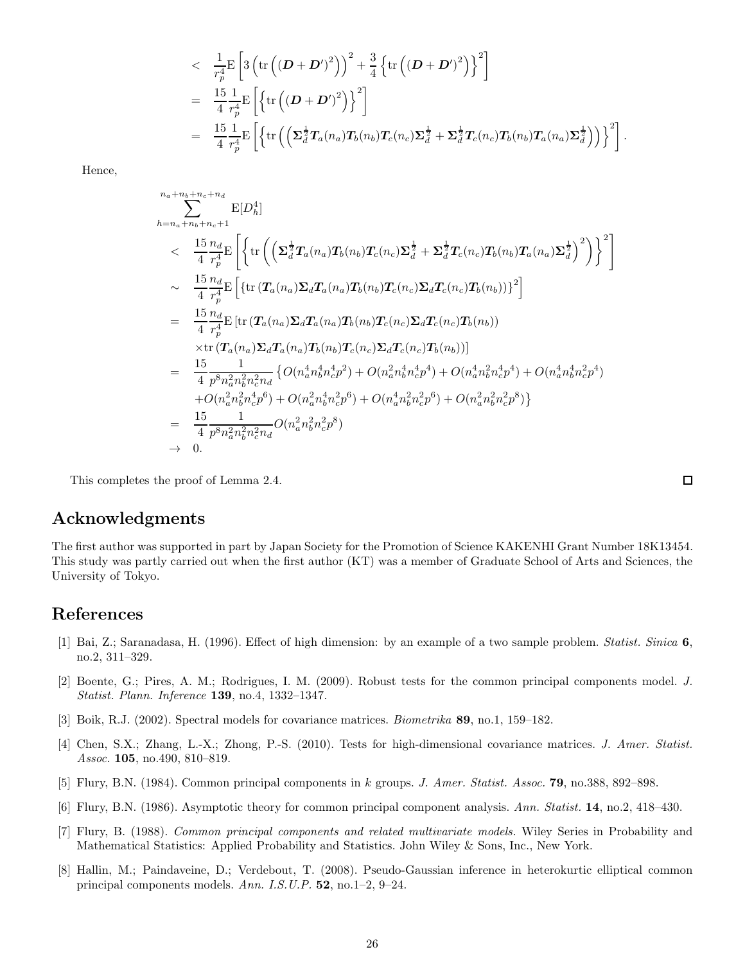$$
\begin{split}\n&\leq\frac{1}{r_p^4} \mathbb{E}\left[3\left(\text{tr}\left(\left(\bm{D}+\bm{D}'\right)^2\right)\right)^2 + \frac{3}{4}\left\{\text{tr}\left(\left(\bm{D}+\bm{D}'\right)^2\right)\right\}^2\right] \\
&=\frac{15}{4}\frac{1}{r_p^4} \mathbb{E}\left[\left\{\text{tr}\left(\left(\bm{D}+\bm{D}'\right)^2\right)\right\}^2\right] \\
&=\frac{15}{4}\frac{1}{r_p^4} \mathbb{E}\left[\left\{\text{tr}\left(\left(\bm{\Sigma}_d^{\frac{1}{2}}\bm{T}_a(n_a)\bm{T}_b(n_b)\bm{T}_c(n_c)\bm{\Sigma}_d^{\frac{1}{2}} + \bm{\Sigma}_d^{\frac{1}{2}}\bm{T}_c(n_c)\bm{T}_b(n_b)\bm{T}_a(n_a)\bm{\Sigma}_d^{\frac{1}{2}}\right)\right)\right\}^2\right].\n\end{split}
$$

Hence,

$$
\sum_{h=n_a+n_b+n_c+n_d}^{n_a+n_b+n_c+n_d} \mathbb{E}[D_h^4] \n
$$
\leq \frac{15}{4} \frac{n_d}{r_p^4} \mathbb{E}\left[\left\{\text{tr}\left(\left(\sum_{d}^{1} T_a(n_a) T_b(n_b) T_c(n_c) \sum_{d}^{1} + \sum_{d}^{1} T_c(n_c) T_b(n_b) T_a(n_a) \sum_{d}^{1}\right)^2\right)\right\}^2\right] \n
$$
\approx \frac{15}{4} \frac{n_d}{r_p^4} \mathbb{E}\left[\left\{\text{tr}\left(T_a(n_a) \sum_{d} T_a(n_a) T_b(n_b) T_c(n_c) \sum_{d} T_c(n_c) T_b(n_b))\right\}^2\right] \n= \frac{15}{4} \frac{n_d}{r_p^4} \mathbb{E}\left[\text{tr}\left(T_a(n_a) \sum_{d} T_a(n_a) T_b(n_b) T_c(n_c) \sum_{d} T_c(n_c) T_b(n_b)\right)\right) \n\times \text{tr}\left(T_a(n_a) \sum_{d} T_a(n_a) T_b(n_b) T_c(n_c) \sum_{d} T_c(n_c) T_b(n_b)\right)\right] \n= \frac{15}{4} \frac{1}{p^8 n_a^2 n_b^2 n_c^2 n_d} \left\{O(n_a^4 n_b^4 n_c^4 p^2) + O(n_a^2 n_b^4 n_c^4 p^4) + O(n_a^4 n_b^2 n_c^2 p^4) + O(n_a^4 n_b^4 n_c^2 p^4) + O(n_a^2 n_b^2 n_b^2 n_c^2 p^6) + O(n_a^2 n_b^2 n_c^2 p^6) + O(n_a^2 n_b^2 n_c^2 p^8)\right\} \n= \frac{15}{4} \frac{1}{p^8 n_a^2 n_b^2 n_c^2 n_d} O(n_a^2 n_b^2 n_c^2 p^8) \n\rightarrow 0.
$$
$$
$$

This completes the proof of Lemma 2.4.

### Acknowledgments

The first author was supported in part by Japan Society for the Promotion of Science KAKENHI Grant Number 18K13454. This study was partly carried out when the first author (KT) was a member of Graduate School of Arts and Sciences, the University of Tokyo.

 $\Box$ 

### References

- [1] Bai, Z.; Saranadasa, H. (1996). Effect of high dimension: by an example of a two sample problem. Statist. Sinica 6, no.2, 311–329.
- [2] Boente, G.; Pires, A. M.; Rodrigues, I. M. (2009). Robust tests for the common principal components model. J. Statist. Plann. Inference 139, no.4, 1332–1347.
- [3] Boik, R.J. (2002). Spectral models for covariance matrices. Biometrika 89, no.1, 159–182.
- [4] Chen, S.X.; Zhang, L.-X.; Zhong, P.-S. (2010). Tests for high-dimensional covariance matrices. J. Amer. Statist. Assoc. 105, no.490, 810-819.
- [5] Flury, B.N. (1984). Common principal components in k groups. J. Amer. Statist. Assoc. 79, no.388, 892–898.
- [6] Flury, B.N. (1986). Asymptotic theory for common principal component analysis. Ann. Statist. 14, no.2, 418–430.
- [7] Flury, B. (1988). Common principal components and related multivariate models. Wiley Series in Probability and Mathematical Statistics: Applied Probability and Statistics. John Wiley & Sons, Inc., New York.
- [8] Hallin, M.; Paindaveine, D.; Verdebout, T. (2008). Pseudo-Gaussian inference in heterokurtic elliptical common principal components models. Ann. I.S.U.P.  $52$ , no.1–2, 9–24.